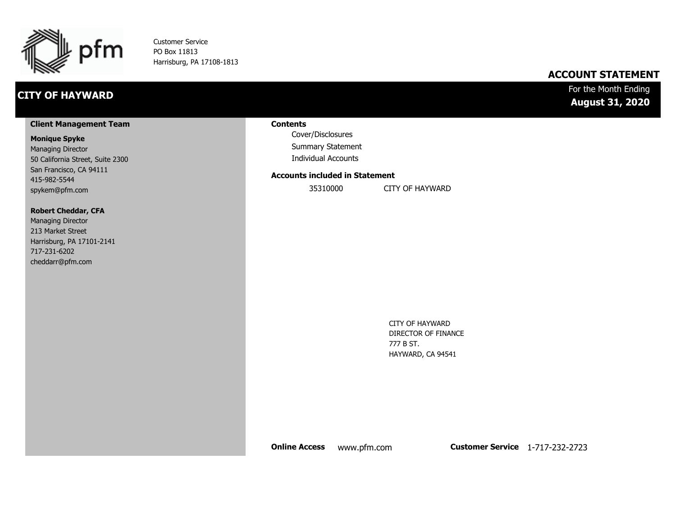

Customer Service PO Box 11813 Harrisburg, PA 17108-1813

### **CITY OF HAYWARD**

### **ACCOUNT STATEMENT**

### For the Month Ending **August 31, 2020**

#### **Client Management Team**

#### **Monique Spyke**

Managing Director 50 California Street, Suite 2300 San Francisco, CA 94111 415-982-5544 spykem@pfm.com

#### **Robert Cheddar, CFA**

| <b>Managing Director</b>  |
|---------------------------|
| 213 Market Street         |
| Harrisburg, PA 17101-2141 |
| 717-231-6202              |
| cheddarr@pfm.com          |

#### **Contents**

Cover/Disclosures Summary Statement Individual Accounts

#### **Accounts included in Statement**

35310000 CITY OF HAYWARD

CITY OF HAYWARD DIRECTOR OF FINANCE 777 B ST. HAYWARD, CA 94541

**Online Access** www.pfm.com **Customer Service** 1-717-232-2723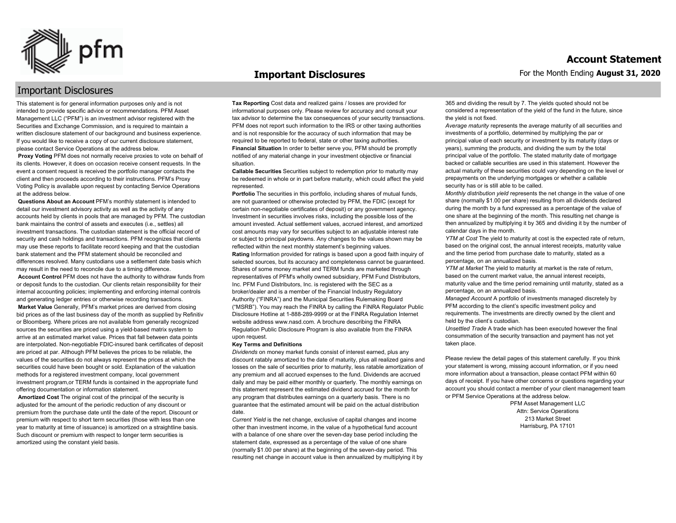

#### **Important Disclosures**

### Important Disclosures

This statement is for general information purposes only and is not intended to provide specific advice or recommendations. PFM Asset Management LLC ("PFM") is an investment advisor registered with the Securities and Exchange Commission, and is required to maintain a written disclosure statement of our background and business experience. If you would like to receive a copy of our current disclosure statement, please contact Service Operations at the address below.

**Proxy Voting** PFM does not normally receive proxies to vote on behalf of its clients. However, it does on occasion receive consent requests. In the event a consent request is received the portfolio manager contacts the client and then proceeds according to their instructions. PFM's Proxy Voting Policy is available upon request by contacting Service Operations at the address below.

**Questions About an Account** PFM's monthly statement is intended to detail our investment advisory activity as well as the activity of any accounts held by clients in pools that are managed by PFM. The custodian bank maintains the control of assets and executes (i.e., settles) all investment transactions. The custodian statement is the official record of security and cash holdings and transactions. PFM recognizes that clients may use these reports to facilitate record keeping and that the custodian bank statement and the PFM statement should be reconciled and differences resolved. Many custodians use a settlement date basis which may result in the need to reconcile due to a timing difference.

**Account Control** PFM does not have the authority to withdraw funds from or deposit funds to the custodian. Our clients retain responsibility for their internal accounting policies; implementing and enforcing internal controls and generating ledger entries or otherwise recording transactions.

**Market Value** Generally, PFM's market prices are derived from closing bid prices as of the last business day of the month as supplied by Refinitiv or Bloomberg. Where prices are not available from generally recognized sources the securities are priced using a yield-based matrix system to arrive at an estimated market value. Prices that fall between data points are interpolated. Non-negotiable FDIC-insured bank certificates of deposit are priced at par. Although PFM believes the prices to be reliable, the values of the securities do not always represent the prices at which the securities could have been bought or sold. Explanation of the valuation methods for a registered investment company, local government investment program,or TERM funds is contained in the appropriate fund offering documentation or information statement.

**Amortized Cost** The original cost of the principal of the security is adjusted for the amount of the periodic reduction of any discount or premium from the purchase date until the date of the report. Discount or premium with respect to short term securities (those with less than one year to maturity at time of issuance) is amortized on a straightline basis. Such discount or premium with respect to longer term securities is amortized using the constant yield basis.

**Tax Reporting** Cost data and realized gains / losses are provided for informational purposes only. Please review for accuracy and consult your tax advisor to determine the tax consequences of your security transactions. PFM does not report such information to the IRS or other taxing authorities and is not responsible for the accuracy of such information that may be required to be reported to federal, state or other taxing authorities. **Financial Situation** In order to better serve you, PFM should be promptly notified of any material change in your investment objective or financial situation.

**Callable Securities** Securities subject to redemption prior to maturity may be redeemed in whole or in part before maturity, which could affect the yield represented.

Portfolio The securities in this portfolio, including shares of mutual funds, are not guaranteed or otherwise protected by PFM, the FDIC (except for certain non-negotiable certificates of deposit) or any government agency. Investment in securities involves risks, including the possible loss of the amount invested. Actual settlement values, accrued interest, and amortized cost amounts may vary for securities subject to an adjustable interest rate or subject to principal paydowns. Any changes to the values shown may be reflected within the next monthly statement's beginning values. **Rating** Information provided for ratings is based upon a good faith inquiry of selected sources, but its accuracy and completeness cannot be guaranteed. Shares of some money market and TERM funds are marketed through representatives of PFM's wholly owned subsidiary, PFM Fund Distributors, Inc. PFM Fund Distributors, Inc. is registered with the SEC as a broker/dealer and is a member of the Financial Industry Regulatory Authority ("FINRA") and the Municipal Securities Rulemaking Board ("MSRB"). You may reach the FINRA by calling the FINRA Regulator Public Disclosure Hotline at 1-888-289-9999 or at the FINRA Regulation Internet website address www.nasd.com. A brochure describing the FINRA Regulation Public Disclosure Program is also available from the FINRA upon request.

#### **Key Terms and Definitions**

*Dividends* on money market funds consist of interest earned, plus any discount ratably amortized to the date of maturity, plus all realized gains and losses on the sale of securities prior to maturity, less ratable amortization of any premium and all accrued expenses to the fund. Dividends are accrued daily and may be paid either monthly or quarterly. The monthly earnings on this statement represent the estimated dividend accrued for the month for any program that distributes earnings on a quarterly basis. There is no guarantee that the estimated amount will be paid on the actual distribution date.

*Current Yield* is the net change, exclusive of capital changes and income other than investment income, in the value of a hypothetical fund account with a balance of one share over the seven-day base period including the statement date, expressed as a percentage of the value of one share (normally \$1.00 per share) at the beginning of the seven-day period. This resulting net change in account value is then annualized by multiplying it by 365 and dividing the result by 7. The yields quoted should not be considered a representation of the yield of the fund in the future, since the yield is not fixed.

*Average maturity* represents the average maturity of all securities and investments of a portfolio, determined by multiplying the par or principal value of each security or investment by its maturity (days or years), summing the products, and dividing the sum by the total principal value of the portfolio. The stated maturity date of mortgage backed or callable securities are used in this statement. However the actual maturity of these securities could vary depending on the level or prepayments on the underlying mortgages or whether a callable security has or is still able to be called.

*Monthly distribution yield* represents the net change in the value of one share (normally \$1.00 per share) resulting from all dividends declared during the month by a fund expressed as a percentage of the value of one share at the beginning of the month. This resulting net change is then annualized by multiplying it by 365 and dividing it by the number of calendar days in the month.

*YTM at Cost* The yield to maturity at cost is the expected rate of return, based on the original cost, the annual interest receipts, maturity value and the time period from purchase date to maturity, stated as a percentage, on an annualized basis.

*YTM at Market* The yield to maturity at market is the rate of return, based on the current market value, the annual interest receipts, maturity value and the time period remaining until maturity, stated as a percentage, on an annualized basis.

*Managed Account* A portfolio of investments managed discretely by PFM according to the client's specific investment policy and requirements. The investments are directly owned by the client and held by the client's custodian.

*Unsettled Trade* A trade which has been executed however the final consummation of the security transaction and payment has not yet taken place.

Please review the detail pages of this statement carefully. If you think your statement is wrong, missing account information, or if you need more information about a transaction, please contact PFM within 60 days of receipt. If you have other concerns or questions regarding your account you should contact a member of your client management team or PFM Service Operations at the address below.

> PFM Asset Management LLC Attn: Service Operations 213 Market Street Harrisburg, PA 17101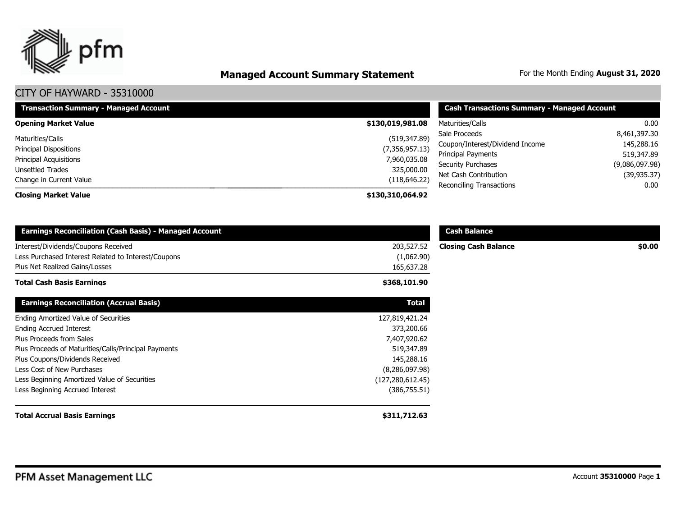

# **Managed Account Summary Statement** For the Month Ending August 31, 2020

| <b>Transaction Summary - Managed Account</b> | <b>Cash Transactions Summary - Managed Account</b> |                                                          |                              |
|----------------------------------------------|----------------------------------------------------|----------------------------------------------------------|------------------------------|
| <b>Opening Market Value</b>                  | \$130,019,981.08                                   | Maturities/Calls                                         | 0.00                         |
| Maturities/Calls                             | (519, 347.89)                                      | Sale Proceeds                                            | 8,461,397.30<br>145,288.16   |
| <b>Principal Dispositions</b>                | (7,356,957.13)                                     | Coupon/Interest/Dividend Income<br>Principal Payments    | 519,347.89<br>(9,086,097.98) |
| Principal Acquisitions<br>Unsettled Trades   | 7,960,035.08<br>325,000.00                         | <b>Security Purchases</b>                                |                              |
| Change in Current Value                      | (118, 646.22)                                      | Net Cash Contribution<br><b>Reconciling Transactions</b> | (39, 935.37)<br>$0.00\,$     |
| <b>Closing Market Value</b>                  | \$130,310,064.92                                   |                                                          |                              |

| <b>Earnings Reconciliation (Cash Basis) - Managed Account</b>                              |                          | <b>Cash Balance</b>         |        |
|--------------------------------------------------------------------------------------------|--------------------------|-----------------------------|--------|
| Interest/Dividends/Coupons Received<br>Less Purchased Interest Related to Interest/Coupons | 203,527.52<br>(1,062.90) | <b>Closing Cash Balance</b> | \$0.00 |
| Plus Net Realized Gains/Losses                                                             | 165,637.28               |                             |        |
| Total Cash Basis Earnings                                                                  | \$368,101.90             |                             |        |
| <b>Earnings Reconciliation (Accrual Basis)</b>                                             | <b>Total</b>             |                             |        |
| Ending Amortized Value of Securities                                                       | 127,819,421.24           |                             |        |
| <b>Ending Accrued Interest</b>                                                             | 373,200.66               |                             |        |
| Plus Proceeds from Sales                                                                   | 7,407,920.62             |                             |        |
| Plus Proceeds of Maturities/Calls/Principal Payments                                       | 519,347.89               |                             |        |
| Plus Coupons/Dividends Received                                                            | 145,288.16               |                             |        |
| Less Cost of New Purchases                                                                 | (8,286,097.98)           |                             |        |
| Less Beginning Amortized Value of Securities                                               | (127, 280, 612.45)       |                             |        |
| Less Beginning Accrued Interest                                                            | (386, 755.51)            |                             |        |
| <b>Total Accrual Basis Earnings</b>                                                        | \$311,712.63             |                             |        |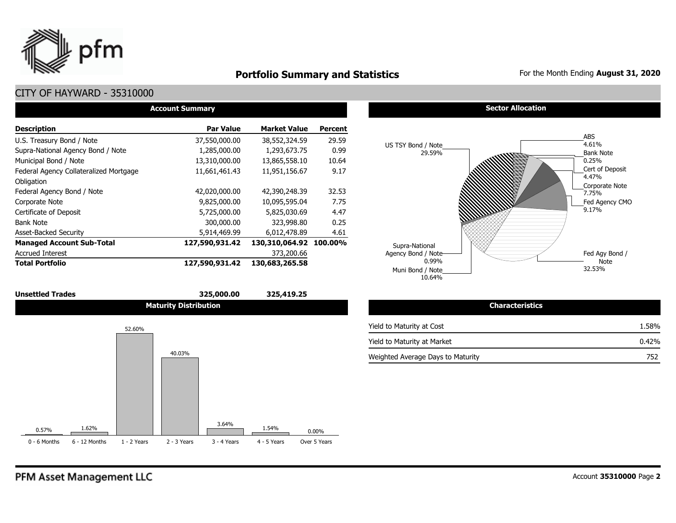

### **Portfolio Summary and Statistics** For the Month Ending August 31, 2020

### CITY OF HAYWARD - 35310000

| <b>Account Summary</b>                 |                  |                     |                |  |  |  |  |  |  |  |
|----------------------------------------|------------------|---------------------|----------------|--|--|--|--|--|--|--|
| <b>Description</b>                     | <b>Par Value</b> | <b>Market Value</b> | <b>Percent</b> |  |  |  |  |  |  |  |
| U.S. Treasury Bond / Note              | 37,550,000.00    | 38,552,324.59       | 29.59          |  |  |  |  |  |  |  |
| Supra-National Agency Bond / Note      | 1,285,000.00     | 1,293,673.75        | 0.99           |  |  |  |  |  |  |  |
| Municipal Bond / Note                  | 13,310,000.00    | 13,865,558.10       | 10.64          |  |  |  |  |  |  |  |
| Federal Agency Collateralized Mortgage | 11,661,461.43    | 11,951,156.67       | 9.17           |  |  |  |  |  |  |  |
| Obligation                             |                  |                     |                |  |  |  |  |  |  |  |
| Federal Agency Bond / Note             | 42,020,000.00    | 42,390,248.39       | 32.53          |  |  |  |  |  |  |  |
| Corporate Note                         | 9,825,000.00     | 10,095,595.04       | 7.75           |  |  |  |  |  |  |  |
| Certificate of Deposit                 | 5,725,000.00     | 5,825,030.69        | 4.47           |  |  |  |  |  |  |  |
| <b>Bank Note</b>                       | 300,000.00       | 323,998.80          | 0.25           |  |  |  |  |  |  |  |
| <b>Asset-Backed Security</b>           | 5,914,469.99     | 6,012,478.89        | 4.61           |  |  |  |  |  |  |  |
| <b>Managed Account Sub-Total</b>       | 127,590,931.42   | 130,310,064.92      | 100.00%        |  |  |  |  |  |  |  |
| <b>Accrued Interest</b>                |                  | 373,200.66          |                |  |  |  |  |  |  |  |
| <b>Total Portfolio</b>                 | 127,590,931.42   | 130,683,265.58      |                |  |  |  |  |  |  |  |

### **Unsettled Trades 325,000.00 325,419.25 Maturity Distribution**



#### **Sector Allocation**



| <b>Characteristics</b>            |       |
|-----------------------------------|-------|
| Yield to Maturity at Cost         | 1.58% |
| Yield to Maturity at Market       | 0.42% |
| Weighted Average Days to Maturity | 752   |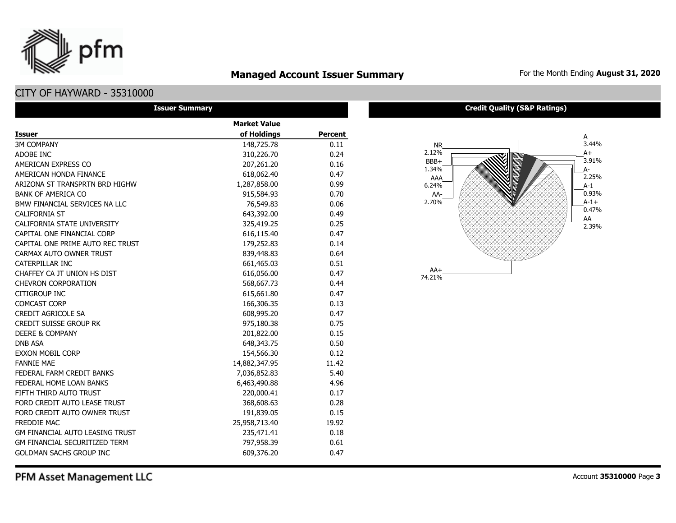# **Managed Account Issuer Summary** For the Month Ending August 31, 2020

### CITY OF HAYWARD - 35310000

pfm

|                                        | <b>Issuer Summary</b> |                |
|----------------------------------------|-----------------------|----------------|
|                                        | <b>Market Value</b>   |                |
| <b>Issuer</b>                          | of Holdings           | <b>Percent</b> |
| <b>3M COMPANY</b>                      | 148,725.78            | 0.11           |
| ADOBE INC                              | 310,226.70            | 0.24           |
| AMERICAN EXPRESS CO                    | 207,261.20            | 0.16           |
| AMERICAN HONDA FINANCE                 | 618,062.40            | 0.47           |
| ARIZONA ST TRANSPRTN BRD HIGHW         | 1,287,858.00          | 0.99           |
| <b>BANK OF AMERICA CO</b>              | 915,584.93            | 0.70           |
| BMW FINANCIAL SERVICES NA LLC          | 76,549.83             | 0.06           |
| <b>CALIFORNIA ST</b>                   | 643,392.00            | 0.49           |
| CALIFORNIA STATE UNIVERSITY            | 325,419.25            | 0.25           |
| CAPITAL ONE FINANCIAL CORP             | 616,115.40            | 0.47           |
| CAPITAL ONE PRIME AUTO REC TRUST       | 179,252.83            | 0.14           |
| CARMAX AUTO OWNER TRUST                | 839,448.83            | 0.64           |
| CATERPILLAR INC                        | 661,465.03            | 0.51           |
| CHAFFEY CA JT UNION HS DIST            | 616,056.00            | 0.47           |
| <b>CHEVRON CORPORATION</b>             | 568,667.73            | 0.44           |
| <b>CITIGROUP INC</b>                   | 615,661.80            | 0.47           |
| <b>COMCAST CORP</b>                    | 166,306.35            | 0.13           |
| <b>CREDIT AGRICOLE SA</b>              | 608,995.20            | 0.47           |
| <b>CREDIT SUISSE GROUP RK</b>          | 975,180.38            | 0.75           |
| <b>DEERE &amp; COMPANY</b>             | 201,822.00            | 0.15           |
| <b>DNB ASA</b>                         | 648,343.75            | 0.50           |
| <b>EXXON MOBIL CORP</b>                | 154,566.30            | 0.12           |
| <b>FANNIE MAE</b>                      | 14,882,347.95         | 11.42          |
| FEDERAL FARM CREDIT BANKS              | 7,036,852.83          | 5.40           |
| FEDERAL HOME LOAN BANKS                | 6,463,490.88          | 4.96           |
| FIFTH THIRD AUTO TRUST                 | 220,000.41            | 0.17           |
| FORD CREDIT AUTO LEASE TRUST           | 368,608.63            | 0.28           |
| FORD CREDIT AUTO OWNER TRUST           | 191,839.05            | 0.15           |
| <b>FREDDIE MAC</b>                     | 25,958,713.40         | 19.92          |
| <b>GM FINANCIAL AUTO LEASING TRUST</b> | 235,471.41            | 0.18           |
| <b>GM FINANCIAL SECURITIZED TERM</b>   | 797,958.39            | 0.61           |
| <b>GOLDMAN SACHS GROUP INC</b>         | 609,376.20            | 0.47           |

#### **Credit Quality (S&P Ratings)**

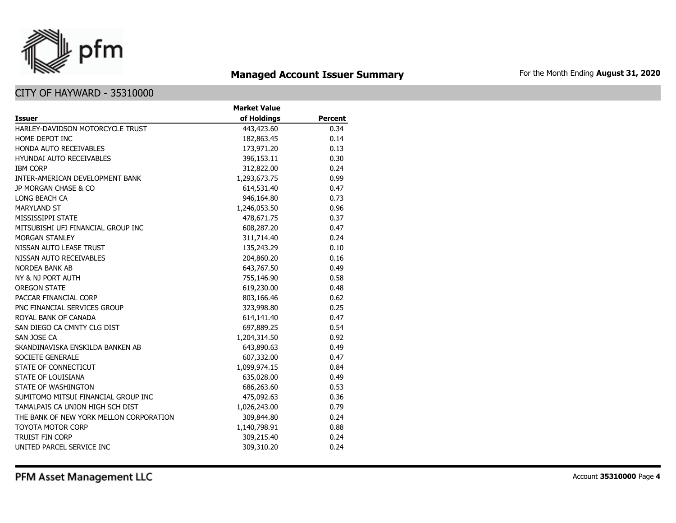

# **Managed Account Issuer Summary** For the Month Ending August 31, 2020

### CITY OF HAYWARD - 35310000

|                                         | <b>Market Value</b> |                |
|-----------------------------------------|---------------------|----------------|
| <b>Issuer</b>                           | of Holdings         | <b>Percent</b> |
| HARLEY-DAVIDSON MOTORCYCLE TRUST        | 443,423.60          | 0.34           |
| HOME DEPOT INC                          | 182,863.45          | 0.14           |
| HONDA AUTO RECEIVABLES                  | 173,971.20          | 0.13           |
| <b>HYUNDAI AUTO RECEIVABLES</b>         | 396,153.11          | 0.30           |
| <b>IBM CORP</b>                         | 312,822.00          | 0.24           |
| INTER-AMERICAN DEVELOPMENT BANK         | 1,293,673.75        | 0.99           |
| JP MORGAN CHASE & CO                    | 614,531.40          | 0.47           |
| LONG BEACH CA                           | 946,164.80          | 0.73           |
| <b>MARYLAND ST</b>                      | 1,246,053.50        | 0.96           |
| MISSISSIPPI STATE                       | 478,671.75          | 0.37           |
| MITSUBISHI UFJ FINANCIAL GROUP INC      | 608,287.20          | 0.47           |
| <b>MORGAN STANLEY</b>                   | 311,714.40          | 0.24           |
| NISSAN AUTO LEASE TRUST                 | 135,243.29          | 0.10           |
| NISSAN AUTO RECEIVABLES                 | 204,860.20          | 0.16           |
| NORDEA BANK AB                          | 643,767.50          | 0.49           |
| NY & NJ PORT AUTH                       | 755,146.90          | 0.58           |
| <b>OREGON STATE</b>                     | 619,230.00          | 0.48           |
| PACCAR FINANCIAL CORP                   | 803,166.46          | 0.62           |
| PNC FINANCIAL SERVICES GROUP            | 323,998.80          | 0.25           |
| ROYAL BANK OF CANADA                    | 614,141.40          | 0.47           |
| SAN DIEGO CA CMNTY CLG DIST             | 697,889.25          | 0.54           |
| SAN JOSE CA                             | 1,204,314.50        | 0.92           |
| SKANDINAVISKA ENSKILDA BANKEN AB        | 643,890.63          | 0.49           |
| <b>SOCIETE GENERALE</b>                 | 607,332.00          | 0.47           |
| STATE OF CONNECTICUT                    | 1,099,974.15        | 0.84           |
| STATE OF LOUISIANA                      | 635,028.00          | 0.49           |
| STATE OF WASHINGTON                     | 686,263.60          | 0.53           |
| SUMITOMO MITSUI FINANCIAL GROUP INC     | 475,092.63          | 0.36           |
| TAMALPAIS CA UNION HIGH SCH DIST        | 1,026,243.00        | 0.79           |
| THE BANK OF NEW YORK MELLON CORPORATION | 309,844.80          | 0.24           |
| <b>TOYOTA MOTOR CORP</b>                | 1,140,798.91        | 0.88           |
| <b>TRUIST FIN CORP</b>                  | 309,215.40          | 0.24           |
| UNITED PARCEL SERVICE INC               | 309,310.20          | 0.24           |

PFM Asset Management LLC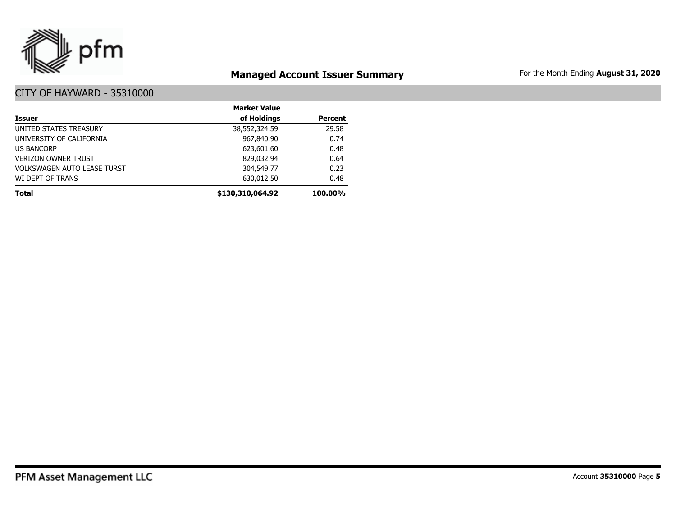

# **Managed Account Issuer Summary** For the Month Ending August 31, 2020

|                                    | <b>Market Value</b> |                |
|------------------------------------|---------------------|----------------|
| <b>Issuer</b>                      | of Holdings         | <b>Percent</b> |
| UNITED STATES TREASURY             | 38,552,324.59       | 29.58          |
| UNIVERSITY OF CALIFORNIA           | 967,840.90          | 0.74           |
| <b>US BANCORP</b>                  | 623,601.60          | 0.48           |
| <b>VERIZON OWNER TRUST</b>         | 829,032.94          | 0.64           |
| <b>VOLKSWAGEN AUTO LEASE TURST</b> | 304,549,77          | 0.23           |
| WI DEPT OF TRANS                   | 630,012.50          | 0.48           |
| <b>Total</b>                       | \$130,310,064.92    | <b>100.00%</b> |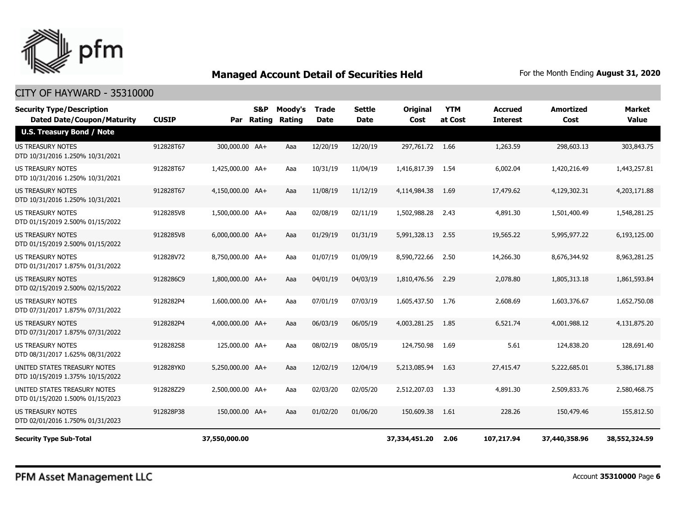

| <b>Security Type/Description</b><br><b>Dated Date/Coupon/Maturity</b> | <b>CUSIP</b> | Par              | <b>S&amp;P</b><br>Rating | Moody's<br>Rating | <b>Trade</b><br><b>Date</b> | <b>Settle</b><br><b>Date</b> | <b>Original</b><br>Cost | <b>YTM</b><br>at Cost | Accrued<br><b>Interest</b> | <b>Amortized</b><br>Cost | <b>Market</b><br><b>Value</b> |
|-----------------------------------------------------------------------|--------------|------------------|--------------------------|-------------------|-----------------------------|------------------------------|-------------------------|-----------------------|----------------------------|--------------------------|-------------------------------|
| <b>U.S. Treasury Bond / Note</b>                                      |              |                  |                          |                   |                             |                              |                         |                       |                            |                          |                               |
| <b>US TREASURY NOTES</b><br>DTD 10/31/2016 1.250% 10/31/2021          | 912828T67    | 300,000.00 AA+   |                          | Aaa               | 12/20/19                    | 12/20/19                     | 297,761.72 1.66         |                       | 1,263.59                   | 298,603.13               | 303,843.75                    |
| US TREASURY NOTES<br>DTD 10/31/2016 1.250% 10/31/2021                 | 912828T67    | 1,425,000.00 AA+ |                          | Aaa               | 10/31/19                    | 11/04/19                     | 1,416,817.39            | - 1.54                | 6,002.04                   | 1,420,216.49             | 1,443,257.81                  |
| <b>US TREASURY NOTES</b><br>DTD 10/31/2016 1.250% 10/31/2021          | 912828T67    | 4,150,000.00 AA+ |                          | Aaa               | 11/08/19                    | 11/12/19                     | 4,114,984.38            | 1.69                  | 17,479.62                  | 4,129,302.31             | 4,203,171.88                  |
| <b>US TREASURY NOTES</b><br>DTD 01/15/2019 2.500% 01/15/2022          | 9128285V8    | 1,500,000.00 AA+ |                          | Aaa               | 02/08/19                    | 02/11/19                     | 1,502,988.28            | 2.43                  | 4,891.30                   | 1,501,400.49             | 1,548,281.25                  |
| <b>US TREASURY NOTES</b><br>DTD 01/15/2019 2.500% 01/15/2022          | 9128285V8    | 6,000,000.00 AA+ |                          | Aaa               | 01/29/19                    | 01/31/19                     | 5,991,328.13            | 2.55                  | 19,565.22                  | 5,995,977.22             | 6,193,125.00                  |
| <b>US TREASURY NOTES</b><br>DTD 01/31/2017 1.875% 01/31/2022          | 912828V72    | 8,750,000.00 AA+ |                          | Aaa               | 01/07/19                    | 01/09/19                     | 8,590,722.66            | 2.50                  | 14,266.30                  | 8,676,344.92             | 8,963,281.25                  |
| <b>US TREASURY NOTES</b><br>DTD 02/15/2019 2.500% 02/15/2022          | 9128286C9    | 1,800,000.00 AA+ |                          | Aaa               | 04/01/19                    | 04/03/19                     | 1,810,476.56            | 2.29                  | 2,078.80                   | 1,805,313.18             | 1,861,593.84                  |
| <b>US TREASURY NOTES</b><br>DTD 07/31/2017 1.875% 07/31/2022          | 9128282P4    | 1,600,000,00 AA+ |                          | Aaa               | 07/01/19                    | 07/03/19                     | 1,605,437.50            | 1.76                  | 2,608.69                   | 1,603,376,67             | 1,652,750.08                  |
| <b>US TREASURY NOTES</b><br>DTD 07/31/2017 1.875% 07/31/2022          | 9128282P4    | 4.000.000.00 AA+ |                          | Aaa               | 06/03/19                    | 06/05/19                     | 4,003,281.25            | 1.85                  | 6,521.74                   | 4,001,988.12             | 4,131,875,20                  |
| US TREASURY NOTES<br>DTD 08/31/2017 1.625% 08/31/2022                 | 9128282S8    | 125,000.00 AA+   |                          | Aaa               | 08/02/19                    | 08/05/19                     | 124,750.98              | 1.69                  | 5.61                       | 124,838.20               | 128,691.40                    |
| UNITED STATES TREASURY NOTES<br>DTD 10/15/2019 1.375% 10/15/2022      | 912828YK0    | 5,250,000.00 AA+ |                          | Aaa               | 12/02/19                    | 12/04/19                     | 5,213,085.94            | 1.63                  | 27,415.47                  | 5,222,685.01             | 5,386,171.88                  |
| UNITED STATES TREASURY NOTES<br>DTD 01/15/2020 1.500% 01/15/2023      | 912828Z29    | 2,500,000.00 AA+ |                          | Aaa               | 02/03/20                    | 02/05/20                     | 2,512,207.03            | 1.33                  | 4,891.30                   | 2,509,833.76             | 2,580,468.75                  |
| <b>US TREASURY NOTES</b><br>DTD 02/01/2016 1.750% 01/31/2023          | 912828P38    | 150,000.00 AA+   |                          | Aaa               | 01/02/20                    | 01/06/20                     | 150,609.38              | 1.61                  | 228.26                     | 150,479.46               | 155,812.50                    |
| <b>Security Type Sub-Total</b>                                        |              | 37,550,000.00    |                          |                   |                             |                              | 37,334,451.20           | 2.06                  | 107,217.94                 | 37,440,358.96            | 38,552,324.59                 |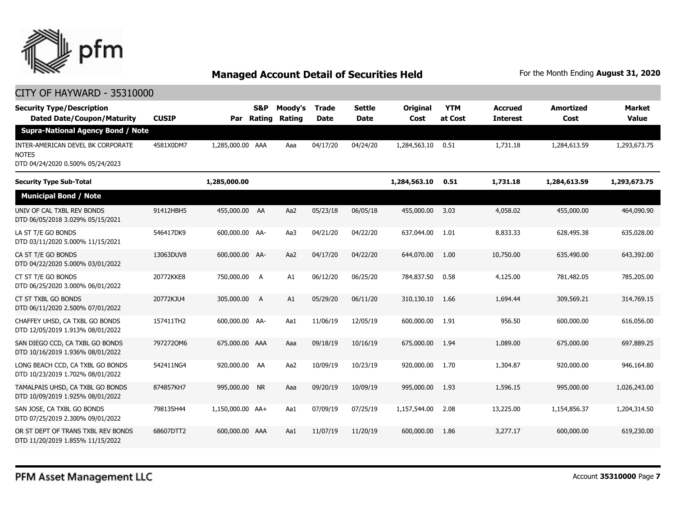

| <b>Security Type/Description</b><br><b>Dated Date/Coupon/Maturity</b>                 | <b>CUSIP</b> | Par              | <b>S&amp;P</b><br>Rating | Moody's<br><b>Rating</b> | <b>Trade</b><br><b>Date</b> | <b>Settle</b><br><b>Date</b> | <b>Original</b><br>Cost | <b>YTM</b><br>at Cost | <b>Accrued</b><br><b>Interest</b> | <b>Amortized</b><br>Cost | <b>Market</b><br><b>Value</b> |  |  |
|---------------------------------------------------------------------------------------|--------------|------------------|--------------------------|--------------------------|-----------------------------|------------------------------|-------------------------|-----------------------|-----------------------------------|--------------------------|-------------------------------|--|--|
| <b>Supra-National Agency Bond / Note</b>                                              |              |                  |                          |                          |                             |                              |                         |                       |                                   |                          |                               |  |  |
| INTER-AMERICAN DEVEL BK CORPORATE<br><b>NOTES</b><br>DTD 04/24/2020 0.500% 05/24/2023 | 4581X0DM7    | 1,285,000.00 AAA |                          | Aaa                      | 04/17/20                    | 04/24/20                     | 1,284,563.10            | 0.51                  | 1,731.18                          | 1,284,613.59             | 1,293,673.75                  |  |  |
| <b>Security Type Sub-Total</b>                                                        |              | 1,285,000.00     |                          |                          |                             |                              | 1,284,563.10            | 0.51                  | 1,731.18                          | 1,284,613.59             | 1,293,673.75                  |  |  |
| <b>Municipal Bond / Note</b>                                                          |              |                  |                          |                          |                             |                              |                         |                       |                                   |                          |                               |  |  |
| UNIV OF CAL TXBL REV BONDS<br>DTD 06/05/2018 3.029% 05/15/2021                        | 91412HBH5    | 455,000.00 AA    |                          | Aa2                      | 05/23/18                    | 06/05/18                     | 455,000.00              | 3.03                  | 4,058.02                          | 455,000.00               | 464,090.90                    |  |  |
| LA ST T/E GO BONDS<br>DTD 03/11/2020 5.000% 11/15/2021                                | 546417DK9    | 600,000.00 AA-   |                          | Aa3                      | 04/21/20                    | 04/22/20                     | 637,044.00              | 1.01                  | 8,833.33                          | 628,495.38               | 635,028.00                    |  |  |
| CA ST T/E GO BONDS<br>DTD 04/22/2020 5.000% 03/01/2022                                | 13063DUV8    | 600,000.00 AA-   |                          | Aa2                      | 04/17/20                    | 04/22/20                     | 644,070.00              | 1.00                  | 10,750.00                         | 635,490.00               | 643,392.00                    |  |  |
| CT ST T/E GO BONDS<br>DTD 06/25/2020 3.000% 06/01/2022                                | 20772KKE8    | 750,000.00       | A                        | A1                       | 06/12/20                    | 06/25/20                     | 784,837.50              | 0.58                  | 4,125.00                          | 781,482.05               | 785,205.00                    |  |  |
| CT ST TXBL GO BONDS<br>DTD 06/11/2020 2.500% 07/01/2022                               | 20772KJU4    | 305,000.00       | A                        | A1                       | 05/29/20                    | 06/11/20                     | 310,130.10              | 1.66                  | 1,694.44                          | 309,569.21               | 314,769.15                    |  |  |
| CHAFFEY UHSD, CA TXBL GO BONDS<br>DTD 12/05/2019 1.913% 08/01/2022                    | 157411TH2    | 600,000.00 AA-   |                          | Aa1                      | 11/06/19                    | 12/05/19                     | 600,000.00              | 1.91                  | 956.50                            | 600,000,00               | 616,056.00                    |  |  |
| SAN DIEGO CCD, CA TXBL GO BONDS<br>DTD 10/16/2019 1.936% 08/01/2022                   | 7972720M6    | 675,000.00 AAA   |                          | Aaa                      | 09/18/19                    | 10/16/19                     | 675,000.00              | 1.94                  | 1,089.00                          | 675,000.00               | 697.889.25                    |  |  |
| LONG BEACH CCD, CA TXBL GO BONDS<br>DTD 10/23/2019 1.702% 08/01/2022                  | 542411NG4    | 920,000.00 AA    |                          | Aa2                      | 10/09/19                    | 10/23/19                     | 920,000.00              | 1.70                  | 1,304.87                          | 920,000.00               | 946,164.80                    |  |  |
| TAMALPAIS UHSD, CA TXBL GO BONDS<br>DTD 10/09/2019 1.925% 08/01/2022                  | 874857KH7    | 995,000.00       | <b>NR</b>                | Aaa                      | 09/20/19                    | 10/09/19                     | 995,000.00              | 1.93                  | 1,596.15                          | 995,000.00               | 1,026,243.00                  |  |  |
| SAN JOSE, CA TXBL GO BONDS<br>DTD 07/25/2019 2.300% 09/01/2022                        | 798135H44    | 1,150,000.00 AA+ |                          | Aa1                      | 07/09/19                    | 07/25/19                     | 1,157,544.00            | 2.08                  | 13,225.00                         | 1,154,856.37             | 1,204,314.50                  |  |  |
| OR ST DEPT OF TRANS TXBL REV BONDS<br>DTD 11/20/2019 1.855% 11/15/2022                | 68607DTT2    | 600,000.00 AAA   |                          | Aa1                      | 11/07/19                    | 11/20/19                     | 600,000.00              | 1.86                  | 3,277.17                          | 600,000.00               | 619,230.00                    |  |  |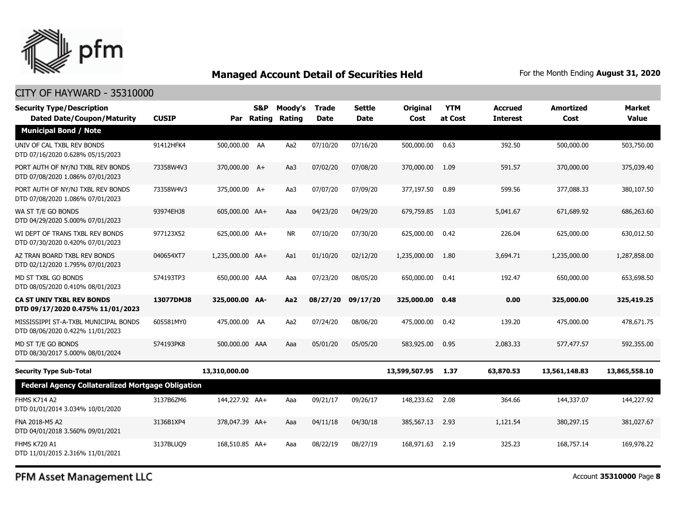

#### CITY OF HAYWARD - 35310000

| <b>Security Type/Description</b><br><b>Dated Date/Coupon/Maturity</b>     | <b>CUSIP</b> |                  | S&P<br>Par Rating | Moody's<br>Rating | <b>Trade</b><br><b>Date</b> | Settle<br>Date | <b>Original</b><br>Cost | <b>YTM</b><br>at Cost | <b>Accrued</b><br><b>Interest</b> | <b>Amortized</b><br>Cost | <b>Market</b><br><b>Value</b> |
|---------------------------------------------------------------------------|--------------|------------------|-------------------|-------------------|-----------------------------|----------------|-------------------------|-----------------------|-----------------------------------|--------------------------|-------------------------------|
| <b>Municipal Bond / Note</b>                                              |              |                  |                   |                   |                             |                |                         |                       |                                   |                          |                               |
| UNIV OF CAL TXBL REV BONDS<br>DTD 07/16/2020 0.628% 05/15/2023            | 91412HFK4    | 500,000.00 AA    |                   | Aa2               | 07/10/20                    | 07/16/20       | 500,000.00              | 0.63                  | 392.50                            | 500,000.00               | 503,750.00                    |
| PORT AUTH OF NY/NJ TXBL REV BONDS<br>DTD 07/08/2020 1.086% 07/01/2023     | 73358W4V3    | 370,000.00 A+    |                   | Aa3               | 07/02/20                    | 07/08/20       | 370,000,00              | 1.09                  | 591.57                            | 370,000.00               | 375,039.40                    |
| PORT AUTH OF NY/NJ TXBL REV BONDS<br>DTD 07/08/2020 1.086% 07/01/2023     | 73358W4V3    | 375,000.00 A+    |                   | Aa3               | 07/07/20                    | 07/09/20       | 377,197.50              | 0.89                  | 599.56                            | 377,088.33               | 380,107.50                    |
| WA ST T/E GO BONDS<br>DTD 04/29/2020 5.000% 07/01/2023                    | 93974EHJ8    | 605,000.00 AA+   |                   | Aaa               | 04/23/20                    | 04/29/20       | 679,759.85              | 1.03                  | 5,041.67                          | 671,689.92               | 686,263.60                    |
| WI DEPT OF TRANS TXBL REV BONDS<br>DTD 07/30/2020 0.420% 07/01/2023       | 977123X52    | 625,000.00 AA+   |                   | <b>NR</b>         | 07/10/20                    | 07/30/20       | 625,000.00              | 0.42                  | 226.04                            | 625,000.00               | 630,012.50                    |
| AZ TRAN BOARD TXBL REV BONDS<br>DTD 02/12/2020 1.795% 07/01/2023          | 040654XT7    | 1,235,000.00 AA+ |                   | Aa1               | 01/10/20                    | 02/12/20       | 1,235,000.00            | 1.80                  | 3,694.71                          | 1,235,000.00             | 1,287,858.00                  |
| MD ST TXBL GO BONDS<br>DTD 08/05/2020 0.410% 08/01/2023                   | 574193TP3    | 650,000.00 AAA   |                   | Aaa               | 07/23/20                    | 08/05/20       | 650,000.00              | 0.41                  | 192.47                            | 650,000.00               | 653,698.50                    |
| <b>CA ST UNIV TXBL REV BONDS</b><br>DTD 09/17/2020 0.475% 11/01/2023      | 13077DMJ8    | 325,000.00 AA-   |                   | Aa2               | 08/27/20                    | 09/17/20       | 325,000.00              | 0.48                  | 0.00                              | 325,000.00               | 325,419.25                    |
| MISSISSIPPI ST-A-TXBL MUNICIPAL BONDS<br>DTD 08/06/2020 0.422% 11/01/2023 | 605581MY0    | 475,000.00 AA    |                   | Aa2               | 07/24/20                    | 08/06/20       | 475,000.00              | 0.42                  | 139.20                            | 475,000.00               | 478,671.75                    |
| MD ST T/E GO BONDS<br>DTD 08/30/2017 5.000% 08/01/2024                    | 574193PK8    | 500,000.00 AAA   |                   | Aaa               | 05/01/20                    | 05/05/20       | 583,925.00              | 0.95                  | 2,083.33                          | 577,477.57               | 592,355.00                    |
| <b>Security Type Sub-Total</b>                                            |              | 13,310,000.00    |                   |                   |                             |                | 13,599,507.95           | 1.37                  | 63,870.53                         | 13,561,148.83            | 13,865,558.10                 |
| <b>Federal Agency Collateralized Mortgage Obligation</b>                  |              |                  |                   |                   |                             |                |                         |                       |                                   |                          |                               |
| <b>FHMS K714 A2</b><br>DTD 01/01/2014 3.034% 10/01/2020                   | 3137B6ZM6    | 144,227.92 AA+   |                   | Aaa               | 09/21/17                    | 09/26/17       | 148,233.62              | 2.08                  | 364.66                            | 144,337.07               | 144,227.92                    |
| FNA 2018-M5 A2<br>DTD 04/01/2018 3.560% 09/01/2021                        | 3136B1XP4    | 378,047.39 AA+   |                   | Aaa               | 04/11/18                    | 04/30/18       | 385,567.13              | 2.93                  | 1,121.54                          | 380,297.15               | 381,027.67                    |
| <b>FHMS K720 A1</b><br>DTD 11/01/2015 2.316% 11/01/2021                   | 3137BLUQ9    | 168,510.85 AA+   |                   | Aaa               | 08/22/19                    | 08/27/19       | 168,971.63              | 2.19                  | 325.23                            | 168,757.14               | 169,978.22                    |

PFM Asset Management LLC

Account **35310000** Page **8**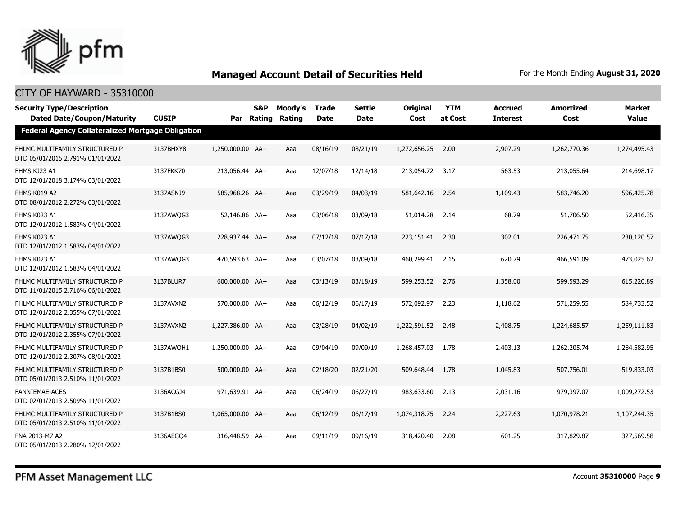

| <b>Security Type/Description</b><br><b>Dated Date/Coupon/Maturity</b> | <b>CUSIP</b> |                  | S&P | Moody's<br>Par Rating Rating | <b>Trade</b><br><b>Date</b> | <b>Settle</b><br><b>Date</b> | <b>Original</b><br>Cost | <b>YTM</b><br>at Cost | <b>Accrued</b><br><b>Interest</b> | <b>Amortized</b><br>Cost | <b>Market</b><br><b>Value</b> |  |  |
|-----------------------------------------------------------------------|--------------|------------------|-----|------------------------------|-----------------------------|------------------------------|-------------------------|-----------------------|-----------------------------------|--------------------------|-------------------------------|--|--|
| Federal Agency Collateralized Mortgage Obligation                     |              |                  |     |                              |                             |                              |                         |                       |                                   |                          |                               |  |  |
| FHLMC MULTIFAMILY STRUCTURED P<br>DTD 05/01/2015 2.791% 01/01/2022    | 3137BHXY8    | 1,250,000.00 AA+ |     | Aaa                          | 08/16/19                    | 08/21/19                     | 1,272,656.25            | 2.00                  | 2,907.29                          | 1,262,770.36             | 1,274,495.43                  |  |  |
| FHMS KJ23 A1<br>DTD 12/01/2018 3.174% 03/01/2022                      | 3137FKK70    | 213,056.44 AA+   |     | Aaa                          | 12/07/18                    | 12/14/18                     | 213,054.72              | 3.17                  | 563.53                            | 213,055.64               | 214,698.17                    |  |  |
| FHMS K019 A2<br>DTD 08/01/2012 2.272% 03/01/2022                      | 3137ASNJ9    | 585,968.26 AA+   |     | Aaa                          | 03/29/19                    | 04/03/19                     | 581,642.16              | 2.54                  | 1,109.43                          | 583,746.20               | 596,425.78                    |  |  |
| FHMS K023 A1<br>DTD 12/01/2012 1.583% 04/01/2022                      | 3137AWQG3    | 52,146.86 AA+    |     | Aaa                          | 03/06/18                    | 03/09/18                     | 51,014.28               | 2.14                  | 68.79                             | 51,706.50                | 52,416.35                     |  |  |
| FHMS K023 A1<br>DTD 12/01/2012 1.583% 04/01/2022                      | 3137AWQG3    | 228,937.44 AA+   |     | Aaa                          | 07/12/18                    | 07/17/18                     | 223,151.41 2.30         |                       | 302.01                            | 226,471.75               | 230,120.57                    |  |  |
| FHMS K023 A1<br>DTD 12/01/2012 1.583% 04/01/2022                      | 3137AWQG3    | 470,593.63 AA+   |     | Aaa                          | 03/07/18                    | 03/09/18                     | 460,299.41 2.15         |                       | 620.79                            | 466,591.09               | 473,025.62                    |  |  |
| FHLMC MULTIFAMILY STRUCTURED P<br>DTD 11/01/2015 2.716% 06/01/2022    | 3137BLUR7    | 600,000.00 AA+   |     | Aaa                          | 03/13/19                    | 03/18/19                     | 599,253.52              | 2.76                  | 1,358.00                          | 599,593.29               | 615,220.89                    |  |  |
| FHLMC MULTIFAMILY STRUCTURED P<br>DTD 12/01/2012 2.355% 07/01/2022    | 3137AVXN2    | 570,000.00 AA+   |     | Aaa                          | 06/12/19                    | 06/17/19                     | 572,092.97              | 2.23                  | 1,118.62                          | 571,259.55               | 584,733.52                    |  |  |
| FHLMC MULTIFAMILY STRUCTURED P<br>DTD 12/01/2012 2.355% 07/01/2022    | 3137AVXN2    | 1,227,386.00 AA+ |     | Aaa                          | 03/28/19                    | 04/02/19                     | 1,222,591.52            | 2.48                  | 2,408.75                          | 1,224,685.57             | 1,259,111.83                  |  |  |
| FHLMC MULTIFAMILY STRUCTURED P<br>DTD 12/01/2012 2.307% 08/01/2022    | 3137AWOH1    | 1,250,000.00 AA+ |     | Aaa                          | 09/04/19                    | 09/09/19                     | 1,268,457.03            | 1.78                  | 2,403.13                          | 1,262,205.74             | 1,284,582.95                  |  |  |
| FHLMC MULTIFAMILY STRUCTURED P<br>DTD 05/01/2013 2.510% 11/01/2022    | 3137B1BS0    | 500,000.00 AA+   |     | Aaa                          | 02/18/20                    | 02/21/20                     | 509,648.44              | 1.78                  | 1,045.83                          | 507,756.01               | 519,833.03                    |  |  |
| <b>FANNIEMAE-ACES</b><br>DTD 02/01/2013 2.509% 11/01/2022             | 3136ACGJ4    | 971,639.91 AA+   |     | Aaa                          | 06/24/19                    | 06/27/19                     | 983,633.60              | 2.13                  | 2,031.16                          | 979,397.07               | 1,009,272.53                  |  |  |
| FHLMC MULTIFAMILY STRUCTURED P<br>DTD 05/01/2013 2.510% 11/01/2022    | 3137B1BS0    | 1,065,000.00 AA+ |     | Aaa                          | 06/12/19                    | 06/17/19                     | 1,074,318.75            | 2.24                  | 2,227.63                          | 1,070,978.21             | 1,107,244.35                  |  |  |
| FNA 2013-M7 A2<br>DTD 05/01/2013 2.280% 12/01/2022                    | 3136AEGO4    | 316,448.59 AA+   |     | Aaa                          | 09/11/19                    | 09/16/19                     | 318,420.40              | 2.08                  | 601.25                            | 317,829.87               | 327,569.58                    |  |  |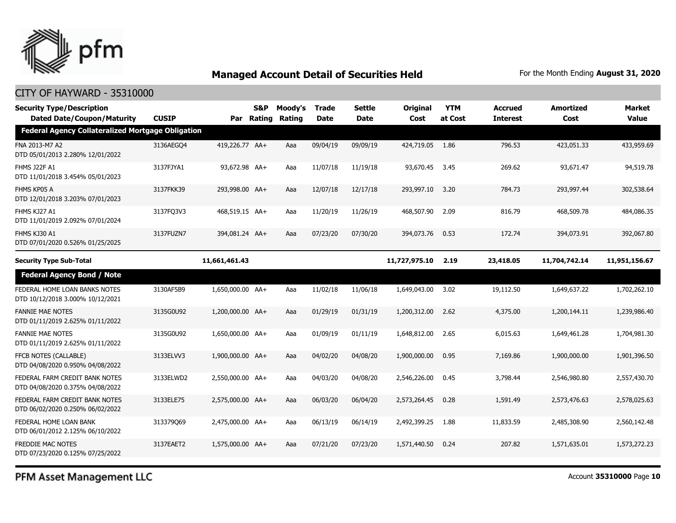

### CITY OF HAYWARD - 35310000

| <b>Security Type/Description</b><br><b>Dated Date/Coupon/Maturity</b> | <b>CUSIP</b> |                  | <b>S&amp;P</b><br>Par Rating | Moody's<br>Rating | <b>Trade</b><br><b>Date</b> | Settle<br><b>Date</b> | <b>Original</b><br>Cost | <b>YTM</b><br>at Cost | <b>Accrued</b><br><b>Interest</b> | Amortized<br>Cost | <b>Market</b><br><b>Value</b> |
|-----------------------------------------------------------------------|--------------|------------------|------------------------------|-------------------|-----------------------------|-----------------------|-------------------------|-----------------------|-----------------------------------|-------------------|-------------------------------|
| <b>Federal Agency Collateralized Mortgage Obligation</b>              |              |                  |                              |                   |                             |                       |                         |                       |                                   |                   |                               |
| FNA 2013-M7 A2<br>DTD 05/01/2013 2.280% 12/01/2022                    | 3136AEGO4    | 419,226.77 AA+   |                              | Aaa               | 09/04/19                    | 09/09/19              | 424,719.05              | 1.86                  | 796.53                            | 423,051.33        | 433,959.69                    |
| FHMS J22F A1<br>DTD 11/01/2018 3.454% 05/01/2023                      | 3137FJYA1    | 93,672.98 AA+    |                              | Aaa               | 11/07/18                    | 11/19/18              | 93,670.45               | 3.45                  | 269.62                            | 93,671.47         | 94,519.78                     |
| FHMS KP05 A<br>DTD 12/01/2018 3.203% 07/01/2023                       | 3137FKK39    | 293,998.00 AA+   |                              | Aaa               | 12/07/18                    | 12/17/18              | 293,997.10              | 3.20                  | 784.73                            | 293,997.44        | 302,538.64                    |
| FHMS KJ27 A1<br>DTD 11/01/2019 2.092% 07/01/2024                      | 3137FQ3V3    | 468,519.15 AA+   |                              | Aaa               | 11/20/19                    | 11/26/19              | 468,507.90              | 2.09                  | 816.79                            | 468,509.78        | 484,086.35                    |
| FHMS KJ30 A1<br>DTD 07/01/2020 0.526% 01/25/2025                      | 3137FUZN7    | 394,081,24 AA+   |                              | Aaa               | 07/23/20                    | 07/30/20              | 394,073,76              | 0.53                  | 172.74                            | 394,073.91        | 392,067.80                    |
| <b>Security Type Sub-Total</b>                                        |              | 11,661,461.43    |                              |                   |                             |                       | 11,727,975.10           | 2.19                  | 23,418.05                         | 11,704,742.14     | 11,951,156.67                 |
| <b>Federal Agency Bond / Note</b>                                     |              |                  |                              |                   |                             |                       |                         |                       |                                   |                   |                               |
| FEDERAL HOME LOAN BANKS NOTES<br>DTD 10/12/2018 3.000% 10/12/2021     | 3130AF5B9    | 1,650,000.00 AA+ |                              | Aaa               | 11/02/18                    | 11/06/18              | 1,649,043.00            | 3.02                  | 19,112.50                         | 1,649,637.22      | 1,702,262.10                  |
| <b>FANNIE MAE NOTES</b><br>DTD 01/11/2019 2.625% 01/11/2022           | 3135G0U92    | 1,200,000.00 AA+ |                              | Aaa               | 01/29/19                    | 01/31/19              | 1,200,312.00            | 2.62                  | 4,375.00                          | 1,200,144.11      | 1,239,986.40                  |
| <b>FANNIE MAE NOTES</b><br>DTD 01/11/2019 2.625% 01/11/2022           | 3135G0U92    | 1,650,000.00 AA+ |                              | Aaa               | 01/09/19                    | 01/11/19              | 1,648,812,00            | 2.65                  | 6,015.63                          | 1,649,461.28      | 1,704,981.30                  |
| FFCB NOTES (CALLABLE)<br>DTD 04/08/2020 0.950% 04/08/2022             | 3133ELVV3    | 1,900,000.00 AA+ |                              | Aaa               | 04/02/20                    | 04/08/20              | 1,900,000.00            | 0.95                  | 7,169.86                          | 1,900,000.00      | 1,901,396.50                  |
| FEDERAL FARM CREDIT BANK NOTES<br>DTD 04/08/2020 0.375% 04/08/2022    | 3133ELWD2    | 2,550,000.00 AA+ |                              | Aaa               | 04/03/20                    | 04/08/20              | 2,546,226.00            | 0.45                  | 3,798.44                          | 2,546,980.80      | 2,557,430.70                  |
| FEDERAL FARM CREDIT BANK NOTES<br>DTD 06/02/2020 0.250% 06/02/2022    | 3133ELE75    | 2,575,000.00 AA+ |                              | Aaa               | 06/03/20                    | 06/04/20              | 2,573,264.45            | 0.28                  | 1,591.49                          | 2,573,476.63      | 2,578,025.63                  |
| FEDERAL HOME LOAN BANK<br>DTD 06/01/2012 2.125% 06/10/2022            | 313379069    | 2,475,000.00 AA+ |                              | Aaa               | 06/13/19                    | 06/14/19              | 2,492,399.25            | 1.88                  | 11,833.59                         | 2,485,308.90      | 2,560,142.48                  |
| <b>FREDDIE MAC NOTES</b><br>DTD 07/23/2020 0.125% 07/25/2022          | 3137EAET2    | 1,575,000.00 AA+ |                              | Aaa               | 07/21/20                    | 07/23/20              | 1,571,440.50            | 0.24                  | 207.82                            | 1,571,635.01      | 1,573,272,23                  |

PFM Asset Management LLC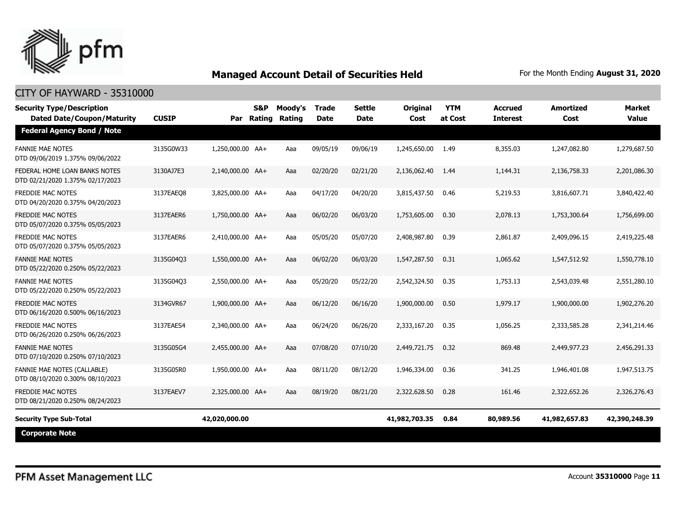

| <b>Security Type/Description</b><br><b>Dated Date/Coupon/Maturity</b>  | <b>CUSIP</b> | Par              | S&P<br>Rating | Moody's<br>Rating | <b>Trade</b><br><b>Date</b> | Settle<br><b>Date</b> | <b>Original</b><br>Cost | <b>YTM</b><br>at Cost | <b>Accrued</b><br><b>Interest</b> | <b>Amortized</b><br>Cost | <b>Market</b><br><b>Value</b> |
|------------------------------------------------------------------------|--------------|------------------|---------------|-------------------|-----------------------------|-----------------------|-------------------------|-----------------------|-----------------------------------|--------------------------|-------------------------------|
| <b>Federal Agency Bond / Note</b>                                      |              |                  |               |                   |                             |                       |                         |                       |                                   |                          |                               |
| <b>FANNIE MAE NOTES</b><br>DTD 09/06/2019 1.375% 09/06/2022            | 3135G0W33    | 1,250,000.00 AA+ |               | Aaa               | 09/05/19                    | 09/06/19              | 1,245,650.00            | 1.49                  | 8,355.03                          | 1,247,082.80             | 1,279,687.50                  |
| FEDERAL HOME LOAN BANKS NOTES<br>DTD 02/21/2020 1.375% 02/17/2023      | 3130AJ7E3    | 2,140,000.00 AA+ |               | Aaa               | 02/20/20                    | 02/21/20              | 2,136,062.40            | 1.44                  | 1,144.31                          | 2,136,758.33             | 2,201,086.30                  |
| FREDDIE MAC NOTES<br>DTD 04/20/2020 0.375% 04/20/2023                  | 3137EAEO8    | 3,825,000.00 AA+ |               | Aaa               | 04/17/20                    | 04/20/20              | 3,815,437.50            | 0.46                  | 5,219.53                          | 3,816,607.71             | 3,840,422.40                  |
| <b>FREDDIE MAC NOTES</b><br>DTD 05/07/2020 0.375% 05/05/2023           | 3137EAER6    | 1,750,000.00 AA+ |               | Aaa               | 06/02/20                    | 06/03/20              | 1,753,605.00            | 0.30                  | 2,078.13                          | 1,753,300.64             | 1,756,699.00                  |
| <b>FREDDIE MAC NOTES</b><br>DTD 05/07/2020 0.375% 05/05/2023           | 3137EAER6    | 2,410,000.00 AA+ |               | Aaa               | 05/05/20                    | 05/07/20              | 2,408,987.80            | 0.39                  | 2,861.87                          | 2,409,096.15             | 2,419,225.48                  |
| <b>FANNIE MAE NOTES</b><br>DTD 05/22/2020 0.250% 05/22/2023            | 3135G04Q3    | 1,550,000.00 AA+ |               | Aaa               | 06/02/20                    | 06/03/20              | 1,547,287.50            | 0.31                  | 1,065.62                          | 1,547,512.92             | 1,550,778.10                  |
| <b>FANNIE MAE NOTES</b><br>DTD 05/22/2020 0.250% 05/22/2023            | 3135G04Q3    | 2,550,000.00 AA+ |               | Aaa               | 05/20/20                    | 05/22/20              | 2,542,324.50            | 0.35                  | 1,753.13                          | 2,543,039.48             | 2,551,280.10                  |
| <b>FREDDIE MAC NOTES</b><br>DTD 06/16/2020 0.500% 06/16/2023           | 3134GVR67    | 1,900,000.00 AA+ |               | Aaa               | 06/12/20                    | 06/16/20              | 1,900,000.00            | 0.50                  | 1,979.17                          | 1,900,000.00             | 1,902,276.20                  |
| FREDDIE MAC NOTES<br>DTD 06/26/2020 0.250% 06/26/2023                  | 3137EAES4    | 2,340,000.00 AA+ |               | Aaa               | 06/24/20                    | 06/26/20              | 2,333,167.20            | 0.35                  | 1,056.25                          | 2,333,585.28             | 2,341,214.46                  |
| <b>FANNIE MAE NOTES</b><br>DTD 07/10/2020 0.250% 07/10/2023            | 3135G05G4    | 2,455,000.00 AA+ |               | Aaa               | 07/08/20                    | 07/10/20              | 2,449,721.75            | 0.32                  | 869.48                            | 2,449,977.23             | 2,456,291.33                  |
| <b>FANNIE MAE NOTES (CALLABLE)</b><br>DTD 08/10/2020 0.300% 08/10/2023 | 3135G05R0    | 1,950,000.00 AA+ |               | Aaa               | 08/11/20                    | 08/12/20              | 1,946,334.00            | 0.36                  | 341.25                            | 1,946,401.08             | 1,947,513.75                  |
| <b>FREDDIE MAC NOTES</b><br>DTD 08/21/2020 0.250% 08/24/2023           | 3137EAEV7    | 2.325.000.00 AA+ |               | Aaa               | 08/19/20                    | 08/21/20              | 2,322,628.50            | 0.28                  | 161.46                            | 2,322,652.26             | 2,326,276.43                  |
| <b>Security Type Sub-Total</b>                                         |              | 42,020,000.00    |               |                   |                             |                       | 41,982,703.35           | 0.84                  | 80,989.56                         | 41,982,657.83            | 42,390,248.39                 |
| <b>Corporate Note</b>                                                  |              |                  |               |                   |                             |                       |                         |                       |                                   |                          |                               |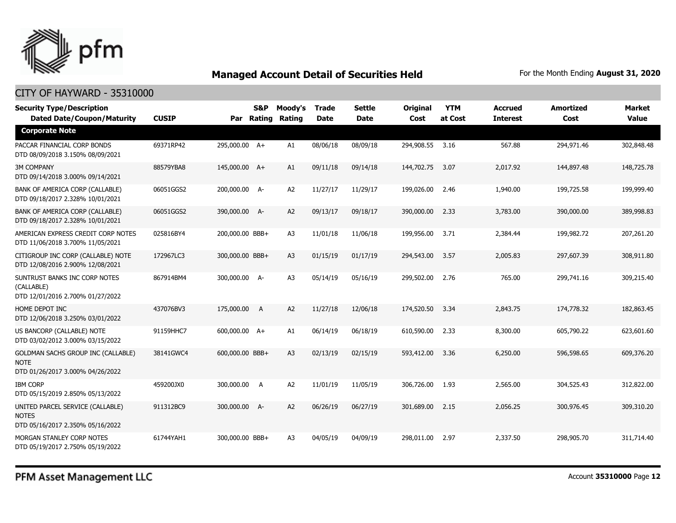

#### CITY OF HAYWARD - 35310000

| <b>Security Type/Description</b><br><b>Dated Date/Coupon/Maturity</b>                        | <b>CUSIP</b> | Par             | <b>S&amp;P</b><br>Rating | Moody's<br>Rating | <b>Trade</b><br><b>Date</b> | <b>Settle</b><br><b>Date</b> | <b>Original</b><br>Cost | <b>YTM</b><br>at Cost | <b>Accrued</b><br><b>Interest</b> | <b>Amortized</b><br>Cost | Market<br><b>Value</b> |
|----------------------------------------------------------------------------------------------|--------------|-----------------|--------------------------|-------------------|-----------------------------|------------------------------|-------------------------|-----------------------|-----------------------------------|--------------------------|------------------------|
| <b>Corporate Note</b>                                                                        |              |                 |                          |                   |                             |                              |                         |                       |                                   |                          |                        |
| PACCAR FINANCIAL CORP BONDS<br>DTD 08/09/2018 3.150% 08/09/2021                              | 69371RP42    | 295,000.00 A+   |                          | A1                | 08/06/18                    | 08/09/18                     | 294,908.55              | 3.16                  | 567.88                            | 294,971.46               | 302,848.48             |
| <b>3M COMPANY</b><br>DTD 09/14/2018 3.000% 09/14/2021                                        | 88579YBA8    | 145,000.00 A+   |                          | A1                | 09/11/18                    | 09/14/18                     | 144,702.75              | 3.07                  | 2,017.92                          | 144,897.48               | 148,725.78             |
| BANK OF AMERICA CORP (CALLABLE)<br>DTD 09/18/2017 2.328% 10/01/2021                          | 06051GGS2    | 200,000.00 A-   |                          | A <sub>2</sub>    | 11/27/17                    | 11/29/17                     | 199,026.00              | 2.46                  | 1,940.00                          | 199,725.58               | 199,999.40             |
| BANK OF AMERICA CORP (CALLABLE)<br>DTD 09/18/2017 2.328% 10/01/2021                          | 06051GGS2    | 390,000.00 A-   |                          | A <sub>2</sub>    | 09/13/17                    | 09/18/17                     | 390,000.00              | 2.33                  | 3,783.00                          | 390,000.00               | 389,998.83             |
| AMERICAN EXPRESS CREDIT CORP NOTES<br>DTD 11/06/2018 3.700% 11/05/2021                       | 025816BY4    | 200,000.00 BBB+ |                          | A3                | 11/01/18                    | 11/06/18                     | 199,956.00              | 3.71                  | 2,384.44                          | 199,982.72               | 207,261.20             |
| CITIGROUP INC CORP (CALLABLE) NOTE<br>DTD 12/08/2016 2.900% 12/08/2021                       | 172967LC3    | 300,000.00 BBB+ |                          | A3                | 01/15/19                    | 01/17/19                     | 294,543.00              | 3.57                  | 2,005.83                          | 297,607.39               | 308,911.80             |
| SUNTRUST BANKS INC CORP NOTES<br>(CALLABLE)<br>DTD 12/01/2016 2.700% 01/27/2022              | 867914BM4    | 300,000.00 A-   |                          | A <sub>3</sub>    | 05/14/19                    | 05/16/19                     | 299,502.00              | 2.76                  | 765.00                            | 299,741.16               | 309,215.40             |
| HOME DEPOT INC<br>DTD 12/06/2018 3.250% 03/01/2022                                           | 437076BV3    | 175,000.00      | A                        | A2                | 11/27/18                    | 12/06/18                     | 174,520.50              | 3.34                  | 2,843.75                          | 174,778.32               | 182,863.45             |
| US BANCORP (CALLABLE) NOTE<br>DTD 03/02/2012 3.000% 03/15/2022                               | 91159HHC7    | 600,000.00 A+   |                          | A1                | 06/14/19                    | 06/18/19                     | 610,590.00              | 2.33                  | 8,300.00                          | 605,790.22               | 623,601.60             |
| <b>GOLDMAN SACHS GROUP INC (CALLABLE)</b><br><b>NOTE</b><br>DTD 01/26/2017 3.000% 04/26/2022 | 38141GWC4    | 600,000.00 BBB+ |                          | A3                | 02/13/19                    | 02/15/19                     | 593,412.00              | 3.36                  | 6,250.00                          | 596,598.65               | 609,376,20             |
| <b>IBM CORP</b><br>DTD 05/15/2019 2.850% 05/13/2022                                          | 459200JX0    | 300,000.00 A    |                          | A <sub>2</sub>    | 11/01/19                    | 11/05/19                     | 306,726.00              | 1.93                  | 2,565.00                          | 304,525.43               | 312,822.00             |
| UNITED PARCEL SERVICE (CALLABLE)<br><b>NOTES</b><br>DTD 05/16/2017 2.350% 05/16/2022         | 911312BC9    | 300,000.00 A-   |                          | A <sub>2</sub>    | 06/26/19                    | 06/27/19                     | 301,689.00              | 2.15                  | 2,056.25                          | 300,976.45               | 309,310.20             |
| MORGAN STANLEY CORP NOTES<br>DTD 05/19/2017 2.750% 05/19/2022                                | 61744YAH1    | 300,000.00 BBB+ |                          | A3                | 04/05/19                    | 04/09/19                     | 298,011.00              | 2.97                  | 2,337.50                          | 298,905.70               | 311,714.40             |

PFM Asset Management LLC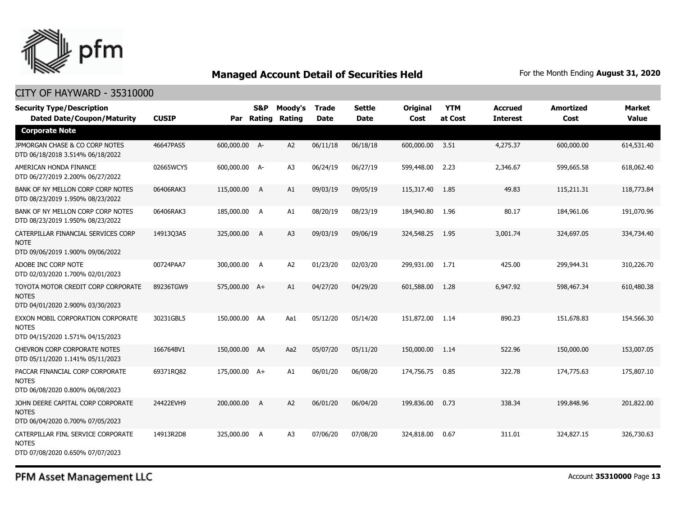

#### CITY OF HAYWARD - 35310000

| <b>Security Type/Description</b><br><b>Dated Date/Coupon/Maturity</b>                  | <b>CUSIP</b> |               | <b>S&amp;P</b><br>Par Rating | Moody's<br>Rating | <b>Trade</b><br><b>Date</b> | <b>Settle</b><br><b>Date</b> | <b>Original</b><br>Cost | <b>YTM</b><br>at Cost | <b>Accrued</b><br><b>Interest</b> | <b>Amortized</b><br>Cost | <b>Market</b><br><b>Value</b> |
|----------------------------------------------------------------------------------------|--------------|---------------|------------------------------|-------------------|-----------------------------|------------------------------|-------------------------|-----------------------|-----------------------------------|--------------------------|-------------------------------|
| <b>Corporate Note</b>                                                                  |              |               |                              |                   |                             |                              |                         |                       |                                   |                          |                               |
| JPMORGAN CHASE & CO CORP NOTES<br>DTD 06/18/2018 3.514% 06/18/2022                     | 46647PAS5    | 600,000.00 A- |                              | A2                | 06/11/18                    | 06/18/18                     | 600,000.00              | 3.51                  | 4,275.37                          | 600,000.00               | 614,531.40                    |
| AMERICAN HONDA FINANCE<br>DTD 06/27/2019 2.200% 06/27/2022                             | 02665WCY5    | 600,000.00 A- |                              | A <sub>3</sub>    | 06/24/19                    | 06/27/19                     | 599,448.00              | 2.23                  | 2,346.67                          | 599,665.58               | 618,062.40                    |
| BANK OF NY MELLON CORP CORP NOTES<br>DTD 08/23/2019 1.950% 08/23/2022                  | 06406RAK3    | 115,000.00    | A                            | A1                | 09/03/19                    | 09/05/19                     | 115,317.40              | 1.85                  | 49.83                             | 115,211.31               | 118,773.84                    |
| BANK OF NY MELLON CORP CORP NOTES<br>DTD 08/23/2019 1.950% 08/23/2022                  | 06406RAK3    | 185,000.00 A  |                              | A1                | 08/20/19                    | 08/23/19                     | 184,940.80              | 1.96                  | 80.17                             | 184,961.06               | 191,070.96                    |
| CATERPILLAR FINANCIAL SERVICES CORP<br><b>NOTE</b><br>DTD 09/06/2019 1.900% 09/06/2022 | 14913Q3A5    | 325,000.00    | A                            | A <sub>3</sub>    | 09/03/19                    | 09/06/19                     | 324,548.25              | 1.95                  | 3,001.74                          | 324,697.05               | 334,734.40                    |
| ADOBE INC CORP NOTE<br>DTD 02/03/2020 1.700% 02/01/2023                                | 00724PAA7    | 300,000.00    | A                            | A <sub>2</sub>    | 01/23/20                    | 02/03/20                     | 299,931.00              | 1.71                  | 425.00                            | 299,944.31               | 310,226.70                    |
| TOYOTA MOTOR CREDIT CORP CORPORATE<br><b>NOTES</b><br>DTD 04/01/2020 2.900% 03/30/2023 | 89236TGW9    | 575,000.00 A+ |                              | A1                | 04/27/20                    | 04/29/20                     | 601,588.00              | 1.28                  | 6,947.92                          | 598,467.34               | 610,480.38                    |
| EXXON MOBIL CORPORATION CORPORATE<br><b>NOTES</b><br>DTD 04/15/2020 1.571% 04/15/2023  | 30231GBL5    | 150,000.00 AA |                              | Aa1               | 05/12/20                    | 05/14/20                     | 151,872.00              | 1.14                  | 890.23                            | 151,678.83               | 154,566.30                    |
| <b>CHEVRON CORP CORPORATE NOTES</b><br>DTD 05/11/2020 1.141% 05/11/2023                | 166764BV1    | 150,000.00 AA |                              | Aa2               | 05/07/20                    | 05/11/20                     | 150,000.00              | 1.14                  | 522.96                            | 150,000.00               | 153,007.05                    |
| PACCAR FINANCIAL CORP CORPORATE<br><b>NOTES</b><br>DTD 06/08/2020 0.800% 06/08/2023    | 69371RQ82    | 175,000.00 A+ |                              | A1                | 06/01/20                    | 06/08/20                     | 174,756.75              | 0.85                  | 322.78                            | 174,775.63               | 175,807.10                    |
| JOHN DEERE CAPITAL CORP CORPORATE<br><b>NOTES</b><br>DTD 06/04/2020 0.700% 07/05/2023  | 24422EVH9    | 200,000.00    | - A                          | A <sub>2</sub>    | 06/01/20                    | 06/04/20                     | 199,836.00              | 0.73                  | 338.34                            | 199,848.96               | 201,822.00                    |
| CATERPILLAR FINL SERVICE CORPORATE<br><b>NOTES</b><br>DTD 07/08/2020 0.650% 07/07/2023 | 14913R2D8    | 325,000.00    | A                            | A <sub>3</sub>    | 07/06/20                    | 07/08/20                     | 324,818.00              | 0.67                  | 311.01                            | 324,827.15               | 326,730.63                    |

PFM Asset Management LLC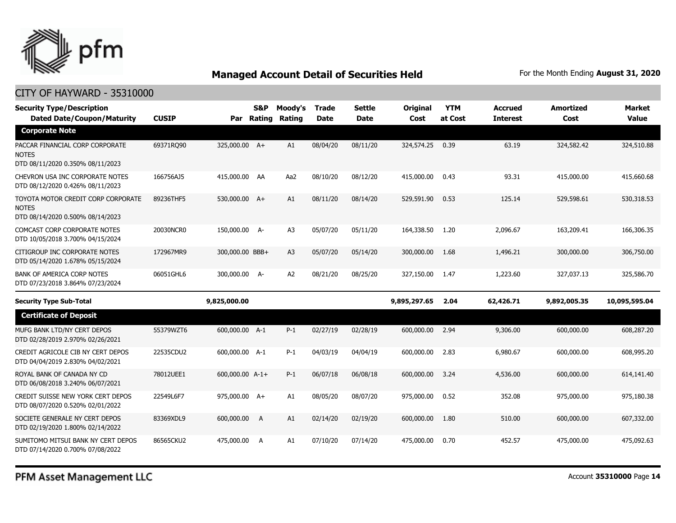

| <b>Security Type/Description</b><br><b>Dated Date/Coupon/Maturity</b>                  | <b>CUSIP</b> |                 | S&P | Moody's<br>Par Rating Rating | <b>Trade</b><br><b>Date</b> | <b>Settle</b><br><b>Date</b> | <b>Original</b><br>Cost | <b>YTM</b><br>at Cost | <b>Accrued</b><br><b>Interest</b> | <b>Amortized</b><br>Cost | <b>Market</b><br><b>Value</b> |
|----------------------------------------------------------------------------------------|--------------|-----------------|-----|------------------------------|-----------------------------|------------------------------|-------------------------|-----------------------|-----------------------------------|--------------------------|-------------------------------|
| <b>Corporate Note</b>                                                                  |              |                 |     |                              |                             |                              |                         |                       |                                   |                          |                               |
| PACCAR FINANCIAL CORP CORPORATE<br><b>NOTES</b><br>DTD 08/11/2020 0.350% 08/11/2023    | 69371RQ90    | 325,000.00 A+   |     | A1                           | 08/04/20                    | 08/11/20                     | 324,574.25              | 0.39                  | 63.19                             | 324,582.42               | 324,510.88                    |
| CHEVRON USA INC CORPORATE NOTES<br>DTD 08/12/2020 0.426% 08/11/2023                    | 166756AJ5    | 415,000.00 AA   |     | Aa2                          | 08/10/20                    | 08/12/20                     | 415,000.00              | 0.43                  | 93.31                             | 415,000.00               | 415,660.68                    |
| TOYOTA MOTOR CREDIT CORP CORPORATE<br><b>NOTES</b><br>DTD 08/14/2020 0.500% 08/14/2023 | 89236THF5    | 530,000.00 A+   |     | A1                           | 08/11/20                    | 08/14/20                     | 529,591.90              | 0.53                  | 125.14                            | 529,598.61               | 530,318.53                    |
| <b>COMCAST CORP CORPORATE NOTES</b><br>DTD 10/05/2018 3.700% 04/15/2024                | 20030NCR0    | 150,000.00 A-   |     | A <sub>3</sub>               | 05/07/20                    | 05/11/20                     | 164,338.50              | 1.20                  | 2,096.67                          | 163,209.41               | 166,306.35                    |
| CITIGROUP INC CORPORATE NOTES<br>DTD 05/14/2020 1.678% 05/15/2024                      | 172967MR9    | 300,000.00 BBB+ |     | A3                           | 05/07/20                    | 05/14/20                     | 300,000.00              | 1.68                  | 1,496.21                          | 300,000.00               | 306,750.00                    |
| <b>BANK OF AMERICA CORP NOTES</b><br>DTD 07/23/2018 3.864% 07/23/2024                  | 06051GHL6    | 300,000.00 A-   |     | A <sub>2</sub>               | 08/21/20                    | 08/25/20                     | 327,150.00              | 1.47                  | 1,223.60                          | 327,037.13               | 325,586.70                    |
| <b>Security Type Sub-Total</b>                                                         |              | 9,825,000.00    |     |                              |                             |                              | 9,895,297.65            | 2.04                  | 62,426.71                         | 9,892,005.35             | 10,095,595.04                 |
| <b>Certificate of Deposit</b>                                                          |              |                 |     |                              |                             |                              |                         |                       |                                   |                          |                               |
| MUFG BANK LTD/NY CERT DEPOS<br>DTD 02/28/2019 2.970% 02/26/2021                        | 55379WZT6    | 600,000.00 A-1  |     | $P-1$                        | 02/27/19                    | 02/28/19                     | 600,000.00              | 2.94                  | 9,306.00                          | 600,000.00               | 608,287.20                    |
| CREDIT AGRICOLE CIB NY CERT DEPOS<br>DTD 04/04/2019 2.830% 04/02/2021                  | 22535CDU2    | 600,000.00 A-1  |     | $P-1$                        | 04/03/19                    | 04/04/19                     | 600,000.00              | 2.83                  | 6,980.67                          | 600,000.00               | 608,995.20                    |
| ROYAL BANK OF CANADA NY CD<br>DTD 06/08/2018 3.240% 06/07/2021                         | 78012UEE1    | 600,000.00 A-1+ |     | $P-1$                        | 06/07/18                    | 06/08/18                     | 600,000.00              | 3.24                  | 4,536.00                          | 600,000.00               | 614,141.40                    |
| CREDIT SUISSE NEW YORK CERT DEPOS<br>DTD 08/07/2020 0.520% 02/01/2022                  | 22549L6F7    | 975,000.00 A+   |     | A1                           | 08/05/20                    | 08/07/20                     | 975,000.00              | 0.52                  | 352.08                            | 975,000.00               | 975,180.38                    |
| SOCIETE GENERALE NY CERT DEPOS<br>DTD 02/19/2020 1.800% 02/14/2022                     | 83369XDL9    | 600,000.00      | A   | A1                           | 02/14/20                    | 02/19/20                     | 600,000.00              | 1.80                  | 510.00                            | 600,000.00               | 607,332.00                    |
| SUMITOMO MITSUI BANK NY CERT DEPOS<br>DTD 07/14/2020 0.700% 07/08/2022                 | 86565CKU2    | 475,000.00      | A   | A1                           | 07/10/20                    | 07/14/20                     | 475,000.00              | 0.70                  | 452.57                            | 475,000.00               | 475,092.63                    |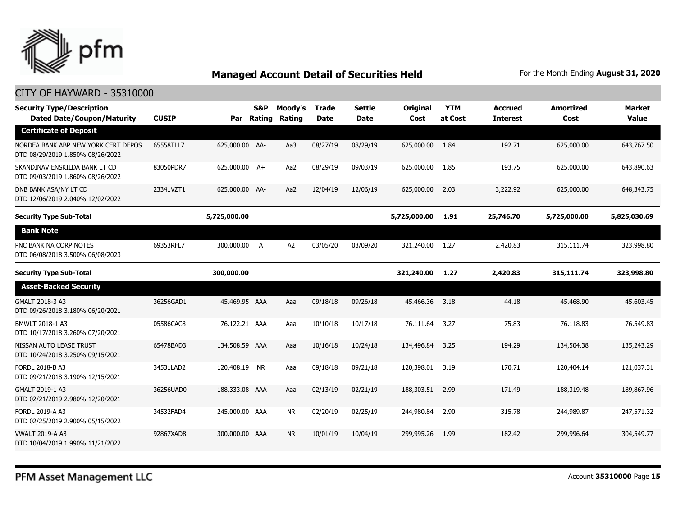

| <b>Security Type/Description</b><br><b>Dated Date/Coupon/Maturity</b>   | <b>CUSIP</b> |                | <b>S&amp;P</b><br>Par Rating | Moody's<br>Rating | <b>Trade</b><br><b>Date</b> | Settle<br><b>Date</b> | Original<br>Cost | <b>YTM</b><br>at Cost | <b>Accrued</b><br><b>Interest</b> | <b>Amortized</b><br>Cost | <b>Market</b><br>Value |
|-------------------------------------------------------------------------|--------------|----------------|------------------------------|-------------------|-----------------------------|-----------------------|------------------|-----------------------|-----------------------------------|--------------------------|------------------------|
| <b>Certificate of Deposit</b>                                           |              |                |                              |                   |                             |                       |                  |                       |                                   |                          |                        |
| NORDEA BANK ABP NEW YORK CERT DEPOS<br>DTD 08/29/2019 1.850% 08/26/2022 | 65558TLL7    | 625,000.00 AA- |                              | Aa3               | 08/27/19                    | 08/29/19              | 625,000.00       | 1.84                  | 192.71                            | 625,000.00               | 643,767.50             |
| SKANDINAV ENSKILDA BANK LT CD<br>DTD 09/03/2019 1.860% 08/26/2022       | 83050PDR7    | 625,000.00 A+  |                              | Aa2               | 08/29/19                    | 09/03/19              | 625,000.00       | 1.85                  | 193.75                            | 625,000.00               | 643,890.63             |
| DNB BANK ASA/NY LT CD<br>DTD 12/06/2019 2.040% 12/02/2022               | 23341VZT1    | 625,000.00 AA- |                              | Aa2               | 12/04/19                    | 12/06/19              | 625,000.00       | 2.03                  | 3,222.92                          | 625,000.00               | 648,343.75             |
| <b>Security Type Sub-Total</b>                                          |              | 5,725,000.00   |                              |                   |                             |                       | 5,725,000.00     | 1.91                  | 25,746.70                         | 5,725,000.00             | 5,825,030.69           |
| <b>Bank Note</b>                                                        |              |                |                              |                   |                             |                       |                  |                       |                                   |                          |                        |
| PNC BANK NA CORP NOTES<br>DTD 06/08/2018 3.500% 06/08/2023              | 69353RFL7    | 300,000.00 A   |                              | A2                | 03/05/20                    | 03/09/20              | 321,240.00 1.27  |                       | 2,420.83                          | 315,111.74               | 323,998.80             |
| <b>Security Type Sub-Total</b>                                          |              | 300,000.00     |                              |                   |                             |                       | 321,240.00       | 1.27                  | 2,420.83                          | 315,111.74               | 323,998.80             |
| <b>Asset-Backed Security</b>                                            |              |                |                              |                   |                             |                       |                  |                       |                                   |                          |                        |
| GMALT 2018-3 A3<br>DTD 09/26/2018 3.180% 06/20/2021                     | 36256GAD1    | 45,469.95 AAA  |                              | Aaa               | 09/18/18                    | 09/26/18              | 45,466.36        | 3.18                  | 44.18                             | 45,468.90                | 45,603.45              |
| BMWLT 2018-1 A3<br>DTD 10/17/2018 3.260% 07/20/2021                     | 05586CAC8    | 76,122,21 AAA  |                              | Aaa               | 10/10/18                    | 10/17/18              | 76,111.64        | 3.27                  | 75.83                             | 76,118.83                | 76,549.83              |
| NISSAN AUTO LEASE TRUST<br>DTD 10/24/2018 3.250% 09/15/2021             | 65478BAD3    | 134,508,59 AAA |                              | Aaa               | 10/16/18                    | 10/24/18              | 134,496.84       | 3.25                  | 194.29                            | 134,504.38               | 135,243.29             |
| FORDL 2018-B A3<br>DTD 09/21/2018 3.190% 12/15/2021                     | 34531LAD2    | 120,408.19 NR  |                              | Aaa               | 09/18/18                    | 09/21/18              | 120,398.01       | 3.19                  | 170.71                            | 120,404.14               | 121,037.31             |
| GMALT 2019-1 A3<br>DTD 02/21/2019 2.980% 12/20/2021                     | 36256UAD0    | 188,333.08 AAA |                              | Aaa               | 02/13/19                    | 02/21/19              | 188,303.51       | 2.99                  | 171.49                            | 188,319.48               | 189,867.96             |
| FORDL 2019-A A3<br>DTD 02/25/2019 2.900% 05/15/2022                     | 34532FAD4    | 245,000.00 AAA |                              | <b>NR</b>         | 02/20/19                    | 02/25/19              | 244,980.84       | 2.90                  | 315.78                            | 244,989.87               | 247,571.32             |
| <b>VWALT 2019-A A3</b><br>DTD 10/04/2019 1.990% 11/21/2022              | 92867XAD8    | 300,000.00 AAA |                              | <b>NR</b>         | 10/01/19                    | 10/04/19              | 299,995.26       | 1.99                  | 182.42                            | 299,996.64               | 304,549.77             |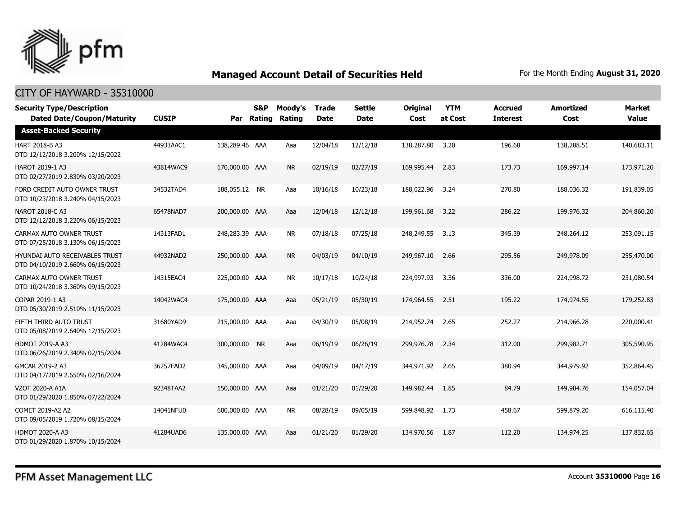

| <b>Security Type/Description</b><br><b>Dated Date/Coupon/Maturity</b> | <b>CUSIP</b> | Par            | S&P<br>Rating | Moody's<br>Rating | <b>Trade</b><br><b>Date</b> | <b>Settle</b><br><b>Date</b> | <b>Original</b><br>Cost | <b>YTM</b><br>at Cost | <b>Accrued</b><br><b>Interest</b> | <b>Amortized</b><br>Cost | <b>Market</b><br><b>Value</b> |
|-----------------------------------------------------------------------|--------------|----------------|---------------|-------------------|-----------------------------|------------------------------|-------------------------|-----------------------|-----------------------------------|--------------------------|-------------------------------|
| <b>Asset-Backed Security</b>                                          |              |                |               |                   |                             |                              |                         |                       |                                   |                          |                               |
| HART 2018-B A3<br>DTD 12/12/2018 3.200% 12/15/2022                    | 44933AAC1    | 138,289.46 AAA |               | Aaa               | 12/04/18                    | 12/12/18                     | 138,287.80              | 3.20                  | 196.68                            | 138,288.51               | 140,683.11                    |
| <b>HAROT 2019-1 A3</b><br>DTD 02/27/2019 2.830% 03/20/2023            | 43814WAC9    | 170,000.00 AAA |               | <b>NR</b>         | 02/19/19                    | 02/27/19                     | 169,995.44              | 2.83                  | 173.73                            | 169,997.14               | 173,971.20                    |
| FORD CREDIT AUTO OWNER TRUST<br>DTD 10/23/2018 3.240% 04/15/2023      | 34532TAD4    | 188,055.12 NR  |               | Aaa               | 10/16/18                    | 10/23/18                     | 188,022.96              | 3.24                  | 270.80                            | 188,036.32               | 191,839.05                    |
| NAROT 2018-C A3<br>DTD 12/12/2018 3.220% 06/15/2023                   | 65478NAD7    | 200,000.00 AAA |               | Aaa               | 12/04/18                    | 12/12/18                     | 199,961.68              | 3.22                  | 286.22                            | 199,976.32               | 204,860.20                    |
| CARMAX AUTO OWNER TRUST<br>DTD 07/25/2018 3.130% 06/15/2023           | 14313FAD1    | 248,283,39 AAA |               | <b>NR</b>         | 07/18/18                    | 07/25/18                     | 248,249.55              | 3.13                  | 345.39                            | 248,264.12               | 253,091.15                    |
| HYUNDAI AUTO RECEIVABLES TRUST<br>DTD 04/10/2019 2.660% 06/15/2023    | 44932NAD2    | 250,000.00 AAA |               | <b>NR</b>         | 04/03/19                    | 04/10/19                     | 249,967.10              | 2.66                  | 295.56                            | 249,978.09               | 255,470.00                    |
| CARMAX AUTO OWNER TRUST<br>DTD 10/24/2018 3.360% 09/15/2023           | 14315EAC4    | 225,000.00 AAA |               | <b>NR</b>         | 10/17/18                    | 10/24/18                     | 224,997.93              | 3.36                  | 336.00                            | 224,998.72               | 231,080.54                    |
| COPAR 2019-1 A3<br>DTD 05/30/2019 2.510% 11/15/2023                   | 14042WAC4    | 175,000.00 AAA |               | Aaa               | 05/21/19                    | 05/30/19                     | 174,964.55              | 2.51                  | 195.22                            | 174,974.55               | 179,252.83                    |
| FIFTH THIRD AUTO TRUST<br>DTD 05/08/2019 2.640% 12/15/2023            | 31680YAD9    | 215,000.00 AAA |               | Aaa               | 04/30/19                    | 05/08/19                     | 214,952,74              | 2.65                  | 252.27                            | 214,966.28               | 220,000.41                    |
| <b>HDMOT 2019-A A3</b><br>DTD 06/26/2019 2.340% 02/15/2024            | 41284WAC4    | 300,000.00 NR  |               | Aaa               | 06/19/19                    | 06/26/19                     | 299,976.78              | 2.34                  | 312.00                            | 299,982.71               | 305,590.95                    |
| GMCAR 2019-2 A3<br>DTD 04/17/2019 2.650% 02/16/2024                   | 36257FAD2    | 345,000.00 AAA |               | Aaa               | 04/09/19                    | 04/17/19                     | 344,971.92              | 2.65                  | 380.94                            | 344,979.92               | 352,864.45                    |
| VZOT 2020-A A1A<br>DTD 01/29/2020 1.850% 07/22/2024                   | 92348TAA2    | 150,000.00 AAA |               | Aaa               | 01/21/20                    | 01/29/20                     | 149,982.44              | 1.85                  | 84.79                             | 149,984.76               | 154,057.04                    |
| COMET 2019-A2 A2<br>DTD 09/05/2019 1.720% 08/15/2024                  | 14041NFU0    | 600,000,00 AAA |               | <b>NR</b>         | 08/28/19                    | 09/05/19                     | 599,848.92              | 1.73                  | 458.67                            | 599,879.20               | 616,115.40                    |
| <b>HDMOT 2020-A A3</b><br>DTD 01/29/2020 1.870% 10/15/2024            | 41284UAD6    | 135,000.00 AAA |               | Aaa               | 01/21/20                    | 01/29/20                     | 134,970.56              | 1.87                  | 112.20                            | 134,974.25               | 137,832.65                    |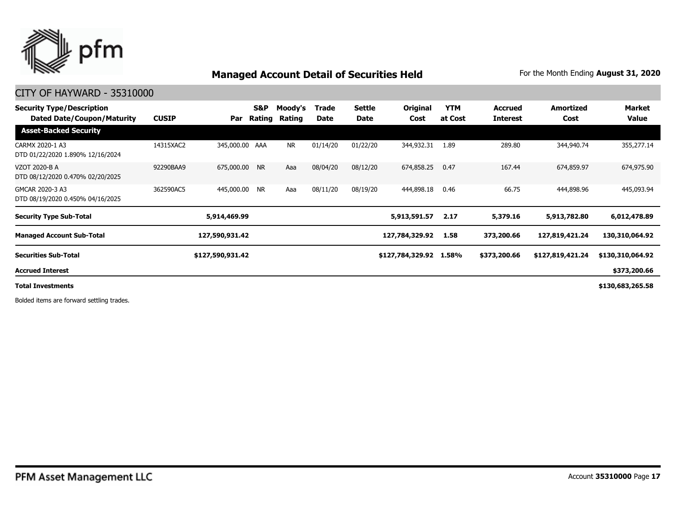

#### CITY OF HAYWARD - 35310000

| <b>Security Type/Description</b><br><b>Dated Date/Coupon/Maturity</b> | <b>CUSIP</b> | Par              | S&P<br>Rating | Moody's<br>Rating | Trade<br>Date | Settle<br>Date | Original<br>Cost | <b>YTM</b><br>at Cost | <b>Accrued</b><br><b>Interest</b> | <b>Amortized</b><br>Cost | Market<br>Value  |
|-----------------------------------------------------------------------|--------------|------------------|---------------|-------------------|---------------|----------------|------------------|-----------------------|-----------------------------------|--------------------------|------------------|
| <b>Asset-Backed Security</b>                                          |              |                  |               |                   |               |                |                  |                       |                                   |                          |                  |
| CARMX 2020-1 A3<br>DTD 01/22/2020 1.890% 12/16/2024                   | 14315XAC2    | 345,000.00 AAA   |               | <b>NR</b>         | 01/14/20      | 01/22/20       | 344,932.31       | 1.89                  | 289.80                            | 344,940.74               | 355,277.14       |
| VZOT 2020-B A<br>DTD 08/12/2020 0.470% 02/20/2025                     | 92290BAA9    | 675,000.00 NR    |               | Aaa               | 08/04/20      | 08/12/20       | 674,858.25       | 0.47                  | 167.44                            | 674,859.97               | 674,975.90       |
| GMCAR 2020-3 A3<br>DTD 08/19/2020 0.450% 04/16/2025                   | 362590AC5    | 445,000.00 NR    |               | Aaa               | 08/11/20      | 08/19/20       | 444,898.18       | 0.46                  | 66.75                             | 444,898.96               | 445,093.94       |
| <b>Security Type Sub-Total</b>                                        |              | 5,914,469.99     |               |                   |               |                | 5,913,591.57     | 2.17                  | 5,379.16                          | 5,913,782.80             | 6,012,478.89     |
| <b>Managed Account Sub-Total</b>                                      |              | 127,590,931.42   |               |                   |               |                | 127,784,329.92   | 1.58                  | 373,200.66                        | 127,819,421.24           | 130,310,064.92   |
| <b>Securities Sub-Total</b>                                           |              | \$127,590,931.42 |               |                   |               |                | \$127,784,329.92 | 1.58%                 | \$373,200.66                      | \$127,819,421.24         | \$130,310,064.92 |
| <b>Accrued Interest</b>                                               |              |                  |               |                   |               |                |                  |                       |                                   |                          | \$373,200.66     |
| <b>Total Investments</b>                                              |              |                  |               |                   |               |                |                  |                       |                                   |                          | \$130,683,265.58 |

Bolded items are forward settling trades.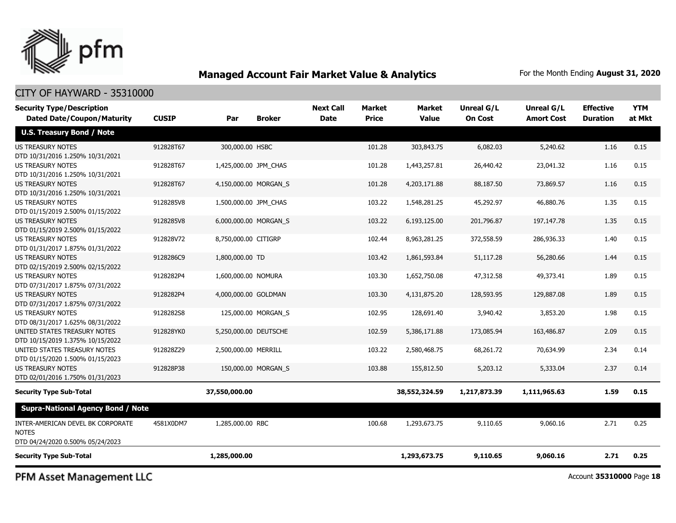

#### CITY OF HAYWARD - 35310000

| <b>Security Type/Description</b><br><b>Dated Date/Coupon/Maturity</b>                 | <b>CUSIP</b> | Par                   | <b>Broker</b>       | <b>Next Call</b><br><b>Date</b> | <b>Market</b><br><b>Price</b> | <b>Market</b><br><b>Value</b> | <b>Unreal G/L</b><br><b>On Cost</b> | Unreal G/L<br><b>Amort Cost</b> | <b>Effective</b><br><b>Duration</b> | <b>YTM</b><br>at Mkt |
|---------------------------------------------------------------------------------------|--------------|-----------------------|---------------------|---------------------------------|-------------------------------|-------------------------------|-------------------------------------|---------------------------------|-------------------------------------|----------------------|
| <b>U.S. Treasury Bond / Note</b>                                                      |              |                       |                     |                                 |                               |                               |                                     |                                 |                                     |                      |
| <b>US TREASURY NOTES</b><br>DTD 10/31/2016 1.250% 10/31/2021                          | 912828T67    | 300,000.00 HSBC       |                     |                                 | 101.28                        | 303,843.75                    | 6,082.03                            | 5,240.62                        | 1.16                                | 0.15                 |
| <b>US TREASURY NOTES</b><br>DTD 10/31/2016 1.250% 10/31/2021                          | 912828T67    | 1,425,000.00 JPM_CHAS |                     |                                 | 101.28                        | 1,443,257.81                  | 26,440.42                           | 23,041.32                       | 1.16                                | 0.15                 |
| <b>US TREASURY NOTES</b><br>DTD 10/31/2016 1.250% 10/31/2021                          | 912828T67    | 4,150,000.00 MORGAN S |                     |                                 | 101.28                        | 4,203,171.88                  | 88,187.50                           | 73,869.57                       | 1.16                                | 0.15                 |
| <b>US TREASURY NOTES</b><br>DTD 01/15/2019 2.500% 01/15/2022                          | 9128285V8    | 1,500,000.00 JPM CHAS |                     |                                 | 103.22                        | 1,548,281.25                  | 45,292.97                           | 46,880.76                       | 1.35                                | 0.15                 |
| <b>US TREASURY NOTES</b><br>DTD 01/15/2019 2.500% 01/15/2022                          | 9128285V8    | 6,000,000.00 MORGAN S |                     |                                 | 103.22                        | 6,193,125.00                  | 201,796.87                          | 197,147.78                      | 1.35                                | 0.15                 |
| <b>US TREASURY NOTES</b><br>DTD 01/31/2017 1.875% 01/31/2022                          | 912828V72    | 8,750,000.00 CITIGRP  |                     |                                 | 102.44                        | 8,963,281.25                  | 372,558.59                          | 286,936.33                      | 1.40                                | 0.15                 |
| <b>US TREASURY NOTES</b><br>DTD 02/15/2019 2.500% 02/15/2022                          | 9128286C9    | 1,800,000.00 TD       |                     |                                 | 103.42                        | 1,861,593.84                  | 51,117.28                           | 56,280.66                       | 1.44                                | 0.15                 |
| <b>US TREASURY NOTES</b><br>DTD 07/31/2017 1.875% 07/31/2022                          | 9128282P4    | 1,600,000.00 NOMURA   |                     |                                 | 103.30                        | 1,652,750.08                  | 47,312.58                           | 49,373.41                       | 1.89                                | 0.15                 |
| US TREASURY NOTES<br>DTD 07/31/2017 1.875% 07/31/2022                                 | 9128282P4    | 4,000,000.00 GOLDMAN  |                     |                                 | 103.30                        | 4,131,875.20                  | 128,593.95                          | 129,887.08                      | 1.89                                | 0.15                 |
| <b>US TREASURY NOTES</b><br>DTD 08/31/2017 1.625% 08/31/2022                          | 9128282S8    |                       | 125,000.00 MORGAN_S |                                 | 102.95                        | 128,691.40                    | 3,940.42                            | 3,853.20                        | 1.98                                | 0.15                 |
| UNITED STATES TREASURY NOTES<br>DTD 10/15/2019 1.375% 10/15/2022                      | 912828YK0    | 5,250,000.00 DEUTSCHE |                     |                                 | 102.59                        | 5,386,171.88                  | 173,085.94                          | 163,486.87                      | 2.09                                | 0.15                 |
| UNITED STATES TREASURY NOTES<br>DTD 01/15/2020 1.500% 01/15/2023                      | 912828Z29    | 2,500,000.00 MERRILL  |                     |                                 | 103.22                        | 2,580,468.75                  | 68,261.72                           | 70,634.99                       | 2.34                                | 0.14                 |
| <b>US TREASURY NOTES</b><br>DTD 02/01/2016 1.750% 01/31/2023                          | 912828P38    |                       | 150,000.00 MORGAN S |                                 | 103.88                        | 155,812.50                    | 5,203.12                            | 5,333.04                        | 2.37                                | 0.14                 |
| <b>Security Type Sub-Total</b>                                                        |              | 37,550,000.00         |                     |                                 |                               | 38,552,324.59                 | 1,217,873.39                        | 1,111,965.63                    | 1.59                                | 0.15                 |
| <b>Supra-National Agency Bond / Note</b>                                              |              |                       |                     |                                 |                               |                               |                                     |                                 |                                     |                      |
| INTER-AMERICAN DEVEL BK CORPORATE<br><b>NOTES</b><br>DTD 04/24/2020 0.500% 05/24/2023 | 4581X0DM7    | 1,285,000.00 RBC      |                     |                                 | 100.68                        | 1,293,673.75                  | 9,110.65                            | 9,060.16                        | 2.71                                | 0.25                 |
| <b>Security Type Sub-Total</b>                                                        |              | 1,285,000.00          |                     |                                 |                               | 1,293,673.75                  | 9,110.65                            | 9,060.16                        | 2.71                                | 0.25                 |

PFM Asset Management LLC

Account **35310000** Page **18**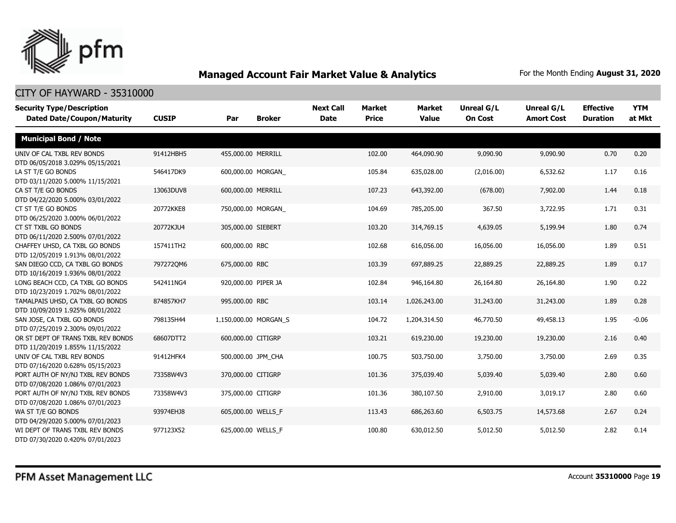

| <b>Security Type/Description</b><br><b>Dated Date/Coupon/Maturity</b>  | <b>CUSIP</b> | Par<br><b>Broker</b>  | <b>Next Call</b><br><b>Date</b> | <b>Market</b><br><b>Price</b> | Market<br><b>Value</b> | Unreal G/L<br><b>On Cost</b> | Unreal G/L<br><b>Amort Cost</b> | <b>Effective</b><br><b>Duration</b> | <b>YTM</b><br>at Mkt |
|------------------------------------------------------------------------|--------------|-----------------------|---------------------------------|-------------------------------|------------------------|------------------------------|---------------------------------|-------------------------------------|----------------------|
| <b>Municipal Bond / Note</b>                                           |              |                       |                                 |                               |                        |                              |                                 |                                     |                      |
| UNIV OF CAL TXBL REV BONDS<br>DTD 06/05/2018 3.029% 05/15/2021         | 91412HBH5    | 455,000.00 MERRILL    |                                 | 102.00                        | 464,090.90             | 9,090.90                     | 9,090.90                        | 0.70                                | 0.20                 |
| LA ST T/E GO BONDS<br>DTD 03/11/2020 5.000% 11/15/2021                 | 546417DK9    | 600,000.00 MORGAN     |                                 | 105.84                        | 635,028.00             | (2,016.00)                   | 6,532.62                        | 1.17                                | 0.16                 |
| CA ST T/E GO BONDS<br>DTD 04/22/2020 5.000% 03/01/2022                 | 13063DUV8    | 600,000.00 MERRILL    |                                 | 107.23                        | 643,392.00             | (678.00)                     | 7,902.00                        | 1.44                                | 0.18                 |
| CT ST T/E GO BONDS<br>DTD 06/25/2020 3.000% 06/01/2022                 | 20772KKE8    | 750,000.00 MORGAN     |                                 | 104.69                        | 785,205.00             | 367.50                       | 3,722.95                        | 1.71                                | 0.31                 |
| CT ST TXBL GO BONDS<br>DTD 06/11/2020 2.500% 07/01/2022                | 20772KJU4    | 305,000.00 SIEBERT    |                                 | 103.20                        | 314,769.15             | 4,639.05                     | 5,199.94                        | 1.80                                | 0.74                 |
| CHAFFEY UHSD, CA TXBL GO BONDS<br>DTD 12/05/2019 1.913% 08/01/2022     | 157411TH2    | 600,000.00 RBC        |                                 | 102.68                        | 616,056.00             | 16,056.00                    | 16,056.00                       | 1.89                                | 0.51                 |
| SAN DIEGO CCD, CA TXBL GO BONDS<br>DTD 10/16/2019 1.936% 08/01/2022    | 7972720M6    | 675,000.00 RBC        |                                 | 103.39                        | 697,889.25             | 22,889.25                    | 22,889.25                       | 1.89                                | 0.17                 |
| LONG BEACH CCD, CA TXBL GO BONDS<br>DTD 10/23/2019 1.702% 08/01/2022   | 542411NG4    | 920,000.00 PIPER JA   |                                 | 102.84                        | 946,164.80             | 26,164.80                    | 26,164.80                       | 1.90                                | 0.22                 |
| TAMALPAIS UHSD, CA TXBL GO BONDS<br>DTD 10/09/2019 1.925% 08/01/2022   | 874857KH7    | 995,000.00 RBC        |                                 | 103.14                        | 1,026,243.00           | 31,243.00                    | 31,243.00                       | 1.89                                | 0.28                 |
| SAN JOSE, CA TXBL GO BONDS<br>DTD 07/25/2019 2.300% 09/01/2022         | 798135H44    | 1,150,000.00 MORGAN S |                                 | 104.72                        | 1,204,314.50           | 46,770.50                    | 49,458.13                       | 1.95                                | $-0.06$              |
| OR ST DEPT OF TRANS TXBL REV BONDS<br>DTD 11/20/2019 1.855% 11/15/2022 | 68607DTT2    | 600,000.00 CITIGRP    |                                 | 103.21                        | 619,230.00             | 19,230.00                    | 19,230.00                       | 2.16                                | 0.40                 |
| UNIV OF CAL TXBL REV BONDS<br>DTD 07/16/2020 0.628% 05/15/2023         | 91412HFK4    | 500,000.00 JPM CHA    |                                 | 100.75                        | 503,750.00             | 3,750.00                     | 3,750.00                        | 2.69                                | 0.35                 |
| PORT AUTH OF NY/NJ TXBL REV BONDS<br>DTD 07/08/2020 1.086% 07/01/2023  | 73358W4V3    | 370,000.00 CITIGRP    |                                 | 101.36                        | 375,039.40             | 5,039.40                     | 5,039.40                        | 2.80                                | 0.60                 |
| PORT AUTH OF NY/NJ TXBL REV BONDS<br>DTD 07/08/2020 1.086% 07/01/2023  | 73358W4V3    | 375,000.00 CITIGRP    |                                 | 101.36                        | 380,107.50             | 2,910.00                     | 3,019.17                        | 2.80                                | 0.60                 |
| WA ST T/E GO BONDS<br>DTD 04/29/2020 5.000% 07/01/2023                 | 93974EHJ8    | 605,000.00 WELLS_F    |                                 | 113.43                        | 686,263.60             | 6,503.75                     | 14,573.68                       | 2.67                                | 0.24                 |
| WI DEPT OF TRANS TXBL REV BONDS<br>DTD 07/30/2020 0.420% 07/01/2023    | 977123X52    | 625,000.00 WELLS F    |                                 | 100.80                        | 630,012.50             | 5,012.50                     | 5,012.50                        | 2.82                                | 0.14                 |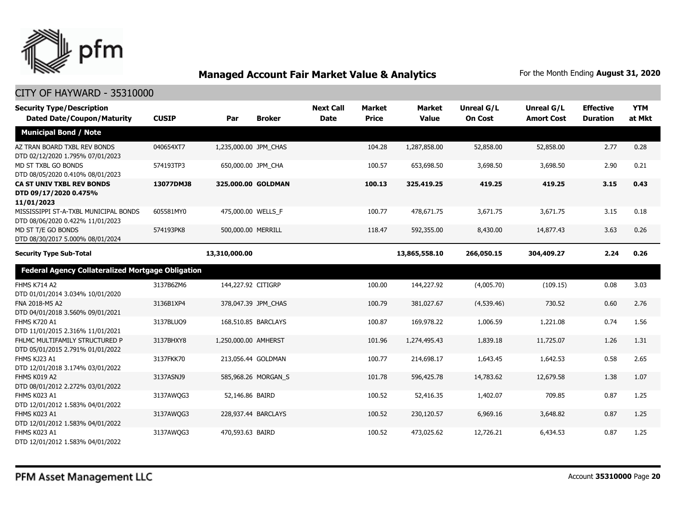

| <b>Security Type/Description</b><br><b>Dated Date/Coupon/Maturity</b>     | <b>CUSIP</b> | Par                   | <b>Broker</b>       | <b>Next Call</b><br><b>Date</b> | <b>Market</b><br><b>Price</b> | <b>Market</b><br><b>Value</b> | <b>Unreal G/L</b><br><b>On Cost</b> | Unreal G/L<br><b>Amort Cost</b> | <b>Effective</b><br><b>Duration</b> | <b>YTM</b><br>at Mkt |
|---------------------------------------------------------------------------|--------------|-----------------------|---------------------|---------------------------------|-------------------------------|-------------------------------|-------------------------------------|---------------------------------|-------------------------------------|----------------------|
| <b>Municipal Bond / Note</b>                                              |              |                       |                     |                                 |                               |                               |                                     |                                 |                                     |                      |
| AZ TRAN BOARD TXBL REV BONDS<br>DTD 02/12/2020 1.795% 07/01/2023          | 040654XT7    | 1,235,000.00 JPM CHAS |                     |                                 | 104.28                        | 1,287,858.00                  | 52,858.00                           | 52,858.00                       | 2.77                                | 0.28                 |
| MD ST TXBL GO BONDS<br>DTD 08/05/2020 0.410% 08/01/2023                   | 574193TP3    | 650,000.00 JPM CHA    |                     |                                 | 100.57                        | 653,698.50                    | 3,698.50                            | 3,698.50                        | 2.90                                | 0.21                 |
| <b>CA ST UNIV TXBL REV BONDS</b><br>DTD 09/17/2020 0.475%<br>11/01/2023   | 13077DMJ8    | 325,000.00 GOLDMAN    |                     |                                 | 100.13                        | 325,419.25                    | 419.25                              | 419.25                          | 3.15                                | 0.43                 |
| MISSISSIPPI ST-A-TXBL MUNICIPAL BONDS<br>DTD 08/06/2020 0.422% 11/01/2023 | 605581MY0    | 475,000.00 WELLS_F    |                     |                                 | 100.77                        | 478,671.75                    | 3,671.75                            | 3,671.75                        | 3.15                                | 0.18                 |
| MD ST T/E GO BONDS<br>DTD 08/30/2017 5.000% 08/01/2024                    | 574193PK8    | 500,000.00 MERRILL    |                     |                                 | 118.47                        | 592,355.00                    | 8,430.00                            | 14,877.43                       | 3.63                                | 0.26                 |
| <b>Security Type Sub-Total</b>                                            |              | 13,310,000.00         |                     |                                 |                               | 13,865,558.10                 | 266,050.15                          | 304,409.27                      | 2.24                                | 0.26                 |
| <b>Federal Agency Collateralized Mortgage Obligation</b>                  |              |                       |                     |                                 |                               |                               |                                     |                                 |                                     |                      |
| <b>FHMS K714 A2</b><br>DTD 01/01/2014 3.034% 10/01/2020                   | 3137B6ZM6    | 144,227.92 CITIGRP    |                     |                                 | 100.00                        | 144,227.92                    | (4,005.70)                          | (109.15)                        | 0.08                                | 3.03                 |
| FNA 2018-M5 A2<br>DTD 04/01/2018 3.560% 09/01/2021                        | 3136B1XP4    |                       | 378,047.39 JPM CHAS |                                 | 100.79                        | 381,027.67                    | (4,539.46)                          | 730.52                          | 0.60                                | 2.76                 |
| <b>FHMS K720 A1</b><br>DTD 11/01/2015 2.316% 11/01/2021                   | 3137BLUQ9    | 168,510.85 BARCLAYS   |                     |                                 | 100.87                        | 169,978.22                    | 1,006.59                            | 1,221.08                        | 0.74                                | 1.56                 |
| FHLMC MULTIFAMILY STRUCTURED P<br>DTD 05/01/2015 2.791% 01/01/2022        | 3137BHXY8    | 1,250,000.00 AMHERST  |                     |                                 | 101.96                        | 1,274,495.43                  | 1,839.18                            | 11,725.07                       | 1.26                                | 1.31                 |
| FHMS KJ23 A1<br>DTD 12/01/2018 3.174% 03/01/2022                          | 3137FKK70    | 213,056.44 GOLDMAN    |                     |                                 | 100.77                        | 214,698.17                    | 1,643.45                            | 1,642.53                        | 0.58                                | 2.65                 |
| FHMS K019 A2<br>DTD 08/01/2012 2.272% 03/01/2022                          | 3137ASNJ9    |                       | 585,968.26 MORGAN_S |                                 | 101.78                        | 596,425.78                    | 14,783.62                           | 12,679.58                       | 1.38                                | 1.07                 |
| FHMS K023 A1<br>DTD 12/01/2012 1.583% 04/01/2022                          | 3137AWQG3    | 52,146.86 BAIRD       |                     |                                 | 100.52                        | 52,416.35                     | 1,402.07                            | 709.85                          | 0.87                                | 1.25                 |
| FHMS K023 A1<br>DTD 12/01/2012 1.583% 04/01/2022                          | 3137AWQG3    | 228,937.44 BARCLAYS   |                     |                                 | 100.52                        | 230,120.57                    | 6,969.16                            | 3,648.82                        | 0.87                                | 1.25                 |
| FHMS K023 A1<br>DTD 12/01/2012 1.583% 04/01/2022                          | 3137AWQG3    | 470,593.63 BAIRD      |                     |                                 | 100.52                        | 473,025.62                    | 12,726.21                           | 6,434.53                        | 0.87                                | 1.25                 |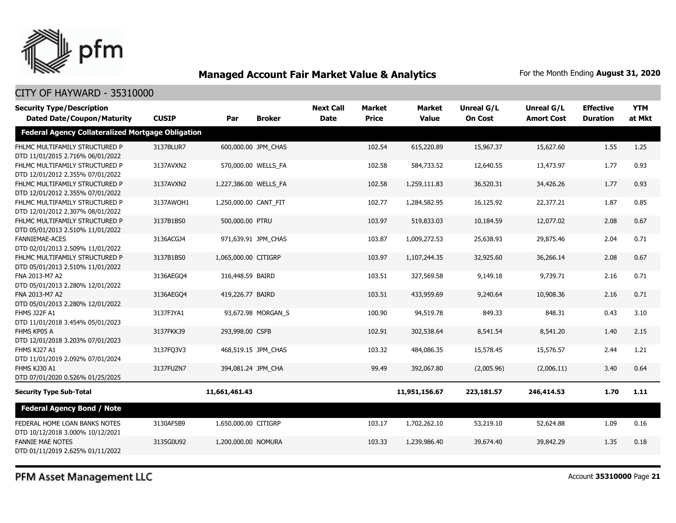

### CITY OF HAYWARD - 35310000

| <b>Security Type/Description</b><br><b>Dated Date/Coupon/Maturity</b> | <b>CUSIP</b> | Par                   | <b>Broker</b>       | <b>Next Call</b><br><b>Date</b> | <b>Market</b><br><b>Price</b> | <b>Market</b><br><b>Value</b> | <b>Unreal G/L</b><br><b>On Cost</b> | Unreal G/L<br><b>Amort Cost</b> | <b>Effective</b><br><b>Duration</b> | <b>YTM</b><br>at Mkt |
|-----------------------------------------------------------------------|--------------|-----------------------|---------------------|---------------------------------|-------------------------------|-------------------------------|-------------------------------------|---------------------------------|-------------------------------------|----------------------|
| <b>Federal Agency Collateralized Mortgage Obligation</b>              |              |                       |                     |                                 |                               |                               |                                     |                                 |                                     |                      |
| FHLMC MULTIFAMILY STRUCTURED P<br>DTD 11/01/2015 2.716% 06/01/2022    | 3137BLUR7    |                       | 600,000.00 JPM_CHAS |                                 | 102.54                        | 615,220.89                    | 15,967.37                           | 15,627.60                       | 1.55                                | 1.25                 |
| FHLMC MULTIFAMILY STRUCTURED P<br>DTD 12/01/2012 2.355% 07/01/2022    | 3137AVXN2    |                       | 570,000.00 WELLS_FA |                                 | 102.58                        | 584,733.52                    | 12,640.55                           | 13,473.97                       | 1.77                                | 0.93                 |
| FHLMC MULTIFAMILY STRUCTURED P<br>DTD 12/01/2012 2.355% 07/01/2022    | 3137AVXN2    | 1,227,386.00 WELLS_FA |                     |                                 | 102.58                        | 1,259,111.83                  | 36,520.31                           | 34,426.26                       | 1.77                                | 0.93                 |
| FHLMC MULTIFAMILY STRUCTURED P<br>DTD 12/01/2012 2.307% 08/01/2022    | 3137AWQH1    | 1,250,000.00 CANT_FIT |                     |                                 | 102.77                        | 1,284,582.95                  | 16,125.92                           | 22,377.21                       | 1.87                                | 0.85                 |
| FHLMC MULTIFAMILY STRUCTURED P<br>DTD 05/01/2013 2.510% 11/01/2022    | 3137B1BS0    | 500,000.00 PTRU       |                     |                                 | 103.97                        | 519,833.03                    | 10,184.59                           | 12,077.02                       | 2.08                                | 0.67                 |
| <b>FANNIEMAE-ACES</b><br>DTD 02/01/2013 2.509% 11/01/2022             | 3136ACGJ4    |                       | 971,639.91 JPM_CHAS |                                 | 103.87                        | 1,009,272.53                  | 25,638.93                           | 29,875.46                       | 2.04                                | 0.71                 |
| FHLMC MULTIFAMILY STRUCTURED P<br>DTD 05/01/2013 2.510% 11/01/2022    | 3137B1BS0    | 1,065,000.00 CITIGRP  |                     |                                 | 103.97                        | 1,107,244.35                  | 32,925.60                           | 36,266.14                       | 2.08                                | 0.67                 |
| FNA 2013-M7 A2<br>DTD 05/01/2013 2.280% 12/01/2022                    | 3136AEGO4    | 316,448.59 BAIRD      |                     |                                 | 103.51                        | 327,569.58                    | 9,149.18                            | 9,739.71                        | 2.16                                | 0.71                 |
| FNA 2013-M7 A2<br>DTD 05/01/2013 2.280% 12/01/2022                    | 3136AEGO4    | 419,226.77 BAIRD      |                     |                                 | 103.51                        | 433,959.69                    | 9,240.64                            | 10,908.36                       | 2.16                                | 0.71                 |
| <b>FHMS J22F A1</b><br>DTD 11/01/2018 3.454% 05/01/2023               | 3137FJYA1    |                       | 93,672.98 MORGAN S  |                                 | 100.90                        | 94,519.78                     | 849.33                              | 848.31                          | 0.43                                | 3.10                 |
| FHMS KP05 A<br>DTD 12/01/2018 3.203% 07/01/2023                       | 3137FKK39    | 293,998.00 CSFB       |                     |                                 | 102.91                        | 302,538.64                    | 8,541.54                            | 8,541.20                        | 1.40                                | 2.15                 |
| FHMS KJ27 A1<br>DTD 11/01/2019 2.092% 07/01/2024                      | 3137FQ3V3    |                       | 468,519.15 JPM CHAS |                                 | 103.32                        | 484,086.35                    | 15,578.45                           | 15,576.57                       | 2.44                                | 1.21                 |
| FHMS KJ30 A1<br>DTD 07/01/2020 0.526% 01/25/2025                      | 3137FUZN7    | 394,081.24 JPM CHA    |                     |                                 | 99.49                         | 392,067.80                    | (2,005.96)                          | (2,006.11)                      | 3.40                                | 0.64                 |
| <b>Security Type Sub-Total</b>                                        |              | 11,661,461.43         |                     |                                 |                               | 11,951,156.67                 | 223,181.57                          | 246,414.53                      | 1.70                                | 1.11                 |
| <b>Federal Agency Bond / Note</b>                                     |              |                       |                     |                                 |                               |                               |                                     |                                 |                                     |                      |
| FEDERAL HOME LOAN BANKS NOTES<br>DTD 10/12/2018 3.000% 10/12/2021     | 3130AF5B9    | 1,650,000.00 CITIGRP  |                     |                                 | 103.17                        | 1,702,262.10                  | 53,219.10                           | 52,624.88                       | 1.09                                | 0.16                 |
| <b>FANNIE MAE NOTES</b><br>DTD 01/11/2019 2.625% 01/11/2022           | 3135G0U92    | 1,200,000.00 NOMURA   |                     |                                 | 103.33                        | 1,239,986.40                  | 39,674.40                           | 39,842.29                       | 1.35                                | 0.18                 |

PFM Asset Management LLC

Account **35310000** Page **21**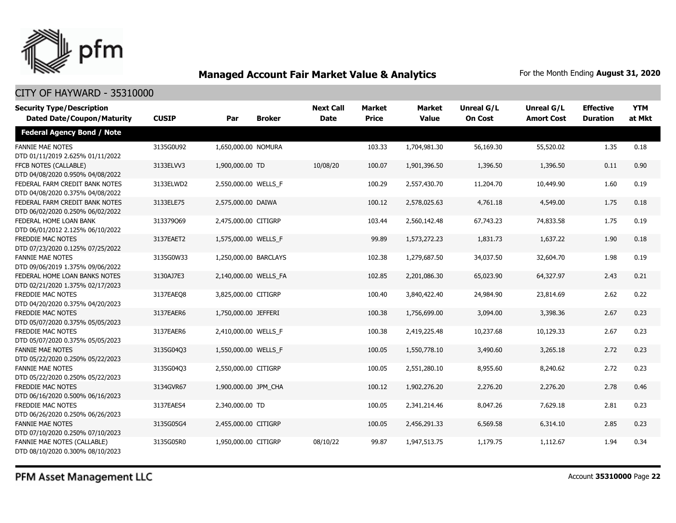

| <b>Security Type/Description</b><br><b>Dated Date/Coupon/Maturity</b> | <b>CUSIP</b> | Par                   | <b>Broker</b> | <b>Next Call</b><br><b>Date</b> | <b>Market</b><br><b>Price</b> | <b>Market</b><br><b>Value</b> | <b>Unreal G/L</b><br><b>On Cost</b> | Unreal G/L<br><b>Amort Cost</b> | <b>Effective</b><br><b>Duration</b> | <b>YTM</b><br>at Mkt |
|-----------------------------------------------------------------------|--------------|-----------------------|---------------|---------------------------------|-------------------------------|-------------------------------|-------------------------------------|---------------------------------|-------------------------------------|----------------------|
| <b>Federal Agency Bond / Note</b>                                     |              |                       |               |                                 |                               |                               |                                     |                                 |                                     |                      |
| <b>FANNIE MAE NOTES</b><br>DTD 01/11/2019 2.625% 01/11/2022           | 3135G0U92    | 1,650,000.00 NOMURA   |               |                                 | 103.33                        | 1,704,981.30                  | 56,169.30                           | 55,520.02                       | 1.35                                | 0.18                 |
| FFCB NOTES (CALLABLE)<br>DTD 04/08/2020 0.950% 04/08/2022             | 3133ELVV3    | 1,900,000.00 TD       |               | 10/08/20                        | 100.07                        | 1,901,396.50                  | 1,396.50                            | 1,396.50                        | 0.11                                | 0.90                 |
| FEDERAL FARM CREDIT BANK NOTES<br>DTD 04/08/2020 0.375% 04/08/2022    | 3133ELWD2    | 2,550,000.00 WELLS_F  |               |                                 | 100.29                        | 2,557,430.70                  | 11,204.70                           | 10,449.90                       | 1.60                                | 0.19                 |
| FEDERAL FARM CREDIT BANK NOTES<br>DTD 06/02/2020 0.250% 06/02/2022    | 3133ELE75    | 2,575,000.00 DAIWA    |               |                                 | 100.12                        | 2,578,025.63                  | 4,761.18                            | 4,549.00                        | 1.75                                | 0.18                 |
| FEDERAL HOME LOAN BANK<br>DTD 06/01/2012 2.125% 06/10/2022            | 313379069    | 2,475,000.00 CITIGRP  |               |                                 | 103.44                        | 2,560,142.48                  | 67,743.23                           | 74,833.58                       | 1.75                                | 0.19                 |
| FREDDIE MAC NOTES<br>DTD 07/23/2020 0.125% 07/25/2022                 | 3137EAET2    | 1,575,000.00 WELLS_F  |               |                                 | 99.89                         | 1,573,272.23                  | 1,831.73                            | 1,637.22                        | 1.90                                | 0.18                 |
| <b>FANNIE MAE NOTES</b><br>DTD 09/06/2019 1.375% 09/06/2022           | 3135G0W33    | 1,250,000.00 BARCLAYS |               |                                 | 102.38                        | 1,279,687.50                  | 34,037.50                           | 32,604.70                       | 1.98                                | 0.19                 |
| FEDERAL HOME LOAN BANKS NOTES<br>DTD 02/21/2020 1.375% 02/17/2023     | 3130AJ7E3    | 2,140,000.00 WELLS FA |               |                                 | 102.85                        | 2,201,086.30                  | 65,023.90                           | 64,327.97                       | 2.43                                | 0.21                 |
| FREDDIE MAC NOTES<br>DTD 04/20/2020 0.375% 04/20/2023                 | 3137EAEO8    | 3,825,000.00 CITIGRP  |               |                                 | 100.40                        | 3,840,422.40                  | 24,984.90                           | 23,814.69                       | 2.62                                | 0.22                 |
| <b>FREDDIE MAC NOTES</b><br>DTD 05/07/2020 0.375% 05/05/2023          | 3137EAER6    | 1,750,000.00 JEFFERI  |               |                                 | 100.38                        | 1,756,699.00                  | 3,094.00                            | 3,398.36                        | 2.67                                | 0.23                 |
| FREDDIE MAC NOTES<br>DTD 05/07/2020 0.375% 05/05/2023                 | 3137EAER6    | 2,410,000.00 WELLS_F  |               |                                 | 100.38                        | 2,419,225.48                  | 10,237.68                           | 10,129.33                       | 2.67                                | 0.23                 |
| <b>FANNIE MAE NOTES</b><br>DTD 05/22/2020 0.250% 05/22/2023           | 3135G04Q3    | 1,550,000.00 WELLS_F  |               |                                 | 100.05                        | 1,550,778.10                  | 3,490.60                            | 3,265.18                        | 2.72                                | 0.23                 |
| <b>FANNIE MAE NOTES</b><br>DTD 05/22/2020 0.250% 05/22/2023           | 3135G04Q3    | 2,550,000.00 CITIGRP  |               |                                 | 100.05                        | 2,551,280.10                  | 8,955.60                            | 8,240.62                        | 2.72                                | 0.23                 |
| <b>FREDDIE MAC NOTES</b><br>DTD 06/16/2020 0.500% 06/16/2023          | 3134GVR67    | 1,900,000.00 JPM_CHA  |               |                                 | 100.12                        | 1,902,276.20                  | 2,276.20                            | 2,276.20                        | 2.78                                | 0.46                 |
| <b>FREDDIE MAC NOTES</b><br>DTD 06/26/2020 0.250% 06/26/2023          | 3137EAES4    | 2,340,000.00 TD       |               |                                 | 100.05                        | 2,341,214.46                  | 8,047.26                            | 7,629.18                        | 2.81                                | 0.23                 |
| <b>FANNIE MAE NOTES</b><br>DTD 07/10/2020 0.250% 07/10/2023           | 3135G05G4    | 2,455,000.00 CITIGRP  |               |                                 | 100.05                        | 2,456,291.33                  | 6,569.58                            | 6,314.10                        | 2.85                                | 0.23                 |
| FANNIE MAE NOTES (CALLABLE)<br>DTD 08/10/2020 0.300% 08/10/2023       | 3135G05R0    | 1,950,000.00 CITIGRP  |               | 08/10/22                        | 99.87                         | 1,947,513.75                  | 1,179.75                            | 1,112.67                        | 1.94                                | 0.34                 |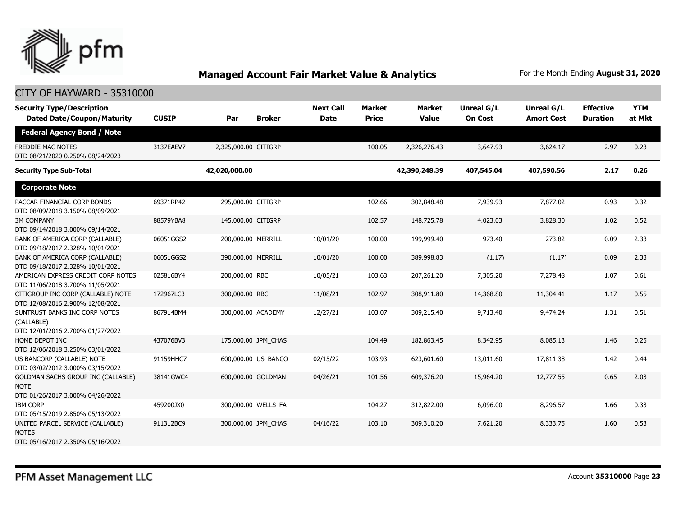

| <b>Security Type/Description</b><br><b>Dated Date/Coupon/Maturity</b>                        | <b>CUSIP</b> | Par                  | <b>Broker</b>       | <b>Next Call</b><br><b>Date</b> | <b>Market</b><br><b>Price</b> | <b>Market</b><br><b>Value</b> | <b>Unreal G/L</b><br><b>On Cost</b> | <b>Unreal G/L</b><br><b>Amort Cost</b> | <b>Effective</b><br><b>Duration</b> | <b>YTM</b><br>at Mkt |
|----------------------------------------------------------------------------------------------|--------------|----------------------|---------------------|---------------------------------|-------------------------------|-------------------------------|-------------------------------------|----------------------------------------|-------------------------------------|----------------------|
| <b>Federal Agency Bond / Note</b>                                                            |              |                      |                     |                                 |                               |                               |                                     |                                        |                                     |                      |
| FREDDIE MAC NOTES<br>DTD 08/21/2020 0.250% 08/24/2023                                        | 3137EAEV7    | 2,325,000.00 CITIGRP |                     |                                 | 100.05                        | 2,326,276.43                  | 3,647.93                            | 3,624.17                               | 2.97                                | 0.23                 |
| <b>Security Type Sub-Total</b>                                                               |              | 42,020,000.00        |                     |                                 |                               | 42,390,248.39                 | 407,545.04                          | 407,590.56                             | 2.17                                | 0.26                 |
| <b>Corporate Note</b>                                                                        |              |                      |                     |                                 |                               |                               |                                     |                                        |                                     |                      |
| PACCAR FINANCIAL CORP BONDS<br>DTD 08/09/2018 3.150% 08/09/2021                              | 69371RP42    | 295,000.00 CITIGRP   |                     |                                 | 102.66                        | 302,848.48                    | 7,939.93                            | 7,877.02                               | 0.93                                | 0.32                 |
| <b>3M COMPANY</b><br>DTD 09/14/2018 3.000% 09/14/2021                                        | 88579YBA8    | 145,000.00 CITIGRP   |                     |                                 | 102.57                        | 148,725.78                    | 4,023.03                            | 3,828.30                               | 1.02                                | 0.52                 |
| BANK OF AMERICA CORP (CALLABLE)<br>DTD 09/18/2017 2.328% 10/01/2021                          | 06051GGS2    | 200,000.00 MERRILL   |                     | 10/01/20                        | 100.00                        | 199,999.40                    | 973.40                              | 273.82                                 | 0.09                                | 2.33                 |
| BANK OF AMERICA CORP (CALLABLE)<br>DTD 09/18/2017 2.328% 10/01/2021                          | 06051GGS2    | 390,000.00 MERRILL   |                     | 10/01/20                        | 100.00                        | 389,998.83                    | (1.17)                              | (1.17)                                 | 0.09                                | 2.33                 |
| AMERICAN EXPRESS CREDIT CORP NOTES<br>DTD 11/06/2018 3.700% 11/05/2021                       | 025816BY4    | 200,000.00 RBC       |                     | 10/05/21                        | 103.63                        | 207,261.20                    | 7,305.20                            | 7,278.48                               | 1.07                                | 0.61                 |
| CITIGROUP INC CORP (CALLABLE) NOTE<br>DTD 12/08/2016 2.900% 12/08/2021                       | 172967LC3    | 300,000.00 RBC       |                     | 11/08/21                        | 102.97                        | 308,911.80                    | 14,368.80                           | 11,304.41                              | 1.17                                | 0.55                 |
| SUNTRUST BANKS INC CORP NOTES<br>(CALLABLE)<br>DTD 12/01/2016 2.700% 01/27/2022              | 867914BM4    | 300,000.00 ACADEMY   |                     | 12/27/21                        | 103.07                        | 309,215.40                    | 9,713.40                            | 9,474.24                               | 1.31                                | 0.51                 |
| HOME DEPOT INC<br>DTD 12/06/2018 3.250% 03/01/2022                                           | 437076BV3    |                      | 175,000.00 JPM_CHAS |                                 | 104.49                        | 182,863.45                    | 8,342.95                            | 8,085.13                               | 1.46                                | 0.25                 |
| US BANCORP (CALLABLE) NOTE<br>DTD 03/02/2012 3.000% 03/15/2022                               | 91159HHC7    |                      | 600,000.00 US BANCO | 02/15/22                        | 103.93                        | 623,601.60                    | 13,011.60                           | 17,811.38                              | 1.42                                | 0.44                 |
| <b>GOLDMAN SACHS GROUP INC (CALLABLE)</b><br><b>NOTE</b><br>DTD 01/26/2017 3.000% 04/26/2022 | 38141GWC4    | 600,000.00 GOLDMAN   |                     | 04/26/21                        | 101.56                        | 609,376.20                    | 15,964.20                           | 12,777.55                              | 0.65                                | 2.03                 |
| <b>IBM CORP</b><br>DTD 05/15/2019 2.850% 05/13/2022                                          | 459200JX0    |                      | 300,000.00 WELLS_FA |                                 | 104.27                        | 312,822.00                    | 6,096.00                            | 8,296.57                               | 1.66                                | 0.33                 |
| UNITED PARCEL SERVICE (CALLABLE)<br><b>NOTES</b><br>DTD 05/16/2017 2.350% 05/16/2022         | 911312BC9    |                      | 300,000.00 JPM CHAS | 04/16/22                        | 103.10                        | 309,310.20                    | 7,621.20                            | 8,333.75                               | 1.60                                | 0.53                 |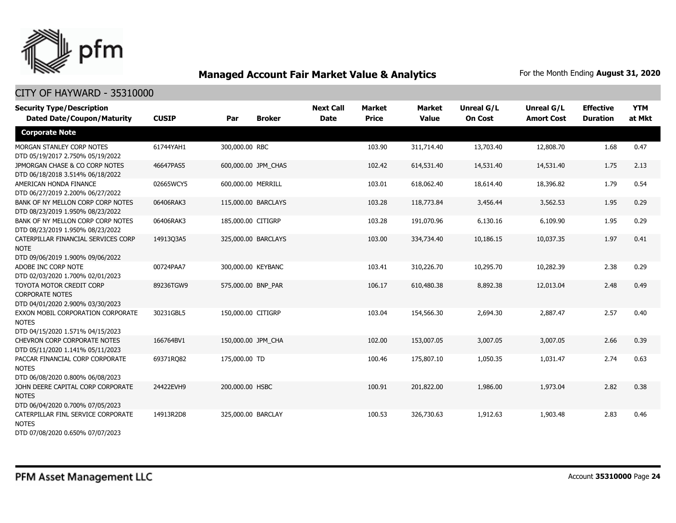

| <b>Security Type/Description</b><br><b>Dated Date/Coupon/Maturity</b>                  | <b>CUSIP</b> | Par                 | <b>Broker</b>       | <b>Next Call</b><br><b>Date</b> | <b>Market</b><br><b>Price</b> | <b>Market</b><br><b>Value</b> | <b>Unreal G/L</b><br><b>On Cost</b> | Unreal G/L<br><b>Amort Cost</b> | <b>Effective</b><br><b>Duration</b> | <b>YTM</b><br>at Mkt |
|----------------------------------------------------------------------------------------|--------------|---------------------|---------------------|---------------------------------|-------------------------------|-------------------------------|-------------------------------------|---------------------------------|-------------------------------------|----------------------|
| <b>Corporate Note</b>                                                                  |              |                     |                     |                                 |                               |                               |                                     |                                 |                                     |                      |
| MORGAN STANLEY CORP NOTES<br>DTD 05/19/2017 2.750% 05/19/2022                          | 61744YAH1    | 300,000.00 RBC      |                     |                                 | 103.90                        | 311,714.40                    | 13,703.40                           | 12,808.70                       | 1.68                                | 0.47                 |
| JPMORGAN CHASE & CO CORP NOTES<br>DTD 06/18/2018 3.514% 06/18/2022                     | 46647PAS5    |                     | 600,000.00 JPM_CHAS |                                 | 102.42                        | 614,531.40                    | 14,531.40                           | 14,531.40                       | 1.75                                | 2.13                 |
| AMERICAN HONDA FINANCE<br>DTD 06/27/2019 2.200% 06/27/2022                             | 02665WCY5    | 600,000.00 MERRILL  |                     |                                 | 103.01                        | 618,062.40                    | 18,614.40                           | 18,396.82                       | 1.79                                | 0.54                 |
| BANK OF NY MELLON CORP CORP NOTES<br>DTD 08/23/2019 1.950% 08/23/2022                  | 06406RAK3    | 115,000.00 BARCLAYS |                     |                                 | 103.28                        | 118,773.84                    | 3,456.44                            | 3,562.53                        | 1.95                                | 0.29                 |
| BANK OF NY MELLON CORP CORP NOTES<br>DTD 08/23/2019 1.950% 08/23/2022                  | 06406RAK3    | 185,000.00 CITIGRP  |                     |                                 | 103.28                        | 191,070.96                    | 6,130.16                            | 6,109.90                        | 1.95                                | 0.29                 |
| CATERPILLAR FINANCIAL SERVICES CORP<br><b>NOTE</b><br>DTD 09/06/2019 1.900% 09/06/2022 | 14913Q3A5    | 325,000.00 BARCLAYS |                     |                                 | 103.00                        | 334,734.40                    | 10,186.15                           | 10,037.35                       | 1.97                                | 0.41                 |
| ADOBE INC CORP NOTE<br>DTD 02/03/2020 1.700% 02/01/2023                                | 00724PAA7    | 300,000.00 KEYBANC  |                     |                                 | 103.41                        | 310,226.70                    | 10,295.70                           | 10,282.39                       | 2.38                                | 0.29                 |
| TOYOTA MOTOR CREDIT CORP<br><b>CORPORATE NOTES</b><br>DTD 04/01/2020 2.900% 03/30/2023 | 89236TGW9    | 575,000.00 BNP_PAR  |                     |                                 | 106.17                        | 610,480.38                    | 8,892.38                            | 12,013.04                       | 2.48                                | 0.49                 |
| EXXON MOBIL CORPORATION CORPORATE<br><b>NOTES</b><br>DTD 04/15/2020 1.571% 04/15/2023  | 30231GBL5    | 150,000.00 CITIGRP  |                     |                                 | 103.04                        | 154,566.30                    | 2,694.30                            | 2,887.47                        | 2.57                                | 0.40                 |
| CHEVRON CORP CORPORATE NOTES<br>DTD 05/11/2020 1.141% 05/11/2023                       | 166764BV1    | 150,000.00 JPM CHA  |                     |                                 | 102.00                        | 153,007.05                    | 3,007.05                            | 3,007.05                        | 2.66                                | 0.39                 |
| PACCAR FINANCIAL CORP CORPORATE<br><b>NOTES</b><br>DTD 06/08/2020 0.800% 06/08/2023    | 69371RQ82    | 175,000.00 TD       |                     |                                 | 100.46                        | 175,807.10                    | 1,050.35                            | 1,031.47                        | 2.74                                | 0.63                 |
| JOHN DEERE CAPITAL CORP CORPORATE<br><b>NOTES</b><br>DTD 06/04/2020 0.700% 07/05/2023  | 24422EVH9    | 200,000.00 HSBC     |                     |                                 | 100.91                        | 201,822.00                    | 1,986.00                            | 1,973.04                        | 2.82                                | 0.38                 |
| CATERPILLAR FINL SERVICE CORPORATE<br><b>NOTES</b><br>DTD 07/08/2020 0.650% 07/07/2023 | 14913R2D8    | 325,000.00 BARCLAY  |                     |                                 | 100.53                        | 326,730.63                    | 1,912.63                            | 1,903.48                        | 2.83                                | 0.46                 |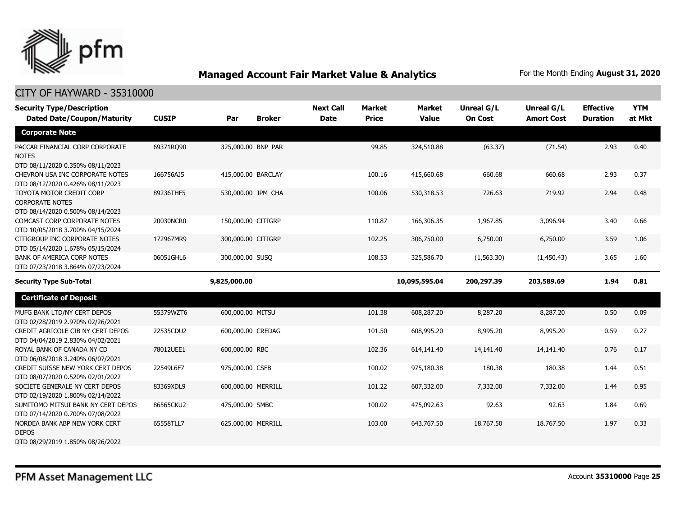

| <b>Security Type/Description</b><br><b>Dated Date/Coupon/Maturity</b>                  | <b>CUSIP</b> | Par                | <b>Broker</b> | <b>Next Call</b><br><b>Date</b> | <b>Market</b><br><b>Price</b> | <b>Market</b><br><b>Value</b> | <b>Unreal G/L</b><br><b>On Cost</b> | <b>Unreal G/L</b><br><b>Amort Cost</b> | <b>Effective</b><br><b>Duration</b> | <b>YTM</b><br>at Mkt |
|----------------------------------------------------------------------------------------|--------------|--------------------|---------------|---------------------------------|-------------------------------|-------------------------------|-------------------------------------|----------------------------------------|-------------------------------------|----------------------|
| <b>Corporate Note</b>                                                                  |              |                    |               |                                 |                               |                               |                                     |                                        |                                     |                      |
| PACCAR FINANCIAL CORP CORPORATE<br><b>NOTES</b><br>DTD 08/11/2020 0.350% 08/11/2023    | 69371RQ90    | 325,000.00 BNP PAR |               |                                 | 99.85                         | 324,510.88                    | (63.37)                             | (71.54)                                | 2.93                                | 0.40                 |
| CHEVRON USA INC CORPORATE NOTES<br>DTD 08/12/2020 0.426% 08/11/2023                    | 166756AJ5    | 415,000.00 BARCLAY |               |                                 | 100.16                        | 415,660.68                    | 660.68                              | 660.68                                 | 2.93                                | 0.37                 |
| TOYOTA MOTOR CREDIT CORP<br><b>CORPORATE NOTES</b><br>DTD 08/14/2020 0.500% 08/14/2023 | 89236THF5    | 530,000.00 JPM_CHA |               |                                 | 100.06                        | 530,318.53                    | 726.63                              | 719.92                                 | 2.94                                | 0.48                 |
| COMCAST CORP CORPORATE NOTES<br>DTD 10/05/2018 3.700% 04/15/2024                       | 20030NCR0    | 150,000.00 CITIGRP |               |                                 | 110.87                        | 166,306.35                    | 1,967.85                            | 3,096.94                               | 3.40                                | 0.66                 |
| CITIGROUP INC CORPORATE NOTES<br>DTD 05/14/2020 1.678% 05/15/2024                      | 172967MR9    | 300,000.00 CITIGRP |               |                                 | 102.25                        | 306,750.00                    | 6,750.00                            | 6,750.00                               | 3.59                                | 1.06                 |
| <b>BANK OF AMERICA CORP NOTES</b><br>DTD 07/23/2018 3.864% 07/23/2024                  | 06051GHL6    | 300,000.00 SUSO    |               |                                 | 108.53                        | 325,586.70                    | (1, 563.30)                         | (1,450.43)                             | 3.65                                | 1.60                 |
| <b>Security Type Sub-Total</b>                                                         |              | 9,825,000.00       |               |                                 |                               | 10,095,595.04                 | 200,297.39                          | 203,589.69                             | 1.94                                | 0.81                 |
| <b>Certificate of Deposit</b>                                                          |              |                    |               |                                 |                               |                               |                                     |                                        |                                     |                      |
| MUFG BANK LTD/NY CERT DEPOS<br>DTD 02/28/2019 2.970% 02/26/2021                        | 55379WZT6    | 600,000.00 MITSU   |               |                                 | 101.38                        | 608,287.20                    | 8,287.20                            | 8,287.20                               | 0.50                                | 0.09                 |
| CREDIT AGRICOLE CIB NY CERT DEPOS<br>DTD 04/04/2019 2.830% 04/02/2021                  | 22535CDU2    | 600,000.00 CREDAG  |               |                                 | 101.50                        | 608,995.20                    | 8,995.20                            | 8,995.20                               | 0.59                                | 0.27                 |
| ROYAL BANK OF CANADA NY CD<br>DTD 06/08/2018 3.240% 06/07/2021                         | 78012UEE1    | 600,000.00 RBC     |               |                                 | 102.36                        | 614,141.40                    | 14,141.40                           | 14,141.40                              | 0.76                                | 0.17                 |
| CREDIT SUISSE NEW YORK CERT DEPOS<br>DTD 08/07/2020 0.520% 02/01/2022                  | 22549L6F7    | 975,000.00 CSFB    |               |                                 | 100.02                        | 975,180.38                    | 180.38                              | 180.38                                 | 1.44                                | 0.51                 |
| SOCIETE GENERALE NY CERT DEPOS<br>DTD 02/19/2020 1.800% 02/14/2022                     | 83369XDL9    | 600,000.00 MERRILL |               |                                 | 101.22                        | 607,332.00                    | 7,332.00                            | 7,332.00                               | 1.44                                | 0.95                 |
| SUMITOMO MITSUI BANK NY CERT DEPOS<br>DTD 07/14/2020 0.700% 07/08/2022                 | 86565CKU2    | 475,000.00 SMBC    |               |                                 | 100.02                        | 475,092.63                    | 92.63                               | 92.63                                  | 1.84                                | 0.69                 |
| NORDEA BANK ABP NEW YORK CERT<br><b>DEPOS</b>                                          | 65558TLL7    | 625,000.00 MERRILL |               |                                 | 103.00                        | 643,767.50                    | 18,767.50                           | 18,767.50                              | 1.97                                | 0.33                 |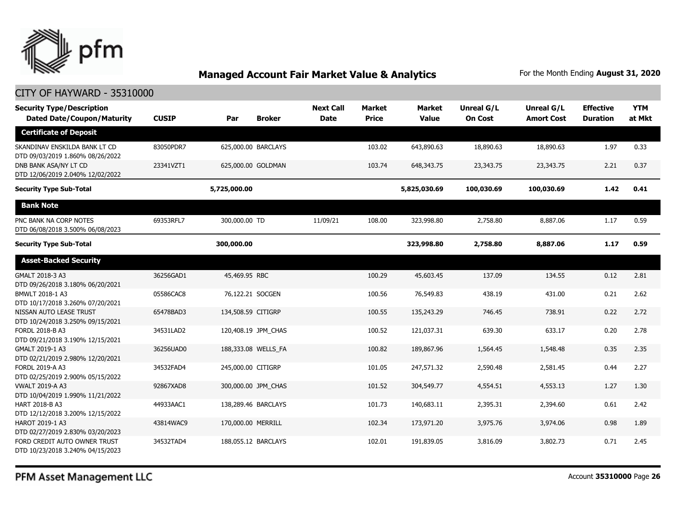

#### CITY OF HAYWARD - 35310000

| <b>Security Type/Description</b><br><b>Dated Date/Coupon/Maturity</b> | <b>CUSIP</b> | Par                | <b>Broker</b>       | <b>Next Call</b><br><b>Date</b> | <b>Market</b><br><b>Price</b> | <b>Market</b><br><b>Value</b> | Unreal G/L<br><b>On Cost</b> | Unreal G/L<br><b>Amort Cost</b> | <b>Effective</b><br><b>Duration</b> | <b>YTM</b><br>at Mkt |
|-----------------------------------------------------------------------|--------------|--------------------|---------------------|---------------------------------|-------------------------------|-------------------------------|------------------------------|---------------------------------|-------------------------------------|----------------------|
| <b>Certificate of Deposit</b>                                         |              |                    |                     |                                 |                               |                               |                              |                                 |                                     |                      |
| SKANDINAV ENSKILDA BANK LT CD<br>DTD 09/03/2019 1.860% 08/26/2022     | 83050PDR7    |                    | 625,000.00 BARCLAYS |                                 | 103.02                        | 643,890.63                    | 18,890.63                    | 18,890.63                       | 1.97                                | 0.33                 |
| DNB BANK ASA/NY LT CD<br>DTD 12/06/2019 2.040% 12/02/2022             | 23341VZT1    |                    | 625,000.00 GOLDMAN  |                                 | 103.74                        | 648,343.75                    | 23,343.75                    | 23,343.75                       | 2.21                                | 0.37                 |
| <b>Security Type Sub-Total</b>                                        |              | 5,725,000.00       |                     |                                 |                               | 5,825,030.69                  | 100,030.69                   | 100,030.69                      | 1.42                                | 0.41                 |
| <b>Bank Note</b>                                                      |              |                    |                     |                                 |                               |                               |                              |                                 |                                     |                      |
| PNC BANK NA CORP NOTES<br>DTD 06/08/2018 3.500% 06/08/2023            | 69353RFL7    | 300,000.00 TD      |                     | 11/09/21                        | 108.00                        | 323,998.80                    | 2,758.80                     | 8,887.06                        | 1.17                                | 0.59                 |
| <b>Security Type Sub-Total</b>                                        |              | 300,000.00         |                     |                                 |                               | 323,998.80                    | 2,758.80                     | 8,887.06                        | 1.17                                | 0.59                 |
| <b>Asset-Backed Security</b>                                          |              |                    |                     |                                 |                               |                               |                              |                                 |                                     |                      |
| GMALT 2018-3 A3<br>DTD 09/26/2018 3.180% 06/20/2021                   | 36256GAD1    | 45,469.95 RBC      |                     |                                 | 100.29                        | 45,603.45                     | 137.09                       | 134.55                          | 0.12                                | 2.81                 |
| BMWLT 2018-1 A3<br>DTD 10/17/2018 3.260% 07/20/2021                   | 05586CAC8    | 76,122.21 SOCGEN   |                     |                                 | 100.56                        | 76,549.83                     | 438.19                       | 431.00                          | 0.21                                | 2.62                 |
| NISSAN AUTO LEASE TRUST<br>DTD 10/24/2018 3.250% 09/15/2021           | 65478BAD3    | 134,508.59 CITIGRP |                     |                                 | 100.55                        | 135,243.29                    | 746.45                       | 738.91                          | 0.22                                | 2.72                 |
| FORDL 2018-B A3<br>DTD 09/21/2018 3.190% 12/15/2021                   | 34531LAD2    |                    | 120,408.19 JPM_CHAS |                                 | 100.52                        | 121,037.31                    | 639.30                       | 633.17                          | 0.20                                | 2.78                 |
| GMALT 2019-1 A3<br>DTD 02/21/2019 2.980% 12/20/2021                   | 36256UAD0    |                    | 188,333.08 WELLS_FA |                                 | 100.82                        | 189,867.96                    | 1,564.45                     | 1,548.48                        | 0.35                                | 2.35                 |
| FORDL 2019-A A3<br>DTD 02/25/2019 2.900% 05/15/2022                   | 34532FAD4    | 245,000.00 CITIGRP |                     |                                 | 101.05                        | 247,571.32                    | 2,590.48                     | 2,581.45                        | 0.44                                | 2.27                 |
| <b>VWALT 2019-A A3</b><br>DTD 10/04/2019 1.990% 11/21/2022            | 92867XAD8    |                    | 300,000.00 JPM_CHAS |                                 | 101.52                        | 304,549.77                    | 4,554.51                     | 4,553.13                        | 1.27                                | 1.30                 |
| HART 2018-B A3<br>DTD 12/12/2018 3.200% 12/15/2022                    | 44933AAC1    |                    | 138,289.46 BARCLAYS |                                 | 101.73                        | 140,683.11                    | 2,395.31                     | 2,394.60                        | 0.61                                | 2.42                 |
| HAROT 2019-1 A3<br>DTD 02/27/2019 2.830% 03/20/2023                   | 43814WAC9    | 170,000.00 MERRILL |                     |                                 | 102.34                        | 173,971.20                    | 3,975.76                     | 3,974.06                        | 0.98                                | 1.89                 |
| FORD CREDIT AUTO OWNER TRUST<br>DTD 10/23/2018 3.240% 04/15/2023      | 34532TAD4    |                    | 188,055.12 BARCLAYS |                                 | 102.01                        | 191,839.05                    | 3,816.09                     | 3,802.73                        | 0.71                                | 2.45                 |

PFM Asset Management LLC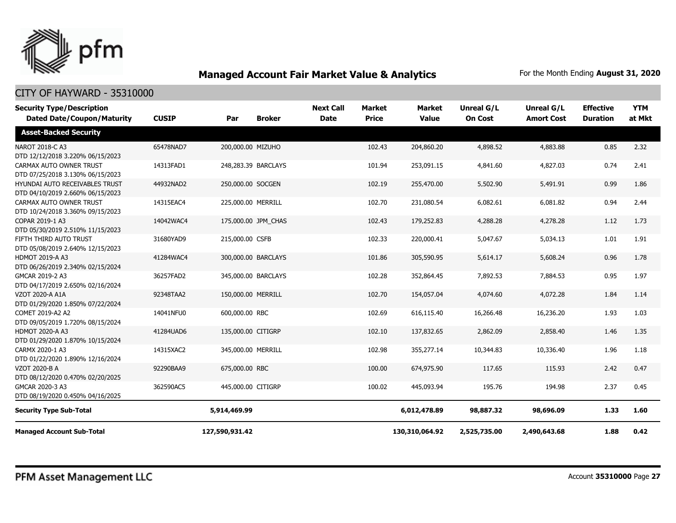

| <b>Security Type/Description</b><br><b>Dated Date/Coupon/Maturity</b> | <b>CUSIP</b> | Par                 | <b>Broker</b> | <b>Next Call</b><br><b>Date</b> | <b>Market</b><br><b>Price</b> | <b>Market</b><br><b>Value</b> | <b>Unreal G/L</b><br><b>On Cost</b> | Unreal G/L<br><b>Amort Cost</b> | <b>Effective</b><br><b>Duration</b> | <b>YTM</b><br>at Mkt |
|-----------------------------------------------------------------------|--------------|---------------------|---------------|---------------------------------|-------------------------------|-------------------------------|-------------------------------------|---------------------------------|-------------------------------------|----------------------|
| <b>Asset-Backed Security</b>                                          |              |                     |               |                                 |                               |                               |                                     |                                 |                                     |                      |
| NAROT 2018-C A3<br>DTD 12/12/2018 3.220% 06/15/2023                   | 65478NAD7    | 200,000.00 MIZUHO   |               |                                 | 102.43                        | 204,860.20                    | 4,898.52                            | 4,883.88                        | 0.85                                | 2.32                 |
| CARMAX AUTO OWNER TRUST<br>DTD 07/25/2018 3.130% 06/15/2023           | 14313FAD1    | 248,283.39 BARCLAYS |               |                                 | 101.94                        | 253,091.15                    | 4,841.60                            | 4,827.03                        | 0.74                                | 2.41                 |
| HYUNDAI AUTO RECEIVABLES TRUST<br>DTD 04/10/2019 2.660% 06/15/2023    | 44932NAD2    | 250,000.00 SOCGEN   |               |                                 | 102.19                        | 255,470.00                    | 5,502.90                            | 5,491.91                        | 0.99                                | 1.86                 |
| CARMAX AUTO OWNER TRUST<br>DTD 10/24/2018 3.360% 09/15/2023           | 14315EAC4    | 225,000.00 MERRILL  |               |                                 | 102.70                        | 231,080.54                    | 6,082.61                            | 6,081.82                        | 0.94                                | 2.44                 |
| COPAR 2019-1 A3<br>DTD 05/30/2019 2.510% 11/15/2023                   | 14042WAC4    | 175,000.00 JPM_CHAS |               |                                 | 102.43                        | 179,252.83                    | 4,288.28                            | 4,278.28                        | 1.12                                | 1.73                 |
| FIFTH THIRD AUTO TRUST<br>DTD 05/08/2019 2.640% 12/15/2023            | 31680YAD9    | 215,000.00 CSFB     |               |                                 | 102.33                        | 220,000.41                    | 5,047.67                            | 5,034.13                        | 1.01                                | 1.91                 |
| <b>HDMOT 2019-A A3</b><br>DTD 06/26/2019 2.340% 02/15/2024            | 41284WAC4    | 300,000.00 BARCLAYS |               |                                 | 101.86                        | 305,590.95                    | 5,614.17                            | 5,608.24                        | 0.96                                | 1.78                 |
| GMCAR 2019-2 A3<br>DTD 04/17/2019 2.650% 02/16/2024                   | 36257FAD2    | 345,000.00 BARCLAYS |               |                                 | 102.28                        | 352,864.45                    | 7,892.53                            | 7,884.53                        | 0.95                                | 1.97                 |
| <b>VZOT 2020-A A1A</b><br>DTD 01/29/2020 1.850% 07/22/2024            | 92348TAA2    | 150,000.00 MERRILL  |               |                                 | 102.70                        | 154,057.04                    | 4,074.60                            | 4,072.28                        | 1.84                                | 1.14                 |
| COMET 2019-A2 A2<br>DTD 09/05/2019 1.720% 08/15/2024                  | 14041NFU0    | 600,000.00 RBC      |               |                                 | 102.69                        | 616,115.40                    | 16,266.48                           | 16,236.20                       | 1.93                                | 1.03                 |
| <b>HDMOT 2020-A A3</b><br>DTD 01/29/2020 1.870% 10/15/2024            | 41284UAD6    | 135,000.00 CITIGRP  |               |                                 | 102.10                        | 137,832.65                    | 2,862.09                            | 2,858.40                        | 1.46                                | 1.35                 |
| CARMX 2020-1 A3<br>DTD 01/22/2020 1.890% 12/16/2024                   | 14315XAC2    | 345,000.00 MERRILL  |               |                                 | 102.98                        | 355,277.14                    | 10,344.83                           | 10,336.40                       | 1.96                                | 1.18                 |
| VZOT 2020-B A<br>DTD 08/12/2020 0.470% 02/20/2025                     | 92290BAA9    | 675,000.00 RBC      |               |                                 | 100.00                        | 674,975.90                    | 117.65                              | 115.93                          | 2.42                                | 0.47                 |
| GMCAR 2020-3 A3<br>DTD 08/19/2020 0.450% 04/16/2025                   | 362590AC5    | 445,000.00 CITIGRP  |               |                                 | 100.02                        | 445,093.94                    | 195.76                              | 194.98                          | 2.37                                | 0.45                 |
| <b>Security Type Sub-Total</b>                                        |              | 5,914,469.99        |               |                                 |                               | 6,012,478.89                  | 98,887.32                           | 98,696.09                       | 1.33                                | 1.60                 |
| <b>Managed Account Sub-Total</b>                                      |              | 127,590,931.42      |               |                                 |                               | 130,310,064.92                | 2,525,735.00                        | 2,490,643.68                    | 1.88                                | 0.42                 |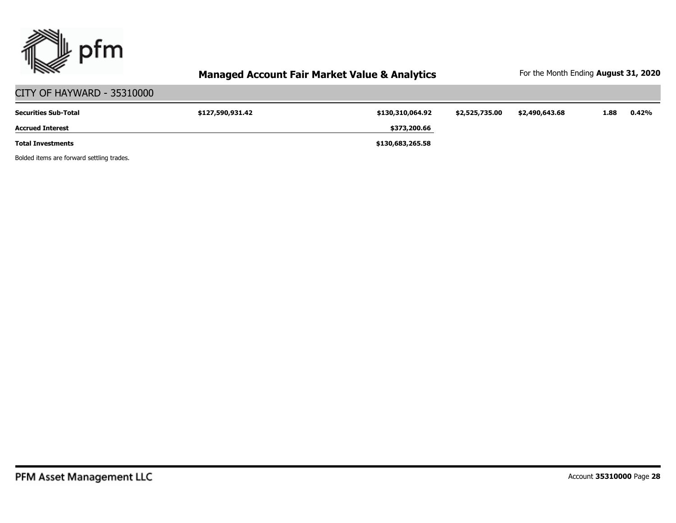

| CITY OF HAYWARD - 35310000  |                  |                  |                |                |      |       |
|-----------------------------|------------------|------------------|----------------|----------------|------|-------|
| <b>Securities Sub-Total</b> | \$127,590,931.42 | \$130,310,064.92 | \$2,525,735.00 | \$2,490,643.68 | 1.88 | 0.42% |
| <b>Accrued Interest</b>     |                  | \$373,200.66     |                |                |      |       |
| <b>Total Investments</b>    |                  | \$130,683,265.58 |                |                |      |       |

Bolded items are forward settling trades.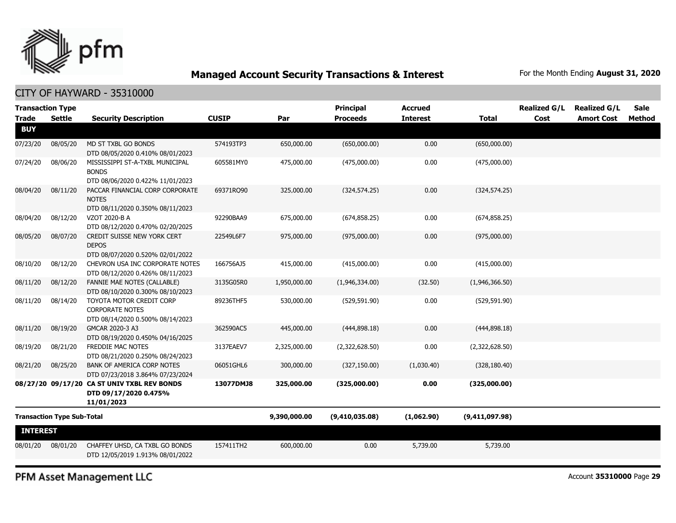

#### CITY OF HAYWARD - 35310000

| <b>Transaction Type</b><br><b>Trade</b> | <b>Settle</b>                     | <b>Security Description</b>                                                            | <b>CUSIP</b> | Par          | <b>Principal</b><br><b>Proceeds</b> | <b>Accrued</b><br><b>Interest</b> | <b>Total</b>   | <b>Realized G/L</b><br>Cost | <b>Realized G/L</b><br><b>Amort Cost</b> | <b>Sale</b><br>Method |
|-----------------------------------------|-----------------------------------|----------------------------------------------------------------------------------------|--------------|--------------|-------------------------------------|-----------------------------------|----------------|-----------------------------|------------------------------------------|-----------------------|
| <b>BUY</b>                              |                                   |                                                                                        |              |              |                                     |                                   |                |                             |                                          |                       |
| 07/23/20                                | 08/05/20                          | MD ST TXBL GO BONDS<br>DTD 08/05/2020 0.410% 08/01/2023                                | 574193TP3    | 650,000.00   | (650,000.00)                        | 0.00                              | (650,000.00)   |                             |                                          |                       |
| 07/24/20                                | 08/06/20                          | MISSISSIPPI ST-A-TXBL MUNICIPAL<br><b>BONDS</b><br>DTD 08/06/2020 0.422% 11/01/2023    | 605581MY0    | 475,000.00   | (475,000.00)                        | 0.00                              | (475,000.00)   |                             |                                          |                       |
| 08/04/20                                | 08/11/20                          | PACCAR FINANCIAL CORP CORPORATE<br><b>NOTES</b><br>DTD 08/11/2020 0.350% 08/11/2023    | 69371RQ90    | 325,000.00   | (324, 574.25)                       | 0.00                              | (324, 574.25)  |                             |                                          |                       |
| 08/04/20                                | 08/12/20                          | VZOT 2020-B A<br>DTD 08/12/2020 0.470% 02/20/2025                                      | 92290BAA9    | 675,000.00   | (674, 858.25)                       | 0.00                              | (674, 858.25)  |                             |                                          |                       |
| 08/05/20                                | 08/07/20                          | CREDIT SUISSE NEW YORK CERT<br><b>DEPOS</b><br>DTD 08/07/2020 0.520% 02/01/2022        | 22549L6F7    | 975,000.00   | (975,000.00)                        | 0.00                              | (975,000.00)   |                             |                                          |                       |
| 08/10/20                                | 08/12/20                          | CHEVRON USA INC CORPORATE NOTES<br>DTD 08/12/2020 0.426% 08/11/2023                    | 166756AJ5    | 415,000.00   | (415,000.00)                        | 0.00                              | (415,000.00)   |                             |                                          |                       |
| 08/11/20                                | 08/12/20                          | FANNIE MAE NOTES (CALLABLE)<br>DTD 08/10/2020 0.300% 08/10/2023                        | 3135G05R0    | 1,950,000.00 | (1,946,334.00)                      | (32.50)                           | (1,946,366.50) |                             |                                          |                       |
| 08/11/20                                | 08/14/20                          | TOYOTA MOTOR CREDIT CORP<br><b>CORPORATE NOTES</b><br>DTD 08/14/2020 0.500% 08/14/2023 | 89236THF5    | 530,000.00   | (529, 591.90)                       | 0.00                              | (529, 591.90)  |                             |                                          |                       |
| 08/11/20                                | 08/19/20                          | GMCAR 2020-3 A3<br>DTD 08/19/2020 0.450% 04/16/2025                                    | 362590AC5    | 445,000.00   | (444,898.18)                        | 0.00                              | (444,898.18)   |                             |                                          |                       |
| 08/19/20                                | 08/21/20                          | FREDDIE MAC NOTES<br>DTD 08/21/2020 0.250% 08/24/2023                                  | 3137EAEV7    | 2,325,000.00 | (2,322,628.50)                      | 0.00                              | (2,322,628.50) |                             |                                          |                       |
| 08/21/20                                | 08/25/20                          | <b>BANK OF AMERICA CORP NOTES</b><br>DTD 07/23/2018 3.864% 07/23/2024                  | 06051GHL6    | 300,000.00   | (327, 150.00)                       | (1,030.40)                        | (328, 180.40)  |                             |                                          |                       |
|                                         |                                   | 08/27/20 09/17/20 CA ST UNIV TXBL REV BONDS<br>DTD 09/17/2020 0.475%<br>11/01/2023     | 13077DMJ8    | 325,000.00   | (325,000.00)                        | 0.00                              | (325,000.00)   |                             |                                          |                       |
|                                         | <b>Transaction Type Sub-Total</b> |                                                                                        |              | 9,390,000.00 | (9,410,035.08)                      | (1,062.90)                        | (9,411,097.98) |                             |                                          |                       |
| <b>INTEREST</b>                         |                                   |                                                                                        |              |              |                                     |                                   |                |                             |                                          |                       |
| 08/01/20                                | 08/01/20                          | CHAFFEY UHSD, CA TXBL GO BONDS<br>DTD 12/05/2019 1.913% 08/01/2022                     | 157411TH2    | 600,000.00   | 0.00                                | 5,739.00                          | 5,739.00       |                             |                                          |                       |

PFM Asset Management LLC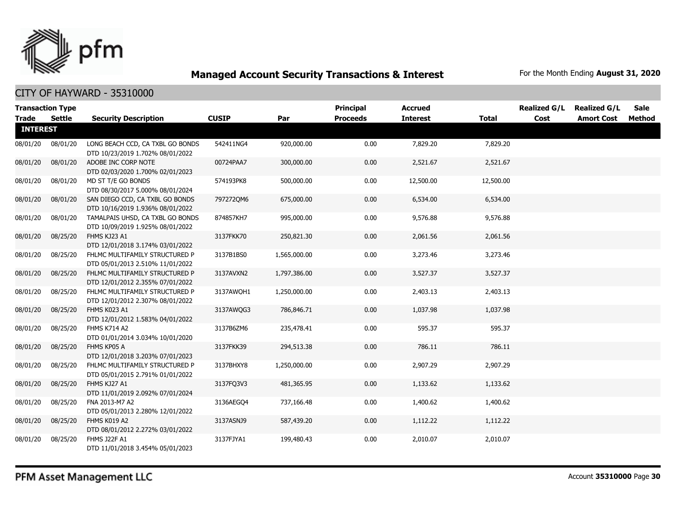

| <b>Trade</b>    | <b>Transaction Type</b><br>Settle | <b>Security Description</b>                                          | <b>CUSIP</b> | Par          | <b>Principal</b><br><b>Proceeds</b> | <b>Accrued</b><br><b>Interest</b> | <b>Total</b> | <b>Realized G/L</b><br>Cost | <b>Realized G/L</b><br><b>Amort Cost</b> | <b>Sale</b><br>Method |
|-----------------|-----------------------------------|----------------------------------------------------------------------|--------------|--------------|-------------------------------------|-----------------------------------|--------------|-----------------------------|------------------------------------------|-----------------------|
| <b>INTEREST</b> |                                   |                                                                      |              |              |                                     |                                   |              |                             |                                          |                       |
| 08/01/20        | 08/01/20                          | LONG BEACH CCD, CA TXBL GO BONDS<br>DTD 10/23/2019 1.702% 08/01/2022 | 542411NG4    | 920,000.00   | 0.00                                | 7,829.20                          | 7,829.20     |                             |                                          |                       |
| 08/01/20        | 08/01/20                          | ADOBE INC CORP NOTE<br>DTD 02/03/2020 1.700% 02/01/2023              | 00724PAA7    | 300,000.00   | 0.00                                | 2,521.67                          | 2,521.67     |                             |                                          |                       |
| 08/01/20        | 08/01/20                          | MD ST T/E GO BONDS<br>DTD 08/30/2017 5.000% 08/01/2024               | 574193PK8    | 500,000.00   | 0.00                                | 12,500.00                         | 12,500.00    |                             |                                          |                       |
| 08/01/20        | 08/01/20                          | SAN DIEGO CCD, CA TXBL GO BONDS<br>DTD 10/16/2019 1.936% 08/01/2022  | 7972720M6    | 675,000.00   | 0.00                                | 6,534.00                          | 6,534.00     |                             |                                          |                       |
| 08/01/20        | 08/01/20                          | TAMALPAIS UHSD, CA TXBL GO BONDS<br>DTD 10/09/2019 1.925% 08/01/2022 | 874857KH7    | 995,000.00   | 0.00                                | 9,576.88                          | 9,576.88     |                             |                                          |                       |
| 08/01/20        | 08/25/20                          | FHMS KJ23 A1<br>DTD 12/01/2018 3.174% 03/01/2022                     | 3137FKK70    | 250,821.30   | 0.00                                | 2,061.56                          | 2,061.56     |                             |                                          |                       |
| 08/01/20        | 08/25/20                          | FHLMC MULTIFAMILY STRUCTURED P<br>DTD 05/01/2013 2.510% 11/01/2022   | 3137B1BS0    | 1,565,000.00 | 0.00                                | 3,273.46                          | 3,273.46     |                             |                                          |                       |
| 08/01/20        | 08/25/20                          | FHLMC MULTIFAMILY STRUCTURED P<br>DTD 12/01/2012 2.355% 07/01/2022   | 3137AVXN2    | 1,797,386.00 | 0.00                                | 3,527.37                          | 3,527.37     |                             |                                          |                       |
| 08/01/20        | 08/25/20                          | FHLMC MULTIFAMILY STRUCTURED P<br>DTD 12/01/2012 2.307% 08/01/2022   | 3137AWQH1    | 1,250,000.00 | 0.00                                | 2,403.13                          | 2,403.13     |                             |                                          |                       |
| 08/01/20        | 08/25/20                          | FHMS K023 A1<br>DTD 12/01/2012 1.583% 04/01/2022                     | 3137AWQG3    | 786,846.71   | 0.00                                | 1,037.98                          | 1,037.98     |                             |                                          |                       |
| 08/01/20        | 08/25/20                          | FHMS K714 A2<br>DTD 01/01/2014 3.034% 10/01/2020                     | 3137B6ZM6    | 235,478.41   | 0.00                                | 595.37                            | 595.37       |                             |                                          |                       |
| 08/01/20        | 08/25/20                          | FHMS KP05 A<br>DTD 12/01/2018 3.203% 07/01/2023                      | 3137FKK39    | 294,513.38   | 0.00                                | 786.11                            | 786.11       |                             |                                          |                       |
| 08/01/20        | 08/25/20                          | FHLMC MULTIFAMILY STRUCTURED P<br>DTD 05/01/2015 2.791% 01/01/2022   | 3137BHXY8    | 1,250,000.00 | 0.00                                | 2,907.29                          | 2,907.29     |                             |                                          |                       |
| 08/01/20        | 08/25/20                          | FHMS KJ27 A1<br>DTD 11/01/2019 2.092% 07/01/2024                     | 3137FQ3V3    | 481,365.95   | 0.00                                | 1,133.62                          | 1,133.62     |                             |                                          |                       |
| 08/01/20        | 08/25/20                          | FNA 2013-M7 A2<br>DTD 05/01/2013 2.280% 12/01/2022                   | 3136AEGO4    | 737,166.48   | 0.00                                | 1,400.62                          | 1,400.62     |                             |                                          |                       |
| 08/01/20        | 08/25/20                          | FHMS K019 A2<br>DTD 08/01/2012 2.272% 03/01/2022                     | 3137ASNJ9    | 587,439.20   | 0.00                                | 1,112.22                          | 1,112.22     |                             |                                          |                       |
| 08/01/20        | 08/25/20                          | FHMS J22F A1<br>DTD 11/01/2018 3.454% 05/01/2023                     | 3137FJYA1    | 199,480.43   | 0.00                                | 2,010.07                          | 2,010.07     |                             |                                          |                       |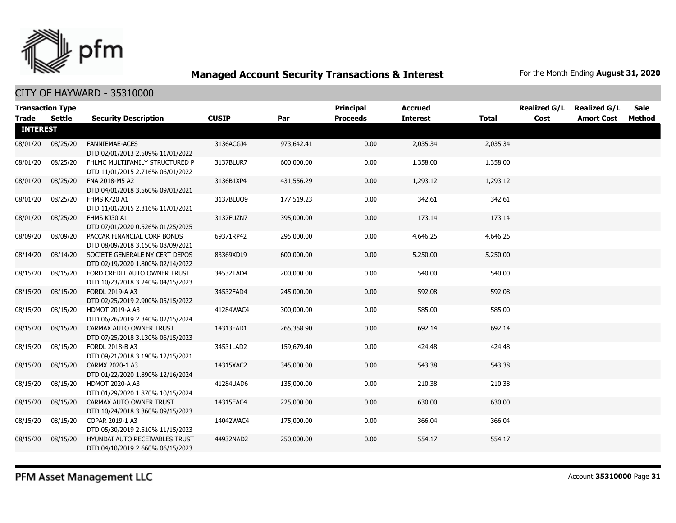

CITY OF HAYWARD - 35310000

| <b>Transaction Type</b><br><b>Trade</b> | <b>Settle</b> | <b>Security Description</b>                                        | <b>CUSIP</b> | Par        | <b>Principal</b><br><b>Proceeds</b> | <b>Accrued</b><br><b>Interest</b> | <b>Total</b> | <b>Realized G/L</b><br>Cost | <b>Realized G/L</b><br><b>Amort Cost</b> | Sale<br>Method |
|-----------------------------------------|---------------|--------------------------------------------------------------------|--------------|------------|-------------------------------------|-----------------------------------|--------------|-----------------------------|------------------------------------------|----------------|
| <b>INTEREST</b>                         |               |                                                                    |              |            |                                     |                                   |              |                             |                                          |                |
| 08/01/20                                | 08/25/20      | <b>FANNIEMAE-ACES</b><br>DTD 02/01/2013 2.509% 11/01/2022          | 3136ACGJ4    | 973,642.41 | 0.00                                | 2,035.34                          | 2,035.34     |                             |                                          |                |
| 08/01/20                                | 08/25/20      | FHLMC MULTIFAMILY STRUCTURED P<br>DTD 11/01/2015 2.716% 06/01/2022 | 3137BLUR7    | 600,000.00 | 0.00                                | 1,358.00                          | 1,358.00     |                             |                                          |                |
| 08/01/20                                | 08/25/20      | FNA 2018-M5 A2<br>DTD 04/01/2018 3.560% 09/01/2021                 | 3136B1XP4    | 431,556.29 | 0.00                                | 1,293.12                          | 1,293.12     |                             |                                          |                |
| 08/01/20                                | 08/25/20      | <b>FHMS K720 A1</b><br>DTD 11/01/2015 2.316% 11/01/2021            | 3137BLUQ9    | 177,519.23 | 0.00                                | 342.61                            | 342.61       |                             |                                          |                |
| 08/01/20                                | 08/25/20      | FHMS KJ30 A1<br>DTD 07/01/2020 0.526% 01/25/2025                   | 3137FUZN7    | 395,000.00 | 0.00                                | 173.14                            | 173.14       |                             |                                          |                |
| 08/09/20                                | 08/09/20      | PACCAR FINANCIAL CORP BONDS<br>DTD 08/09/2018 3.150% 08/09/2021    | 69371RP42    | 295,000.00 | 0.00                                | 4,646.25                          | 4,646.25     |                             |                                          |                |
| 08/14/20                                | 08/14/20      | SOCIETE GENERALE NY CERT DEPOS<br>DTD 02/19/2020 1.800% 02/14/2022 | 83369XDL9    | 600,000.00 | 0.00                                | 5,250.00                          | 5,250.00     |                             |                                          |                |
| 08/15/20                                | 08/15/20      | FORD CREDIT AUTO OWNER TRUST<br>DTD 10/23/2018 3.240% 04/15/2023   | 34532TAD4    | 200,000.00 | 0.00                                | 540.00                            | 540.00       |                             |                                          |                |
| 08/15/20                                | 08/15/20      | FORDL 2019-A A3<br>DTD 02/25/2019 2.900% 05/15/2022                | 34532FAD4    | 245,000.00 | 0.00                                | 592.08                            | 592.08       |                             |                                          |                |
| 08/15/20                                | 08/15/20      | HDMOT 2019-A A3<br>DTD 06/26/2019 2.340% 02/15/2024                | 41284WAC4    | 300,000.00 | 0.00                                | 585.00                            | 585.00       |                             |                                          |                |
| 08/15/20                                | 08/15/20      | CARMAX AUTO OWNER TRUST<br>DTD 07/25/2018 3.130% 06/15/2023        | 14313FAD1    | 265,358.90 | 0.00                                | 692.14                            | 692.14       |                             |                                          |                |
| 08/15/20                                | 08/15/20      | FORDL 2018-B A3<br>DTD 09/21/2018 3.190% 12/15/2021                | 34531LAD2    | 159,679.40 | 0.00                                | 424.48                            | 424.48       |                             |                                          |                |
| 08/15/20                                | 08/15/20      | CARMX 2020-1 A3<br>DTD 01/22/2020 1.890% 12/16/2024                | 14315XAC2    | 345,000.00 | 0.00                                | 543.38                            | 543.38       |                             |                                          |                |
| 08/15/20                                | 08/15/20      | <b>HDMOT 2020-A A3</b><br>DTD 01/29/2020 1.870% 10/15/2024         | 41284UAD6    | 135,000.00 | 0.00                                | 210.38                            | 210.38       |                             |                                          |                |
| 08/15/20                                | 08/15/20      | CARMAX AUTO OWNER TRUST<br>DTD 10/24/2018 3.360% 09/15/2023        | 14315EAC4    | 225,000.00 | 0.00                                | 630.00                            | 630.00       |                             |                                          |                |
| 08/15/20                                | 08/15/20      | COPAR 2019-1 A3<br>DTD 05/30/2019 2.510% 11/15/2023                | 14042WAC4    | 175,000.00 | 0.00                                | 366.04                            | 366.04       |                             |                                          |                |
| 08/15/20                                | 08/15/20      | HYUNDAI AUTO RECEIVABLES TRUST<br>DTD 04/10/2019 2.660% 06/15/2023 | 44932NAD2    | 250,000.00 | 0.00                                | 554.17                            | 554.17       |                             |                                          |                |

PFM Asset Management LLC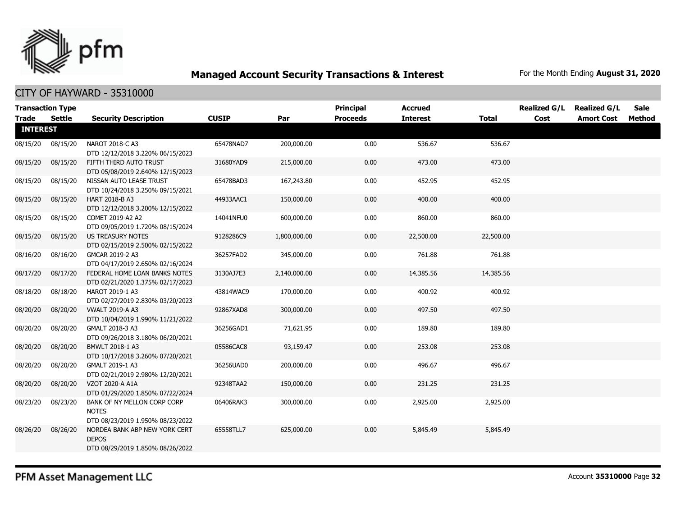

| <b>Transaction Type</b><br><b>Trade</b> | <b>Settle</b> | <b>Security Description</b>                                                       | <b>CUSIP</b> | Par          | <b>Principal</b><br><b>Proceeds</b> | <b>Accrued</b><br><b>Interest</b> | <b>Total</b> | <b>Realized G/L</b><br>Cost | <b>Realized G/L</b><br><b>Amort Cost</b> | <b>Sale</b><br><b>Method</b> |
|-----------------------------------------|---------------|-----------------------------------------------------------------------------------|--------------|--------------|-------------------------------------|-----------------------------------|--------------|-----------------------------|------------------------------------------|------------------------------|
| <b>INTEREST</b>                         |               |                                                                                   |              |              |                                     |                                   |              |                             |                                          |                              |
| 08/15/20                                | 08/15/20      | NAROT 2018-C A3<br>DTD 12/12/2018 3.220% 06/15/2023                               | 65478NAD7    | 200,000.00   | 0.00                                | 536.67                            | 536.67       |                             |                                          |                              |
| 08/15/20                                | 08/15/20      | FIFTH THIRD AUTO TRUST<br>DTD 05/08/2019 2.640% 12/15/2023                        | 31680YAD9    | 215,000.00   | 0.00                                | 473.00                            | 473.00       |                             |                                          |                              |
| 08/15/20                                | 08/15/20      | NISSAN AUTO LEASE TRUST<br>DTD 10/24/2018 3.250% 09/15/2021                       | 65478BAD3    | 167,243.80   | 0.00                                | 452.95                            | 452.95       |                             |                                          |                              |
| 08/15/20                                | 08/15/20      | HART 2018-B A3<br>DTD 12/12/2018 3.200% 12/15/2022                                | 44933AAC1    | 150,000.00   | 0.00                                | 400.00                            | 400.00       |                             |                                          |                              |
| 08/15/20                                | 08/15/20      | COMET 2019-A2 A2<br>DTD 09/05/2019 1.720% 08/15/2024                              | 14041NFU0    | 600,000.00   | 0.00                                | 860.00                            | 860.00       |                             |                                          |                              |
| 08/15/20                                | 08/15/20      | US TREASURY NOTES<br>DTD 02/15/2019 2.500% 02/15/2022                             | 9128286C9    | 1,800,000.00 | 0.00                                | 22,500.00                         | 22,500.00    |                             |                                          |                              |
| 08/16/20                                | 08/16/20      | GMCAR 2019-2 A3<br>DTD 04/17/2019 2.650% 02/16/2024                               | 36257FAD2    | 345,000.00   | 0.00                                | 761.88                            | 761.88       |                             |                                          |                              |
| 08/17/20                                | 08/17/20      | FEDERAL HOME LOAN BANKS NOTES<br>DTD 02/21/2020 1.375% 02/17/2023                 | 3130AJ7E3    | 2,140,000.00 | 0.00                                | 14,385.56                         | 14,385.56    |                             |                                          |                              |
| 08/18/20                                | 08/18/20      | HAROT 2019-1 A3<br>DTD 02/27/2019 2.830% 03/20/2023                               | 43814WAC9    | 170,000.00   | 0.00                                | 400.92                            | 400.92       |                             |                                          |                              |
| 08/20/20                                | 08/20/20      | <b>VWALT 2019-A A3</b><br>DTD 10/04/2019 1.990% 11/21/2022                        | 92867XAD8    | 300,000.00   | 0.00                                | 497.50                            | 497.50       |                             |                                          |                              |
| 08/20/20                                | 08/20/20      | GMALT 2018-3 A3<br>DTD 09/26/2018 3.180% 06/20/2021                               | 36256GAD1    | 71,621.95    | 0.00                                | 189.80                            | 189.80       |                             |                                          |                              |
| 08/20/20                                | 08/20/20      | BMWLT 2018-1 A3<br>DTD 10/17/2018 3.260% 07/20/2021                               | 05586CAC8    | 93,159.47    | 0.00                                | 253.08                            | 253.08       |                             |                                          |                              |
| 08/20/20                                | 08/20/20      | GMALT 2019-1 A3<br>DTD 02/21/2019 2.980% 12/20/2021                               | 36256UAD0    | 200,000.00   | 0.00                                | 496.67                            | 496.67       |                             |                                          |                              |
| 08/20/20                                | 08/20/20      | VZOT 2020-A A1A<br>DTD 01/29/2020 1.850% 07/22/2024                               | 92348TAA2    | 150,000.00   | 0.00                                | 231.25                            | 231.25       |                             |                                          |                              |
| 08/23/20                                | 08/23/20      | BANK OF NY MELLON CORP CORP<br><b>NOTES</b><br>DTD 08/23/2019 1.950% 08/23/2022   | 06406RAK3    | 300,000.00   | 0.00                                | 2,925.00                          | 2,925.00     |                             |                                          |                              |
| 08/26/20                                | 08/26/20      | NORDEA BANK ABP NEW YORK CERT<br><b>DEPOS</b><br>DTD 08/29/2019 1.850% 08/26/2022 | 65558TLL7    | 625,000.00   | 0.00                                | 5,845.49                          | 5,845.49     |                             |                                          |                              |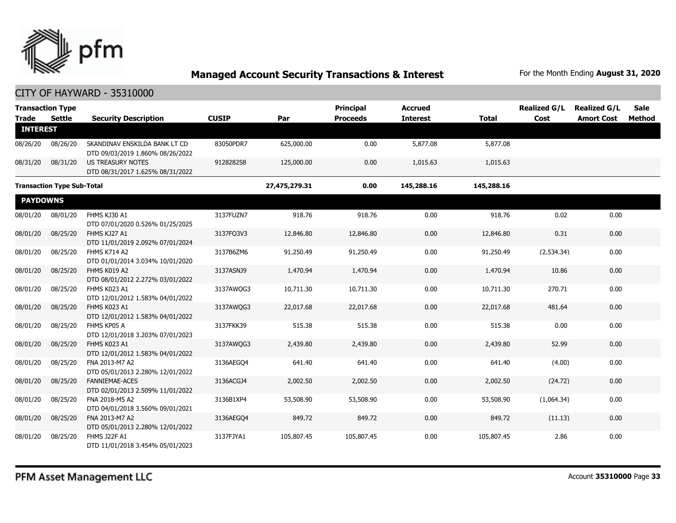

| <b>Trade</b>    | <b>Transaction Type</b><br>Settle | <b>Security Description</b>                                       | <b>CUSIP</b> | Par           | <b>Principal</b><br><b>Proceeds</b> | <b>Accrued</b><br><b>Interest</b> | <b>Total</b> | <b>Realized G/L</b><br>Cost | <b>Realized G/L</b><br><b>Amort Cost</b> | <b>Sale</b><br>Method |
|-----------------|-----------------------------------|-------------------------------------------------------------------|--------------|---------------|-------------------------------------|-----------------------------------|--------------|-----------------------------|------------------------------------------|-----------------------|
| <b>INTEREST</b> |                                   |                                                                   |              |               |                                     |                                   |              |                             |                                          |                       |
| 08/26/20        | 08/26/20                          | SKANDINAV ENSKILDA BANK LT CD<br>DTD 09/03/2019 1.860% 08/26/2022 | 83050PDR7    | 625,000.00    | 0.00                                | 5,877.08                          | 5,877.08     |                             |                                          |                       |
| 08/31/20        | 08/31/20                          | <b>US TREASURY NOTES</b><br>DTD 08/31/2017 1.625% 08/31/2022      | 9128282S8    | 125,000.00    | 0.00                                | 1,015.63                          | 1,015.63     |                             |                                          |                       |
|                 | <b>Transaction Type Sub-Total</b> |                                                                   |              | 27,475,279.31 | 0.00                                | 145,288.16                        | 145,288.16   |                             |                                          |                       |
| <b>PAYDOWNS</b> |                                   |                                                                   |              |               |                                     |                                   |              |                             |                                          |                       |
| 08/01/20        | 08/01/20                          | FHMS KJ30 A1<br>DTD 07/01/2020 0.526% 01/25/2025                  | 3137FUZN7    | 918.76        | 918.76                              | 0.00                              | 918.76       | 0.02                        | 0.00                                     |                       |
| 08/01/20        | 08/25/20                          | FHMS KJ27 A1<br>DTD 11/01/2019 2.092% 07/01/2024                  | 3137FQ3V3    | 12,846.80     | 12,846.80                           | 0.00                              | 12,846.80    | 0.31                        | 0.00                                     |                       |
| 08/01/20        | 08/25/20                          | FHMS K714 A2<br>DTD 01/01/2014 3.034% 10/01/2020                  | 3137B6ZM6    | 91,250.49     | 91,250.49                           | 0.00                              | 91,250.49    | (2,534.34)                  | 0.00                                     |                       |
| 08/01/20        | 08/25/20                          | FHMS K019 A2<br>DTD 08/01/2012 2.272% 03/01/2022                  | 3137ASNJ9    | 1,470.94      | 1,470.94                            | 0.00                              | 1,470.94     | 10.86                       | 0.00                                     |                       |
| 08/01/20        | 08/25/20                          | FHMS K023 A1<br>DTD 12/01/2012 1.583% 04/01/2022                  | 3137AWQG3    | 10,711.30     | 10,711.30                           | 0.00                              | 10,711.30    | 270.71                      | 0.00                                     |                       |
| 08/01/20        | 08/25/20                          | FHMS K023 A1<br>DTD 12/01/2012 1.583% 04/01/2022                  | 3137AWQG3    | 22,017.68     | 22,017.68                           | 0.00                              | 22,017.68    | 481.64                      | 0.00                                     |                       |
| 08/01/20        | 08/25/20                          | FHMS KP05 A<br>DTD 12/01/2018 3.203% 07/01/2023                   | 3137FKK39    | 515.38        | 515.38                              | 0.00                              | 515.38       | 0.00                        | 0.00                                     |                       |
| 08/01/20        | 08/25/20                          | FHMS K023 A1<br>DTD 12/01/2012 1.583% 04/01/2022                  | 3137AWQG3    | 2,439.80      | 2,439.80                            | 0.00                              | 2,439.80     | 52.99                       | 0.00                                     |                       |
| 08/01/20        | 08/25/20                          | FNA 2013-M7 A2<br>DTD 05/01/2013 2.280% 12/01/2022                | 3136AEGO4    | 641.40        | 641.40                              | 0.00                              | 641.40       | (4.00)                      | 0.00                                     |                       |
| 08/01/20        | 08/25/20                          | <b>FANNIEMAE-ACES</b><br>DTD 02/01/2013 2.509% 11/01/2022         | 3136ACGJ4    | 2,002.50      | 2,002.50                            | 0.00                              | 2,002.50     | (24.72)                     | 0.00                                     |                       |
| 08/01/20        | 08/25/20                          | FNA 2018-M5 A2<br>DTD 04/01/2018 3.560% 09/01/2021                | 3136B1XP4    | 53,508.90     | 53,508.90                           | 0.00                              | 53,508.90    | (1,064.34)                  | 0.00                                     |                       |
| 08/01/20        | 08/25/20                          | FNA 2013-M7 A2<br>DTD 05/01/2013 2.280% 12/01/2022                | 3136AEGO4    | 849.72        | 849.72                              | 0.00                              | 849.72       | (11.13)                     | 0.00                                     |                       |
| 08/01/20        | 08/25/20                          | <b>FHMS J22F A1</b><br>DTD 11/01/2018 3.454% 05/01/2023           | 3137FJYA1    | 105,807.45    | 105,807.45                          | 0.00                              | 105,807.45   | 2.86                        | 0.00                                     |                       |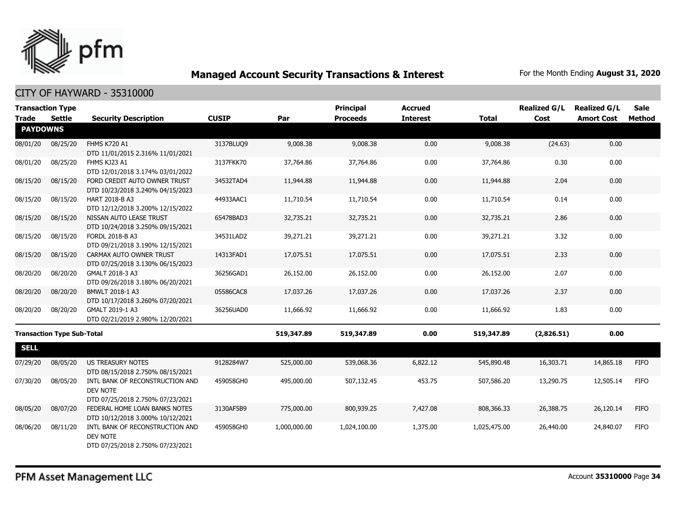

| <b>Transaction Type</b>           |               |                                                                                 |              |              | <b>Principal</b> | <b>Accrued</b>  |              | <b>Realized G/L</b> | <b>Realized G/L</b> | <b>Sale</b> |  |
|-----------------------------------|---------------|---------------------------------------------------------------------------------|--------------|--------------|------------------|-----------------|--------------|---------------------|---------------------|-------------|--|
| <b>Trade</b>                      | <b>Settle</b> | <b>Security Description</b>                                                     | <b>CUSIP</b> | Par          | <b>Proceeds</b>  | <b>Interest</b> | <b>Total</b> | Cost                | <b>Amort Cost</b>   | Method      |  |
| <b>PAYDOWNS</b>                   |               |                                                                                 |              |              |                  |                 |              |                     |                     |             |  |
| 08/01/20                          | 08/25/20      | <b>FHMS K720 A1</b><br>DTD 11/01/2015 2.316% 11/01/2021                         | 3137BLUQ9    | 9,008.38     | 9,008.38         | 0.00            | 9,008.38     | (24.63)             | 0.00                |             |  |
| 08/01/20                          | 08/25/20      | FHMS KJ23 A1<br>DTD 12/01/2018 3.174% 03/01/2022                                | 3137FKK70    | 37,764.86    | 37,764.86        | 0.00            | 37,764.86    | 0.30                | 0.00                |             |  |
| 08/15/20                          | 08/15/20      | FORD CREDIT AUTO OWNER TRUST<br>DTD 10/23/2018 3.240% 04/15/2023                | 34532TAD4    | 11,944.88    | 11,944.88        | 0.00            | 11,944.88    | 2.04                | 0.00                |             |  |
| 08/15/20                          | 08/15/20      | HART 2018-B A3<br>DTD 12/12/2018 3.200% 12/15/2022                              | 44933AAC1    | 11,710.54    | 11,710.54        | 0.00            | 11,710.54    | 0.14                | 0.00                |             |  |
| 08/15/20                          | 08/15/20      | NISSAN AUTO LEASE TRUST<br>DTD 10/24/2018 3.250% 09/15/2021                     | 65478BAD3    | 32,735.21    | 32,735.21        | 0.00            | 32,735.21    | 2.86                | 0.00                |             |  |
| 08/15/20                          | 08/15/20      | FORDL 2018-B A3<br>DTD 09/21/2018 3.190% 12/15/2021                             | 34531LAD2    | 39,271.21    | 39,271.21        | 0.00            | 39,271.21    | 3.32                | 0.00                |             |  |
| 08/15/20                          | 08/15/20      | CARMAX AUTO OWNER TRUST<br>DTD 07/25/2018 3.130% 06/15/2023                     | 14313FAD1    | 17,075.51    | 17,075.51        | 0.00            | 17,075.51    | 2.33                | 0.00                |             |  |
| 08/20/20                          | 08/20/20      | GMALT 2018-3 A3<br>DTD 09/26/2018 3.180% 06/20/2021                             | 36256GAD1    | 26,152.00    | 26,152.00        | 0.00            | 26,152.00    | 2.07                | 0.00                |             |  |
| 08/20/20                          | 08/20/20      | BMWLT 2018-1 A3<br>DTD 10/17/2018 3.260% 07/20/2021                             | 05586CAC8    | 17,037.26    | 17,037.26        | 0.00            | 17,037.26    | 2.37                | 0.00                |             |  |
| 08/20/20                          | 08/20/20      | GMALT 2019-1 A3<br>DTD 02/21/2019 2.980% 12/20/2021                             | 36256UAD0    | 11,666.92    | 11,666.92        | 0.00            | 11,666.92    | 1.83                | 0.00                |             |  |
| <b>Transaction Type Sub-Total</b> |               |                                                                                 | 519,347.89   | 519,347.89   | 0.00             | 519,347.89      | (2,826.51)   | 0.00                |                     |             |  |
| <b>SELL</b>                       |               |                                                                                 |              |              |                  |                 |              |                     |                     |             |  |
| 07/29/20                          | 08/05/20      | <b>US TREASURY NOTES</b><br>DTD 08/15/2018 2.750% 08/15/2021                    | 9128284W7    | 525,000.00   | 539,068.36       | 6,822.12        | 545,890.48   | 16,303.71           | 14,865.18           | <b>FIFO</b> |  |
| 07/30/20                          | 08/05/20      | INTL BANK OF RECONSTRUCTION AND<br>DEV NOTE<br>DTD 07/25/2018 2.750% 07/23/2021 | 459058GH0    | 495,000.00   | 507,132.45       | 453.75          | 507,586.20   | 13,290.75           | 12,505.14           | <b>FIFO</b> |  |
| 08/05/20                          | 08/07/20      | FEDERAL HOME LOAN BANKS NOTES<br>DTD 10/12/2018 3.000% 10/12/2021               | 3130AF5B9    | 775,000.00   | 800,939.25       | 7,427,08        | 808,366.33   | 26,388.75           | 26,120.14           | <b>FIFO</b> |  |
| 08/06/20                          | 08/11/20      | INTL BANK OF RECONSTRUCTION AND<br>DEV NOTE<br>DTD 07/25/2018 2.750% 07/23/2021 | 459058GH0    | 1,000,000.00 | 1,024,100.00     | 1,375.00        | 1,025,475.00 | 26,440.00           | 24,840.07           | <b>FIFO</b> |  |